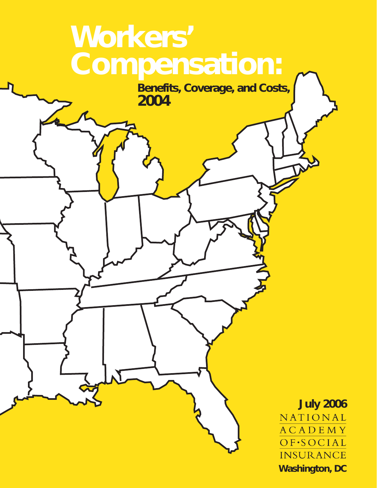# **Workers' Compensation:**

**Benefits, Coverage, and Costs, 2004**

> **July 2006** NATIONAL **ACADEMY**  $O$ F·SOCIAL **INSURANCE Washington, DC**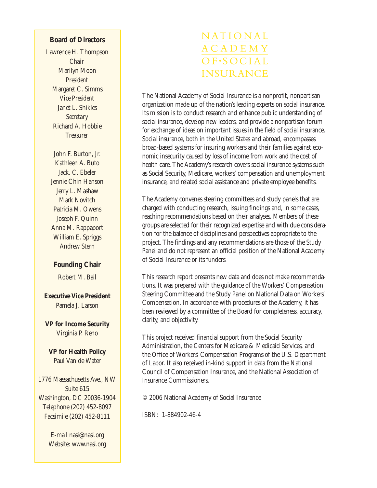#### **Board of Directors**

Lawrence H. Thompson *Chair* Marilyn Moon *President* Margaret C. Simms *Vice President* Janet L. Shikles *Secretary* Richard A. Hobbie *Treasurer*

John F. Burton, Jr. Kathleen A. Buto Jack. C. Ebeler Jennie Chin Hanson Jerry L. Mashaw Mark Novitch Patricia M. Owens Joseph F. Quinn Anna M. Rappaport William E. Spriggs Andrew Stern

#### **Founding Chair**

Robert M. Ball

**Executive Vice President** Pamela J. Larson

**VP for Income Security** Virginia P. Reno

**VP for Health Policy** Paul Van de Water

1776 Massachusetts Ave., NW Suite 615 Washington, DC 20036-1904 Telephone (202) 452-8097 Facsimile (202) 452-8111

> E-mail nasi@nasi.org Website: www.nasi.org



The National Academy of Social Insurance is a nonprofit, nonpartisan organization made up of the nation's leading experts on social insurance. Its mission is to conduct research and enhance public understanding of social insurance, develop new leaders, and provide a nonpartisan forum for exchange of ideas on important issues in the field of social insurance. Social insurance, both in the United States and abroad, encompasses broad-based systems for insuring workers and their families against economic insecurity caused by loss of income from work and the cost of health care. The Academy's research covers social insurance systems such as Social Security, Medicare, workers' compensation and unemployment insurance, and related social assistance and private employee benefits.

The Academy convenes steering committees and study panels that are charged with conducting research, issuing findings and, in some cases, reaching recommendations based on their analyses. Members of these groups are selected for their recognized expertise and with due consideration for the balance of disciplines and perspectives appropriate to the project. The findings and any recommendations are those of the Study Panel and do not represent an official position of the National Academy of Social Insurance or its funders.

This research report presents new data and does not make recommendations. It was prepared with the guidance of the Workers' Compensation Steering Committee and the Study Panel on National Data on Workers' Compensation. In accordance with procedures of the Academy, it has been reviewed by a committee of the Board for completeness, accuracy, clarity, and objectivity.

This project received financial support from the Social Security Administration, the Centers for Medicare & Medicaid Services, and the Office of Workers' Compensation Programs of the U.S. Department of Labor. It also received in-kind support in data from the National Council of Compensation Insurance, and the National Association of Insurance Commissioners.

© 2006 National Academy of Social Insurance

ISBN: 1-884902-46-4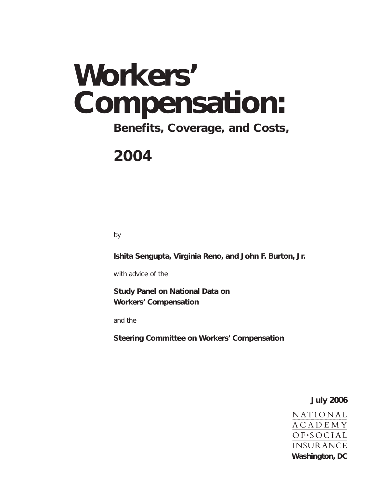# **Workers' Compensation:**

# **Benefits, Coverage, and Costs,**

# **2004**

*by*

**Ishita Sengupta, Virginia Reno, and John F. Burton, Jr.**

*with advice of the*

**Study Panel on National Data on Workers' Compensation** 

*and the* 

**Steering Committee on Workers' Compensation**

## **July 2006**

NATIONAL **ACADEMY** OF.SOCIAL **INSURANCE Washington, DC**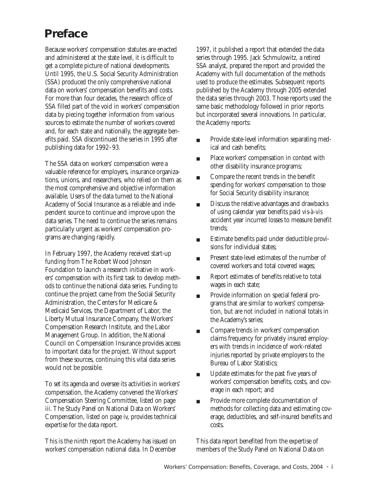# **Preface**

Because workers' compensation statutes are enacted and administered at the state level, it is difficult to get a complete picture of national developments. Until 1995, the U.S. Social Security Administration (SSA) produced the only comprehensive national data on workers' compensation benefits and costs. For more than four decades, the research office of SSA filled part of the void in workers' compensation data by piecing together information from various sources to estimate the number of workers covered and, for each state and nationally, the aggregate benefits paid. SSA discontinued the series in 1995 after publishing data for 1992–93.

The SSA data on workers' compensation were a valuable reference for employers, insurance organizations, unions, and researchers, who relied on them as the most comprehensive and objective information available. Users of the data turned to the National Academy of Social Insurance as a reliable and independent source to continue and improve upon the data series. The need to continue the series remains particularly urgent as workers' compensation programs are changing rapidly.

In February 1997, the Academy received start-up funding from The Robert Wood Johnson Foundation to launch a research initiative in workers' compensation with its first task to develop methods to continue the national data series. Funding to continue the project came from the Social Security Administration, the Centers for Medicare & Medicaid Services, the Department of Labor, the Liberty Mutual Insurance Company, the Workers' Compensation Research Institute, and the Labor Management Group. In addition, the National Council on Compensation Insurance provides access to important data for the project. Without support from these sources, continuing this vital data series would not be possible.

To set its agenda and oversee its activities in workers' compensation, the Academy convened the Workers' Compensation Steering Committee, listed on page iii. The Study Panel on National Data on Workers' Compensation, listed on page iv, provides technical expertise for the data report.

This is the ninth report the Academy has issued on workers' compensation national data. In December

1997, it published a report that extended the data series through 1995. Jack Schmulowitz, a retired SSA analyst, prepared the report and provided the Academy with full documentation of the methods used to produce the estimates. Subsequent reports published by the Academy through 2005 extended the data series through 2003. Those reports used the same basic methodology followed in prior reports but incorporated several innovations. In particular, the Academy reports:

- Provide state-level information separating medical and cash benefits;
- Place workers' compensation in context with other disability insurance programs;
- Compare the recent trends in the benefit spending for workers' compensation to those for Social Security disability insurance;
- Discuss the relative advantages and drawbacks of using calendar year benefits paid *vis-à-vis* accident year incurred losses to measure benefit trends;
- Estimate benefits paid under deductible provisions for individual states;
- Present state-level estimates of the number of covered workers and total covered wages;
- Report estimates of benefits relative to total wages in each state;
- Provide information on special federal programs that are similar to workers' compensation, but are not included in national totals in the Academy's series;
- Compare trends in workers' compensation claims frequency for privately insured employers with trends in incidence of work-related injuries reported by private employers to the Bureau of Labor Statistics;
- Update estimates for the past five years of workers' compensation benefits, costs, and coverage in each report; and
- Provide more complete documentation of methods for collecting data and estimating coverage, deductibles, and self-insured benefits and costs.

This data report benefited from the expertise of members of the Study Panel on National Data on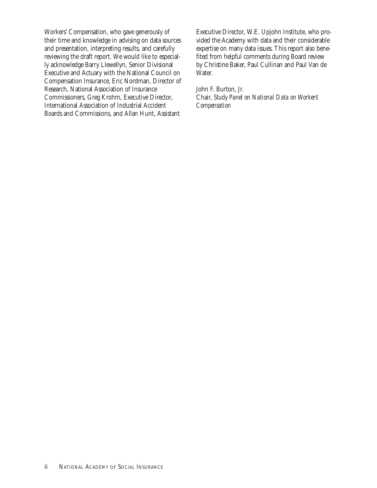Workers' Compensation, who gave generously of their time and knowledge in advising on data sources and presentation, interpreting results, and carefully reviewing the draft report. We would like to especially acknowledge Barry Llewellyn, Senior Divisional Executive and Actuary with the National Council on Compensation Insurance, Eric Nordman, Director of Research, National Association of Insurance Commissioners, Greg Krohm, Executive Director, International Association of Industrial Accident Boards and Commissions, and Allan Hunt, Assistant

Executive Director, W.E. Upjohn Institute, who provided the Academy with data and their considerable expertise on many data issues. This report also benefited from helpful comments during Board review by Christine Baker, Paul Cullinan and Paul Van de Water.

John F. Burton, Jr. Chair, *Study Panel on National Data on Workers' Compensation*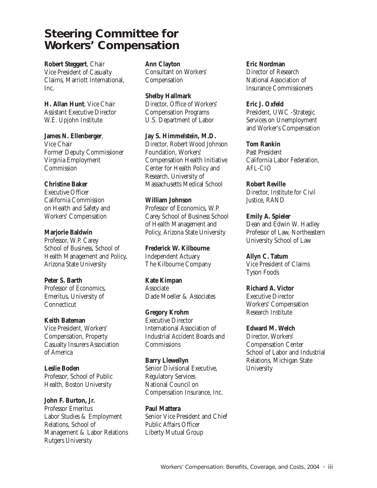# **Steering Committee for Workers' Compensation**

**Robert Steggert**, Chair Vice President of Casualty Claims, Marriott International, Inc.

**H. Allan Hunt**, Vice Chair Assistant Executive Director W.E. Upjohn Institute

**James N. Ellenberger**,

Vice Chair Former Deputy Commissioner Virginia Employment **Commission** 

#### **Christine Baker**

Executive Officer California Commission on Health and Safety and Workers' Compensation

#### **Marjorie Baldwin**

Professor, W.P. Carey School of Business, School of Health Management and Policy, Arizona State University

**Peter S. Barth**

Professor of Economics, Emeritus, University of **Connecticut** 

#### **Keith Bateman**

Vice President, Workers' Compensation, Property Casualty Insurers Association of America

**Leslie Boden** Professor, School of Public Health, Boston University

#### **John F. Burton, Jr.**

Professor Emeritus Labor Studies & Employment Relations, School of Management & Labor Relations Rutgers University

**Ann Clayton** Consultant on Workers' Compensation

**Shelby Hallmark** Director, Office of Workers' Compensation Programs

U.S. Department of Labor **Jay S. Himmelstein, M.D.**

Director, Robert Wood Johnson Foundation, Workers' Compensation Health Initiative Center for Health Policy and Research, University of Massachusetts Medical School

#### **William Johnson**

Professor of Economics, W.P. Carey School of Business School of Health Management and Policy, Arizona State University

**Frederick W. Kilbourne** Independent Actuary The Kilbourne Company

**Kate Kimpan** Associate Dade Moeller & Associates

**Gregory Krohm** Executive Director International Association of Industrial Accident Boards and **Commissions** 

**Barry Llewellyn** Senior Divisional Executive, Regulatory Services National Council on Compensation Insurance, Inc.

#### **Paul Mattera**

Senior Vice President and Chief Public Affairs Officer Liberty Mutual Group

**Eric Nordman** Director of Research National Association of Insurance Commissioners

**Eric J. Oxfeld** President, UWC -Strategic Services on Unemployment and Worker's Compensation

**Tom Rankin** Past President California Labor Federation, AFL-CIO

**Robert Reville** Director, Institute for Civil Justice, RAND

**Emily A. Spieler** Dean and Edwin W. Hadley Professor of Law, Northeastern University School of Law

**Allyn C. Tatum** Vice President of Claims Tyson Foods

**Richard A. Victor** Executive Director Workers' Compensation Research Institute

**Edward M. Welch** Director, Workers' Compensation Center School of Labor and Industrial Relations, Michigan State **University**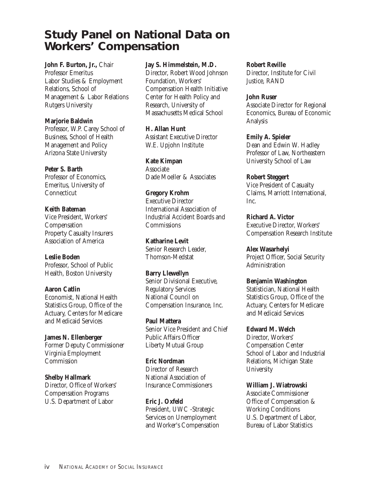# **Study Panel on National Data on Workers' Compensation**

**John F. Burton, Jr.,** Chair Professor Emeritus Labor Studies & Employment Relations, School of Management & Labor Relations Rutgers University

#### **Marjorie Baldwin**

Professor, W.P. Carey School of Business, School of Health Management and Policy Arizona State University

#### **Peter S. Barth**

Professor of Economics, Emeritus, University of **Connecticut** 

#### **Keith Bateman**

Vice President, Workers' Compensation Property Casualty Insurers Association of America

## **Leslie Boden**

Professor, School of Public Health, Boston University

#### **Aaron Catlin**

Economist, National Health Statistics Group, Office of the Actuary, Centers for Medicare and Medicaid Services

#### **James N. Ellenberger**

Former Deputy Commissioner Virginia Employment Commission

#### **Shelby Hallmark**

Director, Office of Workers' Compensation Programs U.S. Department of Labor

#### **Jay S. Himmelstein, M.D.**

Director, Robert Wood Johnson Foundation, Workers' Compensation Health Initiative Center for Health Policy and Research, University of Massachusetts Medical School

#### **H. Allan Hunt** Assistant Executive Director W.E. Upjohn Institute

**Kate Kimpan** Associate Dade Moeller & Associates

#### **Gregory Krohm** Executive Director International Association of Industrial Accident Boards and **Commissions**

**Katharine Levit** Senior Research Leader, Thomson-Medstat

#### **Barry Llewellyn**

Senior Divisional Executive, Regulatory Services National Council on Compensation Insurance, Inc.

#### **Paul Mattera** Senior Vice President and Chief Public Affairs Officer Liberty Mutual Group

#### **Eric Nordman** Director of Research National Association of Insurance Commissioners

**Eric J. Oxfeld** President, UWC -Strategic Services on Unemployment and Worker's Compensation

#### **Robert Reville**

Director, Institute for Civil Justice, RAND

#### **John Ruser**

Associate Director for Regional Economics, Bureau of Economic Analysis

#### **Emily A. Spieler**

Dean and Edwin W. Hadley Professor of Law, Northeastern University School of Law

#### **Robert Steggert** Vice President of Casualty

Claims, Marriott International, Inc.

**Richard A. Victor** Executive Director, Workers' Compensation Research Institute

#### **Alex Wasarhelyi** Project Officer, Social Security Administration

#### **Benjamin Washington**

Statistician, National Health Statistics Group, Office of the Actuary, Centers for Medicare and Medicaid Services

#### **Edward M. Welch**

Director, Workers' Compensation Center School of Labor and Industrial Relations, Michigan State **University** 

#### **William J. Wiatrowski**

Associate Commissioner Office of Compensation & Working Conditions U.S. Department of Labor, Bureau of Labor Statistics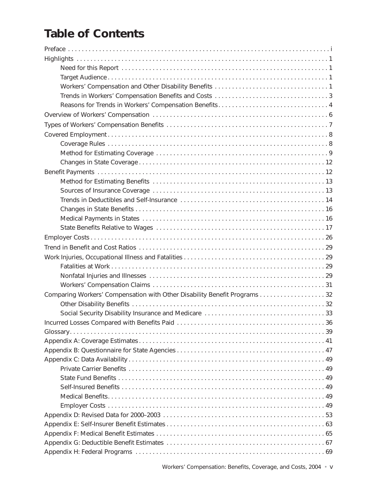# **Table of Contents**

| Comparing Workers' Compensation with Other Disability Benefit Programs 32 |
|---------------------------------------------------------------------------|
|                                                                           |
|                                                                           |
|                                                                           |
|                                                                           |
|                                                                           |
|                                                                           |
|                                                                           |
|                                                                           |
|                                                                           |
|                                                                           |
|                                                                           |
|                                                                           |
|                                                                           |
|                                                                           |
|                                                                           |
|                                                                           |
|                                                                           |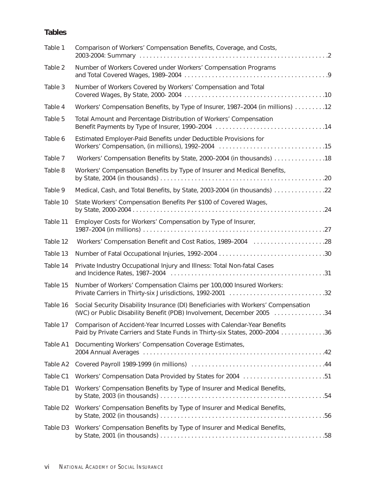#### **Tables**

| Table 1              | Comparison of Workers' Compensation Benefits, Coverage, and Costs,                                                                                          |
|----------------------|-------------------------------------------------------------------------------------------------------------------------------------------------------------|
| Table 2              | Number of Workers Covered under Workers' Compensation Programs                                                                                              |
| Table 3              | Number of Workers Covered by Workers' Compensation and Total                                                                                                |
| Table 4              | Workers' Compensation Benefits, by Type of Insurer, 1987-2004 (in millions) 12                                                                              |
| Table 5              | Total Amount and Percentage Distribution of Workers' Compensation                                                                                           |
| Table 6              | Estimated Employer-Paid Benefits under Deductible Provisions for                                                                                            |
| Table 7              | Workers' Compensation Benefits by State, 2000-2004 (in thousands) 18                                                                                        |
| Table 8              | Workers' Compensation Benefits by Type of Insurer and Medical Benefits,                                                                                     |
| Table 9              | Medical, Cash, and Total Benefits, by State, 2003-2004 (in thousands) 22                                                                                    |
| Table 10             | State Workers' Compensation Benefits Per \$100 of Covered Wages,                                                                                            |
| Table 11             | Employer Costs for Workers' Compensation by Type of Insurer,                                                                                                |
| Table 12             | Workers' Compensation Benefit and Cost Ratios, 1989-2004 28                                                                                                 |
| Table 13             |                                                                                                                                                             |
| Table 14             | Private Industry Occupational Injury and Illness: Total Non-fatal Cases                                                                                     |
| Table 15             | Number of Workers' Compensation Claims per 100,000 Insured Workers:                                                                                         |
| Table 16             | Social Security Disability Insurance (DI) Beneficiaries with Workers' Compensation<br>(WC) or Public Disability Benefit (PDB) Involvement, December 2005 34 |
| Table 17             | Comparison of Accident-Year Incurred Losses with Calendar-Year Benefits<br>Paid by Private Carriers and State Funds in Thirty-six States, 2000-2004 36      |
| Table A1             | Documenting Workers' Compensation Coverage Estimates,                                                                                                       |
| Table A2             |                                                                                                                                                             |
| Table C1             | Workers' Compensation Data Provided by States for 2004 51                                                                                                   |
| Table D1             | Workers' Compensation Benefits by Type of Insurer and Medical Benefits,                                                                                     |
| Table D <sub>2</sub> | Workers' Compensation Benefits by Type of Insurer and Medical Benefits,                                                                                     |
| Table D <sub>3</sub> | Workers' Compensation Benefits by Type of Insurer and Medical Benefits,                                                                                     |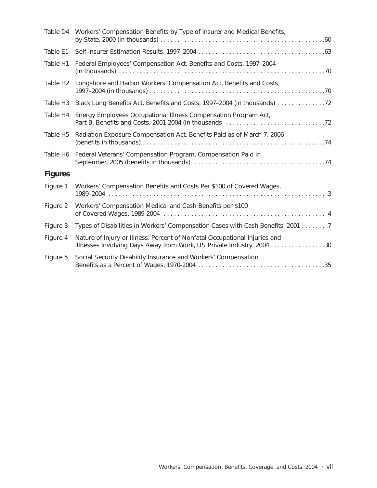| Table D4             | Workers' Compensation Benefits by Type of Insurer and Medical Benefits,                                                                             |
|----------------------|-----------------------------------------------------------------------------------------------------------------------------------------------------|
| Table E1             |                                                                                                                                                     |
| Table H1             | Federal Employees' Compensation Act, Benefits and Costs, 1997-2004                                                                                  |
| Table H <sub>2</sub> | Longshore and Harbor Workers' Compensation Act, Benefits and Costs,                                                                                 |
| Table H <sub>3</sub> |                                                                                                                                                     |
| Table H4             | Energy Employees Occupational Illness Compensation Program Act,                                                                                     |
| Table H5             | Radiation Exposure Compensation Act, Benefits Paid as of March 7, 2006                                                                              |
| Table H6             | Federal Veterans' Compensation Program, Compensation Paid in                                                                                        |
| <b>Figures</b>       |                                                                                                                                                     |
| Figure 1             | Workers' Compensation Benefits and Costs Per \$100 of Covered Wages,                                                                                |
| Figure 2             | Workers' Compensation Medical and Cash Benefits per \$100                                                                                           |
| Figure 3             | Types of Disabilities in Workers' Compensation Cases with Cash Benefits, 2001 7                                                                     |
| Figure 4             | Nature of Injury or Illness: Percent of Nonfatal Occupational Injuries and<br>Illnesses Involving Days Away from Work, US Private Industry, 2004 30 |
| Figure 5             | Social Security Disability Insurance and Workers' Compensation                                                                                      |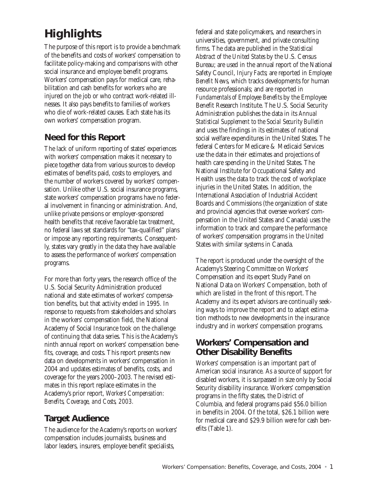# **Highlights**

The purpose of this report is to provide a benchmark of the benefits and costs of workers' compensation to facilitate policy-making and comparisons with other social insurance and employee benefit programs. Workers' compensation pays for medical care, rehabilitation and cash benefits for workers who are injured on the job or who contract work-related illnesses. It also pays benefits to families of workers who die of work-related causes. Each state has its own workers' compensation program.

# **Need for this Report**

The lack of uniform reporting of states' experiences with workers' compensation makes it necessary to piece together data from various sources to develop estimates of benefits paid, costs to employers, and the number of workers covered by workers' compensation. Unlike other U.S. social insurance programs, state workers' compensation programs have no federal involvement in financing or administration. And, unlike private pensions or employer-sponsored health benefits that receive favorable tax treatment, no federal laws set standards for "tax-qualified" plans or impose any reporting requirements. Consequently, states vary greatly in the data they have available to assess the performance of workers' compensation programs.

For more than forty years, the research office of the U.S. Social Security Administration produced national and state estimates of workers' compensation benefits, but that activity ended in 1995. In response to requests from stakeholders and scholars in the workers' compensation field, the National Academy of Social Insurance took on the challenge of continuing that data series. This is the Academy's ninth annual report on workers' compensation benefits, coverage, and costs. This report presents new data on developments in workers' compensation in 2004 and updates estimates of benefits, costs, and coverage for the years 2000–2003. The revised estimates in this report replace estimates in the Academy's prior report, *Workers' Compensation: Benefits, Coverage, and Costs, 2003.*

# **Target Audience**

The audience for the Academy's reports on workers' compensation includes journalists, business and labor leaders, insurers, employee benefit specialists,

federal and state policymakers, and researchers in universities, government, and private consulting firms. The data are published in the *Statistical Abstract of the United States* by the U.S. Census Bureau; are used in the annual report of the National Safety Council, *Injury Facts*; are reported in *Employee Benefit News*, which tracks developments for human resource professionals; and are reported in *Fundamentals of Employee Benefits* by the Employee Benefit Research Institute. The U.S. Social Security Administration publishes the data in its *Annual Statistical Supplement to the Social Security Bulletin* and uses the findings in its estimates of national social welfare expenditures in the United States. The federal Centers for Medicare & Medicaid Services use the data in their estimates and projections of health care spending in the United States. The National Institute for Occupational Safety and Health uses the data to track the cost of workplace injuries in the United States. In addition, the International Association of Industrial Accident Boards and Commissions (the organization of state and provincial agencies that oversee workers' compensation in the United States and Canada) uses the information to track and compare the performance of workers' compensation programs in the United States with similar systems in Canada.

The report is produced under the oversight of the Academy's Steering Committee on Workers' Compensation and its expert Study Panel on National Data on Workers' Compensation, both of which are listed in the front of this report. The Academy and its expert advisors are continually seeking ways to improve the report and to adapt estimation methods to new developments in the insurance industry and in workers' compensation programs.

# **Workers' Compensation and Other Disability Benefits**

Workers' compensation is an important part of American social insurance. As a source of support for disabled workers, it is surpassed in size only by Social Security disability insurance. Workers' compensation programs in the fifty states, the District of Columbia, and federal programs paid \$56.0 billion in benefits in 2004. Of the total, \$26.1 billion were for medical care and \$29.9 billion were for cash benefits (Table 1).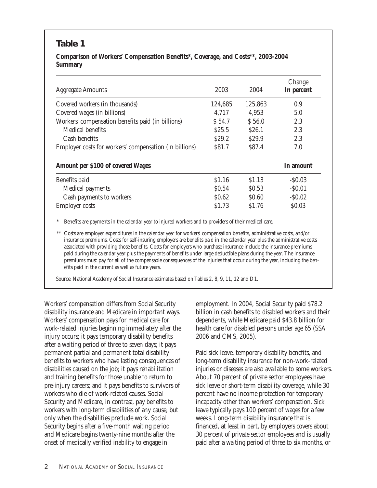# **Table 1**

#### **Comparison of Workers' Compensation Benefits\*, Coverage, and Costs\*\*, 2003-2004 Summary**

| <b>Aggregate Amounts</b>                               | 2003              | 2004              | Change<br>In percent |
|--------------------------------------------------------|-------------------|-------------------|----------------------|
| Covered workers (in thousands)                         | 124,685           | 125,863           | 0.9                  |
| Covered wages (in billions)                            | 4,717             | 4,953             | 5.0                  |
| Workers' compensation benefits paid (in billions)      | \$54.7            | \$56.0            | 2.3                  |
| Medical benefits                                       | \$25.5            | S <sub>26.1</sub> | 2.3                  |
| Cash benefits                                          | S29.2             | \$29.9            | 2.3                  |
| Employer costs for workers' compensation (in billions) | S81.7             | S87.4             | 7.0                  |
| Amount per \$100 of covered Wages                      |                   |                   | In amount            |
| Benefits paid                                          | S <sub>1.16</sub> | \$1.13            | $-S0.03$             |
| Medical payments                                       | S <sub>0.54</sub> | \$0.53            | $-S0.01$             |
| Cash payments to workers                               | \$0.62            | \$0.60            | $-S0.02$             |
| <b>Employer costs</b>                                  | S1.73             | \$1.76            | \$0.03               |

Benefits are payments in the calendar year to injured workers and to providers of their medical care.

Costs are employer expenditures in the calendar year for workers' compensation benefits, administrative costs, and/or insurance premiums. Costs for self-insuring employers are benefits paid in the calendar year plus the administrative costs associated with providing those benefits. Costs for employers who purchase insurance include the insurance premiums paid during the calendar year plus the payments of benefits under large deductible plans during the year. The insurance premiums must pay for all of the compensable consequences of the injuries that occur during the year, including the benefits paid in the current as well as future years.

Source: National Academy of Social Insurance estimates based on Tables 2, 8, 9, 11, 12 and D1.

Workers' compensation differs from Social Security disability insurance and Medicare in important ways. Workers' compensation pays for medical care for work-related injuries beginning immediately after the injury occurs; it pays temporary disability benefits after a waiting period of three to seven days; it pays permanent partial and permanent total disability benefits to workers who have lasting consequences of disabilities caused on the job; it pays rehabilitation and training benefits for those unable to return to pre-injury careers; and it pays benefits to survivors of workers who die of work-related causes. Social Security and Medicare, in contrast, pay benefits to workers with long-term disabilities of any cause, but only when the disabilities preclude work. Social Security begins after a five-month waiting period and Medicare begins twenty-nine months after the onset of medically verified inability to engage in

employment. In 2004, Social Security paid \$78.2 billion in cash benefits to disabled workers and their dependents, while Medicare paid \$43.8 billion for health care for disabled persons under age 65 (SSA 2006 and CMS, 2005).

Paid sick leave, temporary disability benefits, and long-term disability insurance for non-work-related injuries or diseases are also available to some workers. About 70 percent of private sector employees have sick leave or short-term disability coverage, while 30 percent have no income protection for temporary incapacity other than workers' compensation. Sick leave typically pays 100 percent of wages for a few weeks. Long-term disability insurance that is financed, at least in part, by employers covers about 30 percent of private sector employees and is usually paid after a waiting period of three to six months, or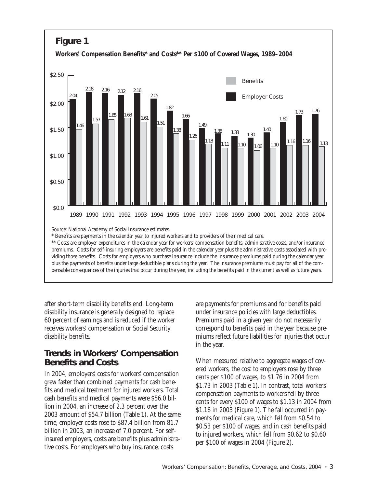

after short-term disability benefits end. Long-term disability insurance is generally designed to replace 60 percent of earnings and is reduced if the worker receives workers' compensation or Social Security disability benefits.

## **Trends in Workers' Compensation Benefits and Costs**

In 2004, employers' costs for workers' compensation grew faster than combined payments for cash benefits and medical treatment for injured workers. Total cash benefits and medical payments were \$56.0 billion in 2004, an increase of 2.3 percent over the 2003 amount of \$54.7 billion (Table 1). At the same time, employer costs rose to \$87.4 billion from 81.7 billion in 2003, an increase of 7.0 percent. For selfinsured employers, costs are benefits plus administrative costs. For employers who buy insurance, costs

are payments for premiums and for benefits paid under insurance policies with large deductibles. Premiums paid in a given year do not necessarily correspond to benefits paid in the year because premiums reflect future liabilities for injuries that occur in the year.

When measured relative to aggregate wages of covered workers, the cost to employers rose by three cents per \$100 of wages, to \$1.76 in 2004 from \$1.73 in 2003 (Table 1). In contrast, total workers' compensation payments to workers fell by three cents for every \$100 of wages to \$1.13 in 2004 from \$1.16 in 2003 (Figure 1). The fall occurred in payments for medical care, which fell from \$0.54 to \$0.53 per \$100 of wages, and in cash benefits paid to injured workers, which fell from \$0.62 to \$0.60 per \$100 of wages in 2004 (Figure 2).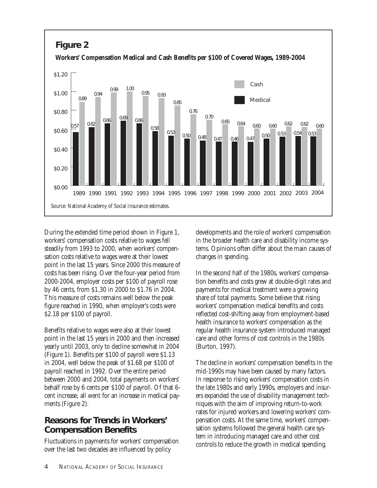

During the extended time period shown in Figure 1, workers' compensation costs relative to wages fell steadily from 1993 to 2000, when workers' compensation costs relative to wages were at their lowest point in the last 15 years. Since 2000 this measure of costs has been rising. Over the four-year period from 2000-2004, employer costs per \$100 of payroll rose by 46 cents, from \$1.30 in 2000 to \$1.76 in 2004. This measure of costs remains well below the peak figure reached in 1990, when employer's costs were \$2.18 per \$100 of payroll.

Benefits relative to wages were also at their lowest point in the last 15 years in 2000 and then increased yearly until 2003, only to decline somewhat in 2004 (Figure 1). Benefits per \$100 of payroll were \$1.13 in 2004, well below the peak of \$1.68 per \$100 of payroll reached in 1992. Over the entire period between 2000 and 2004, total payments on workers' behalf rose by 6 cents per \$100 of payroll. Of that 6 cent increase, all went for an increase in medical payments (Figure 2).

# **Reasons for Trends in Workers' Compensation Benefits**

Fluctuations in payments for workers' compensation over the last two decades are influenced by policy

developments and the role of workers' compensation in the broader health care and disability income systems. Opinions often differ about the main causes of changes in spending.

In the second half of the 1980s, workers' compensation benefits and costs grew at double-digit rates and payments for medical treatment were a growing share of total payments. Some believe that rising workers' compensation medical benefits and costs reflected cost-shifting away from employment-based health insurance to workers' compensation as the regular health insurance system introduced managed care and other forms of cost controls in the 1980s (Burton, 1997).

The decline in workers' compensation benefits in the mid-1990s may have been caused by many factors. In response to rising workers' compensation costs in the late 1980s and early 1990s, employers and insurers expanded the use of disability management techniques with the aim of improving return-to-work rates for injured workers and lowering workers' compensation costs. At the same time, workers' compensation systems followed the general health care system in introducing managed care and other cost controls to reduce the growth in medical spending.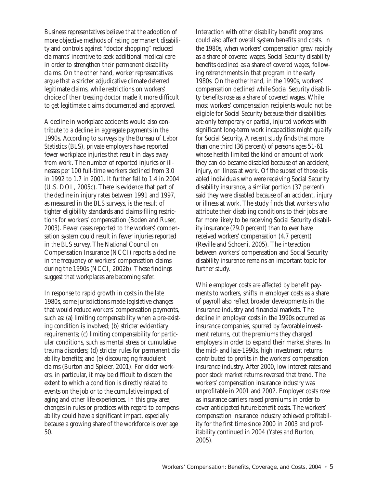Business representatives believe that the adoption of more objective methods of rating permanent disability and controls against "doctor shopping" reduced claimants' incentive to seek additional medical care in order to strengthen their permanent disability claims. On the other hand, worker representatives argue that a stricter adjudicative climate deterred legitimate claims, while restrictions on workers' choice of their treating doctor made it more difficult to get legitimate claims documented and approved.

A decline in workplace accidents would also contribute to a decline in aggregate payments in the 1990s. According to surveys by the Bureau of Labor Statistics (BLS), private employers have reported fewer workplace injuries that result in days away from work. The number of reported injuries or illnesses per 100 full-time workers declined from 3.0 in 1992 to 1.7 in 2001. It further fell to 1.4 in 2004 (U.S. DOL, 2005c). There is evidence that part of the decline in injury rates between 1991 and 1997, as measured in the BLS surveys, is the result of tighter eligibility standards and claims-filing restrictions for workers' compensation (Boden and Ruser, 2003). Fewer cases reported to the workers' compensation system could result in fewer injuries reported in the BLS survey. The National Council on Compensation Insurance (NCCI) reports a decline in the frequency of workers' compensation claims during the 1990s (NCCI, 2002b). These findings suggest that workplaces are becoming safer.

In response to rapid growth in costs in the late 1980s, some jurisdictions made legislative changes that would reduce workers' compensation payments, such as: (a) limiting compensability when a pre-existing condition is involved; (b) stricter evidentiary requirements; (c) limiting compensability for particular conditions, such as mental stress or cumulative trauma disorders; (d) stricter rules for permanent disability benefits; and (e) discouraging fraudulent claims (Burton and Spieler, 2001). For older workers, in particular, it may be difficult to discern the extent to which a condition is directly related to events on the job or to the cumulative impact of aging and other life experiences. In this gray area, changes in rules or practices with regard to compensability could have a significant impact, especially because a growing share of the workforce is over age 50.

Interaction with other disability benefit programs could also affect overall system benefits and costs. In the 1980s, when workers' compensation grew rapidly as a share of covered wages, Social Security disability benefits declined as a share of covered wages, following retrenchments in that program in the early 1980s. On the other hand, in the 1990s, workers' compensation declined while Social Security disability benefits rose as a share of covered wages. While most workers' compensation recipients would not be eligible for Social Security because their disabilities are only temporary or partial, injured workers with significant long-term work incapacities might qualify for Social Security. A recent study finds that more than one third (36 percent) of persons ages 51-61 whose health limited the kind or amount of work they can do became disabled because of an accident, injury, or illness at work. Of the subset of those disabled individuals who were receiving Social Security disability insurance, a similar portion (37 percent) said they were disabled because of an accident, injury or illness at work. The study finds that workers who attribute their disabling conditions to their jobs are far more likely to be receiving Social Security disability insurance (29.0 percent) than to ever have received workers' compensation (4.7 percent) (Reville and Schoeni, 2005). The interaction between workers' compensation and Social Security disability insurance remains an important topic for further study.

While employer costs are affected by benefit payments to workers, shifts in employer costs as a share of payroll also reflect broader developments in the insurance industry and financial markets. The decline in employer costs in the 1990s occurred as insurance companies, spurred by favorable investment returns, cut the premiums they charged employers in order to expand their market shares. In the mid- and late-1990s, high investment returns contributed to profits in the workers' compensation insurance industry. After 2000, low interest rates and poor stock market returns reversed that trend. The workers' compensation insurance industry was unprofitable in 2001 and 2002. Employer costs rose as insurance carriers raised premiums in order to cover anticipated future benefit costs. The workers' compensation insurance industry achieved profitability for the first time since 2000 in 2003 and profitability continued in 2004 (Yates and Burton, 2005).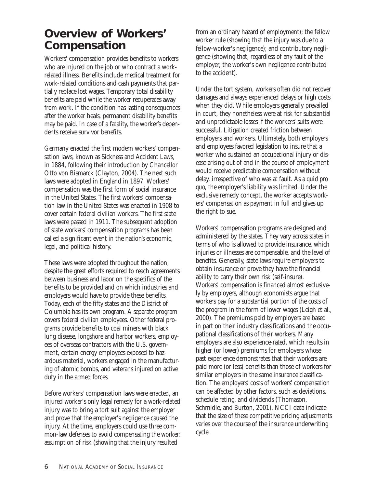# **Overview of Workers' Compensation**

Workers' compensation provides benefits to workers who are injured on the job or who contract a workrelated illness. Benefits include medical treatment for work-related conditions and cash payments that partially replace lost wages. Temporary total disability benefits are paid while the worker recuperates away from work. If the condition has lasting consequences after the worker heals, permanent disability benefits may be paid. In case of a fatality, the worker's dependents receive survivor benefits.

Germany enacted the first modern workers' compensation laws, known as Sickness and Accident Laws, in 1884, following their introduction by Chancellor Otto von Bismarck (Clayton, 2004). The next such laws were adopted in England in 1897. Workers' compensation was the first form of social insurance in the United States. The first workers' compensation law in the United States was enacted in 1908 to cover certain federal civilian workers. The first state laws were passed in 1911. The subsequent adoption of state workers' compensation programs has been called a significant event in the nation's economic, legal, and political history.

These laws were adopted throughout the nation, despite the great efforts required to reach agreements between business and labor on the specifics of the benefits to be provided and on which industries and employers would have to provide these benefits. Today, each of the fifty states and the District of Columbia has its own program. A separate program covers federal civilian employees. Other federal programs provide benefits to coal miners with black lung disease, longshore and harbor workers, employees of overseas contractors with the U.S. government, certain energy employees exposed to hazardous material, workers engaged in the manufacturing of atomic bombs, and veterans injured on active duty in the armed forces.

Before workers' compensation laws were enacted, an injured worker's only legal remedy for a work-related injury was to bring a tort suit against the employer and prove that the employer's negligence caused the injury. At the time, employers could use three common-law defenses to avoid compensating the worker: assumption of risk (showing that the injury resulted

from an ordinary hazard of employment); the fellow worker rule (showing that the injury was due to a fellow-worker's negligence); and contributory negligence (showing that, regardless of any fault of the employer, the worker's own negligence contributed to the accident).

Under the tort system, workers often did not recover damages and always experienced delays or high costs when they did. While employers generally prevailed in court, they nonetheless were at risk for substantial and unpredictable losses if the workers' suits were successful. Litigation created friction between employers and workers. Ultimately, both employers and employees favored legislation to insure that a worker who sustained an occupational injury or disease arising out of and in the course of employment would receive predictable compensation without delay, irrespective of who was at fault. As a *quid pro quo*, the employer's liability was limited. Under the exclusive remedy concept, the worker accepts workers' compensation as payment in full and gives up the right to sue.

Workers' compensation programs are designed and administered by the states. They vary across states in terms of who is allowed to provide insurance, which injuries or illnesses are compensable, and the level of benefits. Generally, state laws require employers to obtain insurance or prove they have the financial ability to carry their own risk (self-insure). Workers' compensation is financed almost exclusively by employers, although economists argue that workers pay for a substantial portion of the costs of the program in the form of lower wages (Leigh et al., 2000). The premiums paid by employers are based in part on their industry classifications and the occupational classifications of their workers. Many employers are also experience-rated, which results in higher (or lower) premiums for employers whose past experience demonstrates that their workers are paid more (or less) benefits than those of workers for similar employers in the same insurance classification. The employers' costs of workers' compensation can be affected by other factors, such as deviations, schedule rating, and dividends (Thomason, Schmidle, and Burton, 2001). NCCI data indicate that the size of these competitive pricing adjustments varies over the course of the insurance underwriting cycle.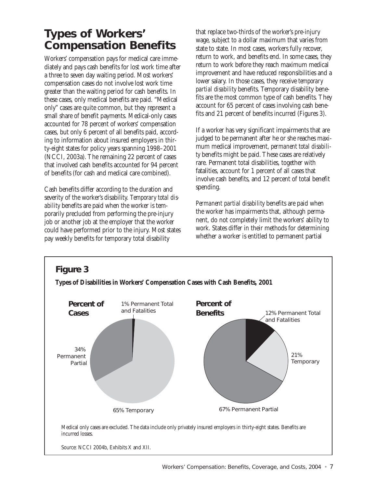# **Types of Workers' Compensation Benefits**

Workers' compensation pays for medical care immediately and pays cash benefits for lost work time after a three to seven day waiting period. Most workers' compensation cases do not involve lost work time greater than the waiting period for cash benefits. In these cases, only medical benefits are paid. "Medical only" cases are quite common, but they represent a small share of benefit payments. Medical-only cases accounted for 78 percent of workers' compensation cases, but only 6 percent of all benefits paid, according to information about insured employers in thirty-eight states for policy years spanning 1998–2001 (NCCI, 2003a). The remaining 22 percent of cases that involved cash benefits accounted for 94 percent of benefits (for cash and medical care combined).

Cash benefits differ according to the duration and severity of the worker's disability. *Temporary total disability* benefits are paid when the worker is temporarily precluded from performing the pre-injury job or another job at the employer that the worker could have performed prior to the injury. Most states pay weekly benefits for temporary total disability

that replace two-thirds of the worker's pre-injury wage, subject to a dollar maximum that varies from state to state. In most cases, workers fully recover, return to work, and benefits end. In some cases, they return to work before they reach maximum medical improvement and have reduced responsibilities and a lower salary. In those cases, they receive *temporary partial disability* benefits. Temporary disability benefits are the most common type of cash benefits. They account for 65 percent of cases involving cash benefits and 21 percent of benefits incurred (Figures 3).

If a worker has very significant impairments that are judged to be permanent after he or she reaches maximum medical improvement, *permanent total disability* benefits might be paid. These cases are relatively rare. Permanent total disabilities, together with fatalities, account for 1 percent of all cases that involve cash benefits, and 12 percent of total benefit spending.

*Permanent partial disability* benefits are paid when the worker has impairments that, although permanent, do not completely limit the workers' ability to work. States differ in their methods for determining whether a worker is entitled to permanent partial

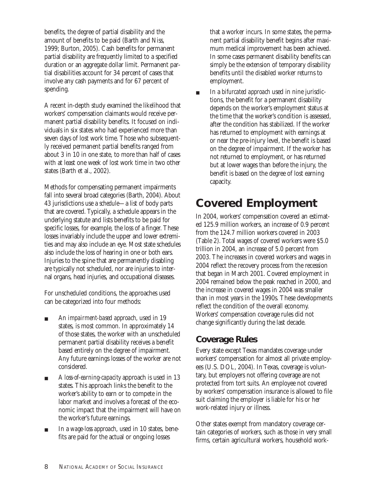benefits, the degree of partial disability and the amount of benefits to be paid (Barth and Niss, 1999; Burton, 2005). Cash benefits for permanent partial disability are frequently limited to a specified duration or an aggregate dollar limit. Permanent partial disabilities account for 34 percent of cases that involve any cash payments and for 67 percent of spending.

A recent in-depth study examined the likelihood that workers' compensation claimants would receive permanent partial disability benefits. It focused on individuals in six states who had experienced more than seven days of lost work time. Those who subsequently received permanent partial benefits ranged from about 3 in 10 in one state, to more than half of cases with at least one week of lost work time in two other states (Barth et al., 2002).

Methods for compensating permanent impairments fall into several broad categories (Barth, 2004). About 43 jurisdictions use a *schedule*—a list of body parts that are covered. Typically, a schedule appears in the underlying statute and lists benefits to be paid for specific losses, for example, the loss of a finger. These losses invariably include the upper and lower extremities and may also include an eye. Most state schedules also include the loss of hearing in one or both ears. Injuries to the spine that are permanently disabling are typically not scheduled, nor are injuries to internal organs, head injuries, and occupational diseases.

For unscheduled conditions, the approaches used can be categorized into four methods:

- An *impairment-based approach*, used in 19 states, is most common. In approximately 14 of those states, the worker with an unscheduled permanent partial disability receives a benefit based entirely on the degree of impairment. Any future earnings losses of the worker are not considered.
- A *loss-of-earning-capacity* approach is used in 13 states. This approach links the benefit to the worker's ability to earn or to compete in the labor market and involves a forecast of the economic impact that the impairment will have on the worker's future earnings.
- In a *wage-loss approach*, used in 10 states, benefits are paid for the actual or ongoing losses

that a worker incurs. In some states, the permanent partial disability benefit begins after maximum medical improvement has been achieved. In some cases permanent disability benefits can simply be the extension of temporary disability benefits until the disabled worker returns to employment.

■ In a *bifurcated approach* used in nine jurisdictions, the benefit for a permanent disability depends on the worker's employment status at the time that the worker's condition is assessed, after the condition has stabilized. If the worker has returned to employment with earnings at or near the pre-injury level, the benefit is based on the degree of impairment. If the worker has not returned to employment, or has returned but at lower wages than before the injury, the benefit is based on the degree of lost earning capacity.

# **Covered Employment**

In 2004, workers' compensation covered an estimated 125.9 million workers, an increase of 0.9 percent from the 124.7 million workers covered in 2003 (Table 2). Total wages of covered workers were \$5.0 trillion in 2004, an increase of 5.0 percent from 2003. The increases in covered workers and wages in 2004 reflect the recovery process from the recession that began in March 2001. Covered employment in 2004 remained below the peak reached in 2000, and the increase in covered wages in 2004 was smaller than in most years in the 1990s. These developments reflect the condition of the overall economy. Workers' compensation coverage rules did not change significantly during the last decade.

## **Coverage Rules**

Every state except Texas mandates coverage under workers' compensation for almost all private employees (U.S. DOL, 2004). In Texas, coverage is voluntary, but employers not offering coverage are not protected from tort suits. An employee not covered by workers' compensation insurance is allowed to file suit claiming the employer is liable for his or her work-related injury or illness.

Other states exempt from mandatory coverage certain categories of workers, such as those in very small firms, certain agricultural workers, household work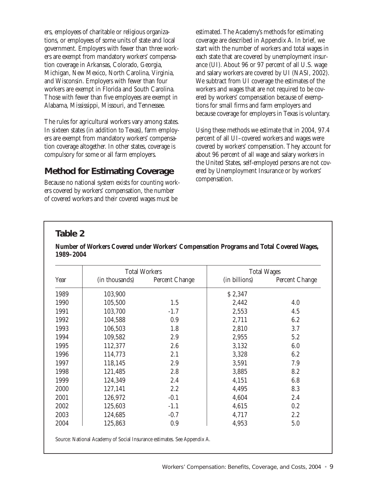ers, employees of charitable or religious organizations, or employees of some units of state and local government. Employers with fewer than three workers are exempt from mandatory workers' compensation coverage in Arkansas, Colorado, Georgia, Michigan, New Mexico, North Carolina, Virginia, and Wisconsin. Employers with fewer than four workers are exempt in Florida and South Carolina. Those with fewer than five employees are exempt in Alabama, Mississippi, Missouri, and Tennessee.

The rules for agricultural workers vary among states. In sixteen states (in addition to Texas), farm employers are exempt from mandatory workers' compensation coverage altogether. In other states, coverage is compulsory for some or all farm employers.

# **Method for Estimating Coverage**

Because no national system exists for counting workers covered by workers' compensation, the number of covered workers and their covered wages must be

estimated. The Academy's methods for estimating coverage are described in Appendix A. In brief, we start with the number of workers and total wages in each state that are covered by unemployment insurance (UI). About 96 or 97 percent of all U.S. wage and salary workers are covered by UI (NASI, 2002). We subtract from UI coverage the estimates of the workers and wages that are not required to be covered by workers' compensation because of exemptions for small firms and farm employers and because coverage for employers in Texas is voluntary.

Using these methods we estimate that in 2004, 97.4 percent of all UI–covered workers and wages were covered by workers' compensation. They account for about 96 percent of all wage and salary workers in the United States, self-employed persons are not covered by Unemployment Insurance or by workers' compensation.

## **Table 2**

**Number of Workers Covered under Workers' Compensation Programs and Total Covered Wages, 1989–2004**

|      |                | <b>Total Workers</b> |               | <b>Total Wages</b> |
|------|----------------|----------------------|---------------|--------------------|
| Year | (in thousands) | Percent Change       | (in billions) | Percent Change     |
| 1989 | 103,900        |                      | \$2,347       |                    |
| 1990 | 105,500        | 1.5                  | 2,442         | 4.0                |
| 1991 | 103,700        | $-1.7$               | 2,553         | 4.5                |
| 1992 | 104,588        | 0.9                  | 2,711         | 6.2                |
| 1993 | 106,503        | 1.8                  | 2,810         | 3.7                |
| 1994 | 109,582        | 2.9                  | 2,955         | 5.2                |
| 1995 | 112,377        | 2.6                  | 3,132         | 6.0                |
| 1996 | 114,773        | 2.1                  | 3,328         | 6.2                |
| 1997 | 118,145        | 2.9                  | 3,591         | 7.9                |
| 1998 | 121,485        | 2.8                  | 3,885         | 8.2                |
| 1999 | 124,349        | 2.4                  | 4,151         | 6.8                |
| 2000 | 127,141        | 2.2                  | 4,495         | 8.3                |
| 2001 | 126,972        | $-0.1$               | 4,604         | 2.4                |
| 2002 | 125,603        | $-1.1$               | 4,615         | 0.2                |
| 2003 | 124,685        | $-0.7$               | 4,717         | 2.2                |
| 2004 | 125,863        | 0.9                  | 4,953         | 5.0                |

Source: National Academy of Social Insurance estimates. See Appendix A.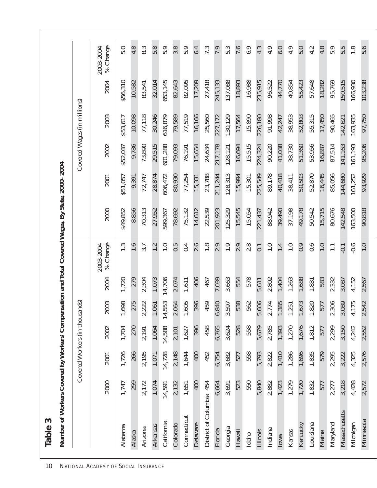$0.0$  $4.8$ 5.6  $3.8$  $5.9$  $6.9$  $4.9$  $5.0$  $5.9$ 5.5 % Change  $5.0$  $4.8$ 8.3 5.8  $5.9$  $7.3$ 7.9 5.3 7.6  $4.3$ 4.9  $4.2$  $1.8$ 2003-2004 2003-2004 2003-2004 2000 2001 2002 2003 2004 % Change 2000 2001 2002 2003 2004 % Change Alabama 1,747 1,726 1,704 1,698 1,720 1.3 \$49,852 \$51,057 \$52,037 \$53,617 \$56,310 5.0 Alaska 259 266 270 275 279 1.6 8,856 9,391 9,786 10,098 10,582 4.8 Arizona 2,172 2,195 2,191 2,222 2,304 3.7 70,313 72,747 73,890 77,118 83,541 8.3 Arkansas 1,074 1,071 1,064 1,061 1,073 1.2 27,952 28,874 29,515 30,246 32,014 5.8 California 14,591 14,728 14,588 14,553 14,706 1.0 | 599,367 606,472 601,288 616,879 653,145 5.9 Colorado 2,132 2,148 2,0101 2,064 2,074 0.5 78,692 80,930 79,093 79,589 82,643 3.8 Connecticut 1,651 1,644 1,627 1,605 1,611 0.4 77,132 77,254 76,191 77,519 82,095 5.9  $6.4$ Delaware 400 400 396 396 406 2.6 14,612 15,331 15,654 16,166 17,209 6.4 District of Columbia 454 452 458 459 467 1.8 22,539 23,788 24,634 25,560 27,418 7.3 Florida 6,664 6,754 6,765 6,840 7,039 2.9 201,923 211,244 217,178 227,172 245,133 7.9 Georgia 3,682 3,682 3,682 3,597 1.9 1.9 1.9 1.9 1.9 1.28,329 128,313 128,313 128,3129 130,129 5.3 Hawaii 523 527 528 538 554 2.9 15,545 15,994 16,694 17,564 18,893 7.6 Idaho 550 558 558 562 578 2.8 15,054 15,301 15,515 15,890 16,988 6.9 Illinois 5,840 5,793 5,679 5,606 5,611 0.1 221,437 225,549 224,324 226,180 235,915 4.3 Indiana 2,882 2,882 2,785 2,774 2,802 88,942 89,178 90,220 90,522 4.9 Iowa 1,423 1,410 1,393 1,385 1,404 1.4 | 39,490 40,418 41,038 42,247 44,770 6.0 Kansas 1,279 1,286 1,270 1,251 1,263 1.0 37,198 38,411 38,730 38,953 40,854 4.9 Kentucky 1,720 1,696 1,678 1,688 0.9 49,178 50,503 51,360 52,803 55,423 5.0 Louisiana 1,832 1,835 1,812 1,820 1,831 0.6 50,542 52,870 53,956 55,315 57,648 4.2 Maine 577 579 577 583 1.0 1.0577 15,715 16,445 16,887 17,450 18,282 4.8 Maryland 2,277 2,295 2,299 2,306 2,332 1.1 80,676 85,056 87,514 90,465 95,769 5.9 Massachusetts 3,218 3,222 3,150 3,087 -0.1 142,548 144,680 141,163 142,621 150,515 5.5 Michigan 4,428 4,325 4,242 4,175 4,152 -0.6 | 163,500 161,252 161,193 163,935 166,930 1.8 Minnesota 2,572 2,576 2,552 2,542 2,567 1.0 90,818 93,929 95,206 97,750 103,238 5.6\$56,310 653,145 83,541 82,643 82,095 17,209 27,418 245,133 137,088 16,988 235,915 96,522 44,770 57,648 95,769 150,515 2004 10,582 32,014 18,893 40,854 55,423 18,282 166,930 103,238 Covered Wages (in millions) Covered Workers (in thousands) Covered Wages (in millions) 77,118 616,879 226,180 163,935 97,750 2003 \$53,617 10,098 30,246 79,589 77,519 16,166 25,560 227,172 130,129 17,564 15,890 91,998 42,247 38,953 52,803 55,315 17,450 90,465 142,621 \$52,037 29,515 601,288 217,178 15,515 87,514 95,206 2002 224,324 41,038 53,956 141,163 9,786 73,890 79,093 76,191 24,634 128,121 16,694 90,220 38,730 51,360 16,887 161,193 15,654 **Number of Workers Covered by Workers' Compensation and Total Covered Wages, By State, 2000- 2004** Number of Workers Covered by Workers' Compensation and Total Covered Wages, By State, 2000-2004 128,313 225,549 306,472 23,788 211,244 89,178 40,418 52,870 16,445 161,252 93,929 \$51,057 72,747 77,254 15,994 15,301 38,411 50,503 85,056 2001 9,391 28,874 80,930 15,331 144,680 22,539 125,329 15,545 15,054 15,715 80,676 142,548 163,500 90,818 2000 \$49,852 70,313 599,367 75,132 14,612 201,923 221,437 88,942 39,490 37,198 49,178 50,542 8,856 27,952 78,692 2.6  $1.8$ 2.9  $1.9$ 2.9  $2.8$  $1.0$  $1.0$  $0.9$  $0.6$  $-0.6$  $0.1$ 2003-2004  $1.3$  $1.0$  $0.5$  $0.4\,$  $1.4$  $1.0$ % Change  $1.6$  $3.7$  $\sim$  $0.1$  $\Box$  $-0.1$ 2004 1,720 279 2,304 1,073 14,706 2,074 1,611 406 467 7,039 3,663 554 578 5,611 2,802 1,404 1,263 1,688 583 2,332 3,087 4,152 1,831 2,567 14,553 6,840 4,175 Covered Workers (in thousands) 2003 1,698 275 2,222 2,064 1,605 396 459 3,597 538 562 5,606 2,774 1,385 1,673 1,820 2,306 3,089 2,542 1,251 577 1,061 14,588 458 6,765 3,624 558 5,679 1,812 2,299 4,242 2,552 2002 1,704 270 1,627 396 528 2,785 1,393 1,270 1,676 3,150 2,191 1,064 2,101 577 14,728 2,148 1,644 452 558 1,410 1,835 579 4,325 2,576 1,726 266 2,195 400 6,754 3,682 527 5,793 2,822 1,286 1,696 2,295 3,222 2001 1,071 2000 259 2,172 400 523 550 5,840 2,882 1,279 3,218 2,572 1,747 1,074 14,591 2,132 1,651 District of Columbia 454 6,664 3,691 1,423 1,720 1,832 577 2,277 4,428 Massachusetts Connecticut **Table 3** Minnesota California Louisiana Maryland Michigan Colorado Delaware Kentucky Arkansas Alabama Georgia Arizona Indiana Florida Maine Hawaii Alaska Illinois Kansas Idaho Iowa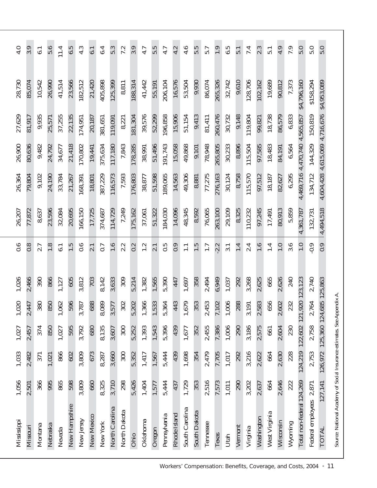|                      | 1,033<br>2,482 | 1,027 | 020            | 1,026       | 0.6              | 26,207    | 26,364    | 26,900    | 27,629    | 28,730      | 4.0  |
|----------------------|----------------|-------|----------------|-------------|------------------|-----------|-----------|-----------|-----------|-------------|------|
|                      | 2,457          |       | ,447<br>$\sim$ | 2,466       | $\overline{0.8}$ | 77,872    | 79,804    | 80,636    | 81,917    | 85,074      | 3.9  |
|                      | 374            |       | 380            | 390         | 2.7              | 8,637     | 9,102     | 9,482     | 9,935     | 10,542      | 6.1  |
|                      | 850            |       | 850            | 866         | $\frac{8}{10}$   | 23,596    | 24,190    | 24,792    | 25,571    | 26,990      | 5.6  |
|                      | 1,027          |       | 062            | 1,127       | 6.1              | 32,084    | 33,784    | 34,677    | 37,255    | 41,514      | 11.4 |
|                      | 595            |       | 596            | 605         | 1.5              | 20,695    | 21,267    | 21,418    | 22,135    | 23,566      | 6.5  |
|                      | 3,792          |       | 787<br>က်      | 3,812       | 0.6              | 166,150   | 168,391   | 170,802   | 174,951   | 182,512     | 4.3  |
|                      | 680            |       | 688            | 703         | 2.1              | 17,725    | 18,801    | 19,441    | 20,187    | 21,420      | 6.1  |
| $\infty$             | 8,135          |       | 089            | 8,142       | 0.7              | 374,687   | 387,229   | 375,634   | 381,651   | 405,898     | 6.4  |
| ကဲ                   | 3,607          |       | 577            | 3,633       | 1.6              | 114,729   | 116,573   | 117,180   | 119,091   | 125,399     | 5.3  |
|                      | 300            |       | 302            | 309         | 2.2              | 7,249     | 7,593     | 7,843     | 8,221     | 8,811       | 7.2  |
| 5                    | 5,252          |       | 202            | 5,214       | 0.2              | 175,162   | 176,803   | 178,285   | 181,304   | 188,314     | 3.9  |
|                      | 1,393          |       | 366            | 1,382       | 1.2              | 37,061    | 38,877    | 38,991    | 39,576    | 41,442      | 4.7  |
|                      | 1,543          |       | 533            | 1,565       | 2.1              | 51,322    | 51,598    | 51,496    | 52,299    | 55,191      | 5.5  |
| ້                    | 5,396          |       | 364            | 5,390       | 0.5              | 184,030   | 189,065   | 191,743   | 196,858   | 206,104     | 4.7  |
|                      | 439            |       | 443            | 447         | 0.9              | 14,096    | 14,563    | 15,058    | 15,906    | 16,576      | 4.2  |
| 679                  | 1,677          |       |                | 1,697       | $\Xi$            | 48,345    | 49,306    | 49,868    | 51,154    | 53,504      | 4.6  |
| 353                  | 352            |       |                | 358         | 1.5              | 8,592     | 8,881     | 9,101     | 9,413     | 9,930       | 5.5  |
| 453<br>$\mathcal{L}$ | 2,455          |       |                | 2,494       | 1.7              | 76,065    | 77,275    | 78,948    | 81,411    | 86,074      | 5.7  |
| 7,102                | 7,386          |       |                | 6,949       | 2.2              | 263,100   | 276,163   | 265,805   | 260,476   | 265,326     | 0.1  |
|                      | 1,006          |       | ,006           | 1,037       | 3.1              | 29,109    | 30,124    | 30,233    | 30,732    | 32,742      | 6.5  |
|                      | 290            |       | 288            | 292         | 1.4              | 8,325     | 8,758     | 8,896     | 9,148     | 9,610       | 5.1  |
| က                    | 3,186          |       | 191            | 3,268       | 2.4              | 110,232   | 115,570   | 115,504   | 119,804   | 128,706     | 7.4  |
| $\sim$               | 2,575          |       | 583            | 2,625       | $\ddot{1.6}$     | 97,245    | 97,512    | 97,585    | 99,821    | 102,162     | 2.3  |
|                      | 661            |       | 656            | 665         | 1.4              | 17,491    | 18,187    | 18,483    | 18,738    | 19,689      | 5.1  |
| $\sim$               | 2,604          |       | .602           | 2,626       | 0.1              | 80,913    | 82,627    | 84,191    | 86,579    | 90,812      | 4.9  |
|                      | 230            |       | 232            | 240         | 3.6              | 5,859     | 6,295     | 6,564     | 6,833     | 7,373       | 7.9  |
| 121.                 | 122,602        |       | .920           | 123,123     | 0:1              | 4,361,787 | 4,469,716 | 4,470,740 | 4,565,857 | \$4,796,160 | 5.0  |
| $\mathcal{L}$        | 2,758          |       | 764            | 2,740       | $-0.9$           | 132,731   | 134,712   | 144,329   | 150,819   | \$158,294   | 5.0  |
|                      | 125,360 124,   |       |                | 685 125,863 | 0.9              | 4,494,518 | 4,604,428 | 4,615,069 | 4,716,676 | \$4,953,089 | 5.0  |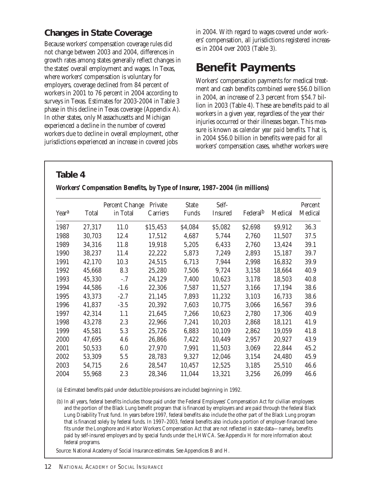# **Changes in State Coverage**

Because workers' compensation coverage rules did not change between 2003 and 2004, differences in growth rates among states generally reflect changes in the states' overall employment and wages. In Texas, where workers' compensation is voluntary for employers, coverage declined from 84 percent of workers in 2001 to 76 percent in 2004 according to surveys in Texas. Estimates for 2003-2004 in Table 3 phase in this decline in Texas coverage (Appendix A). In other states, only Massachusetts and Michigan experienced a decline in the number of covered workers due to decline in overall employment, other jurisdictions experienced an increase in covered jobs

in 2004. With regard to wages covered under workers' compensation, all jurisdictions registered increases in 2004 over 2003 (Table 3).

# **Benefit Payments**

Workers' compensation payments for medical treatment and cash benefits combined were \$56.0 billion in 2004, an increase of 2.3 percent from \$54.7 billion in 2003 (Table 4). These are benefits paid to all workers in a given year, regardless of the year their injuries occurred or their illnesses began. This measure is known as *calendar year paid benefits*. That is, in 2004 \$56.0 billion in benefits were paid for all workers' compensation cases, whether workers were

## **Table 4**

#### **Workers' Compensation Benefits, by Type of Insurer, 1987–2004 (in millions)**

| Yeara | Total  | Percent Change<br>in Total | Private<br>Carriers | <b>State</b><br>Funds | Self-<br><b>Insured</b> | Federal <sup>b</sup> | Medical | Percent<br>Medical |
|-------|--------|----------------------------|---------------------|-----------------------|-------------------------|----------------------|---------|--------------------|
| 1987  | 27,317 | 11.0                       | \$15,453            | \$4,084               | \$5,082                 | \$2,698              | \$9,912 | 36.3               |
| 1988  | 30,703 | 12.4                       | 17,512              | 4,687                 | 5,744                   | 2,760                | 11,507  | 37.5               |
| 1989  | 34,316 | 11.8                       | 19,918              | 5,205                 | 6,433                   | 2,760                | 13,424  | 39.1               |
| 1990  | 38,237 | 11.4                       | 22,222              | 5,873                 | 7,249                   | 2,893                | 15,187  | 39.7               |
| 1991  | 42,170 | 10.3                       | 24,515              | 6,713                 | 7,944                   | 2,998                | 16,832  | 39.9               |
| 1992  | 45,668 | 8.3                        | 25,280              | 7,506                 | 9,724                   | 3,158                | 18,664  | 40.9               |
| 1993  | 45,330 | $-.7$                      | 24,129              | 7,400                 | 10,623                  | 3,178                | 18,503  | 40.8               |
| 1994  | 44,586 | $-1.6$                     | 22,306              | 7,587                 | 11,527                  | 3,166                | 17,194  | 38.6               |
| 1995  | 43,373 | $-2.7$                     | 21,145              | 7,893                 | 11,232                  | 3,103                | 16,733  | 38.6               |
| 1996  | 41,837 | $-3.5$                     | 20,392              | 7,603                 | 10,775                  | 3,066                | 16,567  | 39.6               |
| 1997  | 42,314 | 1.1                        | 21,645              | 7,266                 | 10,623                  | 2,780                | 17,306  | 40.9               |
| 1998  | 43,278 | 2.3                        | 22,966              | 7,241                 | 10,203                  | 2,868                | 18,121  | 41.9               |
| 1999  | 45,581 | 5.3                        | 25,726              | 6,883                 | 10,109                  | 2,862                | 19,059  | 41.8               |
| 2000  | 47,695 | 4.6                        | 26,866              | 7,422                 | 10,449                  | 2,957                | 20,927  | 43.9               |
| 2001  | 50,533 | 6.0                        | 27,970              | 7,991                 | 11,503                  | 3,069                | 22,844  | 45.2               |
| 2002  | 53,309 | 5.5                        | 28,783              | 9,327                 | 12,046                  | 3,154                | 24,480  | 45.9               |
| 2003  | 54,715 | 2.6                        | 28,547              | 10,457                | 12,525                  | 3,185                | 25,510  | 46.6               |
| 2004  | 55,968 | 2.3                        | 28,346              | 11,044                | 13,321                  | 3,256                | 26,099  | 46.6               |

(a) Estimated benefits paid under deductible provisions are included beginning in 1992.

(b) In all years, federal benefits includes those paid under the Federal Employees' Compensation Act for civilian employees and the portion of the Black Lung benefit program that is financed by employers and are paid through the federal Black Lung Disability Trust fund. In years before 1997, federal benefits also include the other part of the Black Lung program that is financed solely by federal funds. In 1997–2003, federal benefits also include a portion of employer-financed benefits under the Longshore and Harbor Workers Compensation Act that are not reflected in state data—namely, benefits paid by self-insured employers and by special funds under the LHWCA. See Appendix H for more information about federal programs.

Source: National Academy of Social Insurance estimates. See Appendices B and H.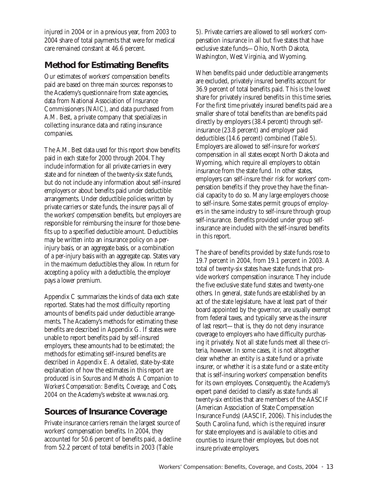injured in 2004 or in a previous year, from 2003 to 2004 share of total payments that were for medical care remained constant at 46.6 percent.

# **Method for Estimating Benefits**

Our estimates of workers' compensation benefits paid are based on three main sources: responses to the Academy's questionnaire from state agencies, data from National Association of Insurance Commissioners (NAIC), and data purchased from A.M. Best, a private company that specializes in collecting insurance data and rating insurance companies.

The A.M. Best data used for this report show benefits paid in each state for 2000 through 2004. They include information for all private carriers in every state and for nineteen of the twenty-six state funds, but do not include any information about self-insured employers or about benefits paid under deductible arrangements. Under deductible policies written by private carriers or state funds, the insurer pays all of the workers' compensation benefits, but employers are responsible for reimbursing the insurer for those benefits up to a specified deductible amount. Deductibles may be written into an insurance policy on a perinjury basis, or an aggregate basis, or a combination of a per-injury basis with an aggregate cap. States vary in the maximum deductibles they allow. In return for accepting a policy with a deductible, the employer pays a lower premium.

Appendix C summarizes the kinds of data each state reported. States had the most difficulty reporting amounts of benefits paid under deductible arrangements. The Academy's methods for estimating these benefits are described in Appendix G. If states were unable to report benefits paid by self-insured employers, these amounts had to be estimated; the methods for estimating self-insured benefits are described in Appendix E. A detailed, state-by-state explanation of how the estimates in this report are produced is in *Sources and Methods: A Companion to Workers' Compensation: Benefits, Coverage, and Costs, 2004* on the Academy's website at www.nasi.org.

# **Sources of Insurance Coverage**

Private insurance carriers remain the largest source of workers' compensation benefits. In 2004, they accounted for 50.6 percent of benefits paid, a decline from 52.2 percent of total benefits in 2003 (Table

5). Private carriers are allowed to sell workers' compensation insurance in all but five states that have exclusive state funds—Ohio, North Dakota, Washington, West Virginia, and Wyoming.

When benefits paid under deductible arrangements are excluded, privately insured benefits account for 36.9 percent of total benefits paid. This is the lowest share for privately insured benefits in this time series. For the first time privately insured benefits paid are a smaller share of total benefits than are benefits paid directly by employers (38.4 percent) through selfinsurance (23.8 percent) and employer paid deductibles (14.6 percent) combined (Table 5). Employers are allowed to self-insure for workers' compensation in all states except North Dakota and Wyoming, which require all employers to obtain insurance from the state fund. In other states, employers can self-insure their risk for workers' compensation benefits if they prove they have the financial capacity to do so. Many large employers choose to self-insure. Some states permit groups of employers in the same industry to self-insure through group self-insurance. Benefits provided under group selfinsurance are included with the self-insured benefits in this report.

The share of benefits provided by state funds rose to 19.7 percent in 2004, from 19.1 percent in 2003. A total of twenty-six states have state funds that provide workers' compensation insurance. They include the five exclusive state fund states and twenty-one others. In general, state funds are established by an act of the state legislature, have at least part of their board appointed by the governor, are usually exempt from federal taxes, and typically serve as the insurer of last resort—that is, they do not deny insurance coverage to employers who have difficulty purchasing it privately. Not all state funds meet all these criteria, however. In some cases, it is not altogether clear whether an entity is a state fund or a private insurer, or whether it is a state fund or a state entity that is self-insuring workers' compensation benefits for its own employees. Consequently, the Academy's expert panel decided to classify as state funds all twenty-six entities that are members of the AASCIF (American Association of State Compensation Insurance Funds) (AASCIF, 2006). This includes the South Carolina fund, which is the required insurer for state employees and is available to cities and counties to insure their employees, but does not insure private employers.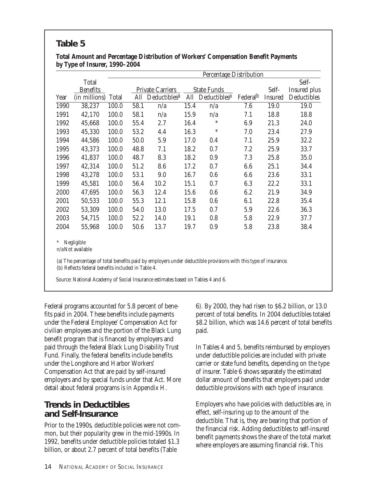# **Table 5**

|      |               |              |      |                          |      | <b>Percentage Distribution</b> |                      |                |              |
|------|---------------|--------------|------|--------------------------|------|--------------------------------|----------------------|----------------|--------------|
|      | Total         |              |      |                          |      |                                |                      |                | Self-        |
|      | Benefits      |              |      | <b>Private Carriers</b>  |      | <b>State Funds</b>             |                      | Self-          | Insured plus |
| Year | (in millions) | <b>Total</b> | All  | Deductibles <sup>a</sup> | All  | Deductibles <sup>a</sup>       | Federal <sup>b</sup> | <b>Insured</b> | Deductibles  |
| 1990 | 38,237        | 100.0        | 58.1 | n/a                      | 15.4 | n/a                            | 7.6                  | 19.0           | 19.0         |
| 1991 | 42,170        | 100.0        | 58.1 | n/a                      | 15.9 | n/a                            | 7.1                  | 18.8           | 18.8         |
| 1992 | 45,668        | 100.0        | 55.4 | 2.7                      | 16.4 | $\ast$                         | 6.9                  | 21.3           | 24.0         |
| 1993 | 45,330        | 100.0        | 53.2 | 4.4                      | 16.3 | $\ast$                         | 7.0                  | 23.4           | 27.9         |
| 1994 | 44,586        | 100.0        | 50.0 | 5.9                      | 17.0 | 0.4                            | 7.1                  | 25.9           | 32.2         |
| 1995 | 43,373        | 100.0        | 48.8 | 7.1                      | 18.2 | 0.7                            | 7.2                  | 25.9           | 33.7         |
| 1996 | 41,837        | 100.0        | 48.7 | 8.3                      | 18.2 | 0.9                            | 7.3                  | 25.8           | 35.0         |
| 1997 | 42,314        | 100.0        | 51.2 | 8.6                      | 17.2 | 0.7                            | 6.6                  | 25.1           | 34.4         |
| 1998 | 43,278        | 100.0        | 53.1 | 9.0                      | 16.7 | 0.6                            | 6.6                  | 23.6           | 33.1         |
| 1999 | 45,581        | 100.0        | 56.4 | 10.2                     | 15.1 | 0.7                            | 6.3                  | 22.2           | 33.1         |
| 2000 | 47,695        | 100.0        | 56.3 | 12.4                     | 15.6 | 0.6                            | 6.2                  | 21.9           | 34.9         |
| 2001 | 50,533        | 100.0        | 55.3 | 12.1                     | 15.8 | 0.6                            | 6.1                  | 22.8           | 35.4         |
| 2002 | 53,309        | 100.0        | 54.0 | 13.0                     | 17.5 | 0.7                            | 5.9                  | 22.6           | 36.3         |
| 2003 | 54,715        | 100.0        | 52.2 | 14.0                     | 19.1 | 0.8                            | 5.8                  | 22.9           | 37.7         |
| 2004 | 55,968        | 100.0        | 50.6 | 13.7                     | 19.7 | 0.9                            | 5.8                  | 23.8           | 38.4         |

#### **Total Amount and Percentage Distribution of Workers' Compensation Benefit Payments by Type of Insurer, 1990–2004**

Negligible

n/aNot available

(a) The percentage of total benefits paid by employers under deductible provisions with this type of insurance. (b) Reflects federal benefits included in Table 4.

Source: National Academy of Social Insurance estimates based on Tables 4 and 6.

Federal programs accounted for 5.8 percent of benefits paid in 2004. These benefits include payments under the Federal Employee' Compensation Act for civilian employees and the portion of the Black Lung benefit program that is financed by employers and paid through the federal Black Lung Disability Trust Fund. Finally, the federal benefits include benefits under the Longshore and Harbor Workers' Compensation Act that are paid by self-insured employers and by special funds under that Act. More detail about federal programs is in Appendix H.

## **Trends in Deductibles and Self-Insurance**

Prior to the 1990s, deductible policies were not common, but their popularity grew in the mid-1990s. In 1992, benefits under deductible policies totaled \$1.3 billion, or about 2.7 percent of total benefits (Table

6). By 2000, they had risen to \$6.2 billion, or 13.0 percent of total benefits. In 2004 deductibles totaled \$8.2 billion, which was 14.6 percent of total benefits paid.

In Tables 4 and 5, benefits reimbursed by employers under deductible policies are included with private carrier or state fund benefits, depending on the type of insurer. Table 6 shows separately the estimated dollar amount of benefits that employers paid under deductible provisions with each type of insurance.

Employers who have policies with deductibles are, in effect, self-insuring up to the amount of the deductible. That is, they are bearing that portion of the financial risk. Adding deductibles to self-insured benefit payments shows the share of the total market where employers are assuming financial risk. This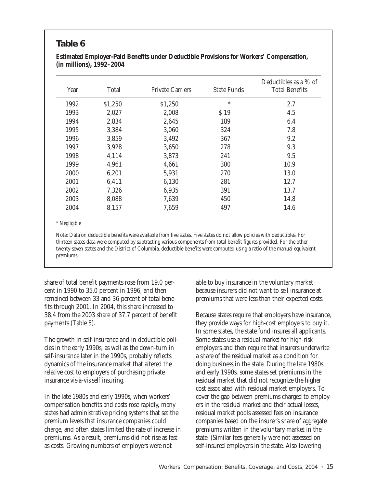## **Table 6**

| Year | <b>Total</b> | <b>Private Carriers</b> | <b>State Funds</b> | Deductibles as a % of<br><b>Total Benefits</b> |
|------|--------------|-------------------------|--------------------|------------------------------------------------|
| 1992 | \$1,250      | \$1,250                 | $\ast$             | 2.7                                            |
| 1993 | 2,027        | 2,008                   | \$19               | 4.5                                            |
| 1994 | 2,834        | 2,645                   | 189                | 6.4                                            |
| 1995 | 3,384        | 3,060                   | 324                | 7.8                                            |
| 1996 | 3,859        | 3,492                   | 367                | 9.2                                            |
| 1997 | 3,928        | 3,650                   | 278                | 9.3                                            |
| 1998 | 4,114        | 3,873                   | 241                | 9.5                                            |
| 1999 | 4,961        | 4,661                   | 300                | 10.9                                           |
| 2000 | 6,201        | 5,931                   | 270                | 13.0                                           |
| 2001 | 6,411        | 6,130                   | 281                | 12.7                                           |
| 2002 | 7,326        | 6.935                   | 391                | 13.7                                           |
| 2003 | 8,088        | 7,639                   | 450                | 14.8                                           |
| 2004 | 8,157        | 7.659                   | 497                | 14.6                                           |

#### **Estimated Employer-Paid Benefits under Deductible Provisions for Workers' Compensation, (in millions), 1992–2004**

#### \* Negligible

Note: Data on deductible benefits were available from five states. Five states do not allow policies with deductibles. For thirteen states data were computed by subtracting various components from total benefit figures provided. For the other twenty-seven states and the District of Columbia, deductible benefits were computed using a ratio of the manual equivalent premiums.

share of total benefit payments rose from 19.0 percent in 1990 to 35.0 percent in 1996, and then remained between 33 and 36 percent of total benefits through 2001. In 2004, this share increased to 38.4 from the 2003 share of 37.7 percent of benefit payments (Table 5).

The growth in self-insurance and in deductible policies in the early 1990s, as well as the down-turn in self-insurance later in the 1990s, probably reflects dynamics of the insurance market that altered the relative cost to employers of purchasing private insurance *vis-à-vis* self insuring.

In the late 1980s and early 1990s, when workers' compensation benefits and costs rose rapidly, many states had administrative pricing systems that set the premium levels that insurance companies could charge, and often states limited the rate of increase in premiums. As a result, premiums did not rise as fast as costs. Growing numbers of employers were not

able to buy insurance in the voluntary market because insurers did not want to sell insurance at premiums that were less than their expected costs.

Because states require that employers have insurance, they provide ways for high-cost employers to buy it. In some states, the state fund insures all applicants. Some states use a *residual market* for high-risk employers and then require that insurers underwrite a share of the residual market as a condition for doing business in the state. During the late 1980s and early 1990s, some states set premiums in the residual market that did not recognize the higher cost associated with residual market employers. To cover the gap between premiums charged to employers in the residual market and their actual losses, residual market pools assessed fees on insurance companies based on the insurer's share of aggregate premiums written in the voluntary market in the state. (Similar fees generally were not assessed on self-insured employers in the state. Also lowering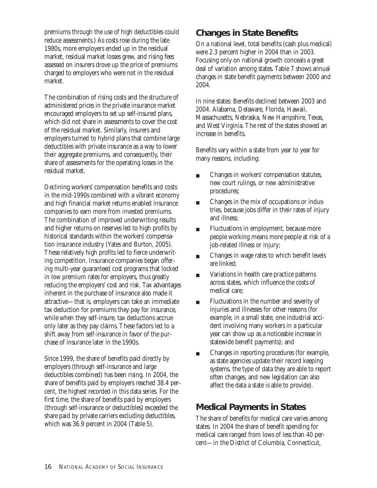premiums through the use of high deductibles could reduce assessments.) As costs rose during the late 1980s, more employers ended up in the residual market, residual market losses grew, and rising fees assessed on insurers drove up the price of premiums charged to employers who were not in the residual market.

The combination of rising costs and the structure of administered prices in the private insurance market encouraged employers to set up self-insured plans, which did not share in assessments to cover the cost of the residual market. Similarly, insurers and employers turned to hybrid plans that combine large deductibles with private insurance as a way to lower their aggregate premiums, and consequently, their share of assessments for the operating losses in the residual market.

Declining workers' compensation benefits and costs in the mid-1990s combined with a vibrant economy and high financial market returns enabled insurance companies to earn more from invested premiums. The combination of improved underwriting results and higher returns on reserves led to high profits by historical standards within the workers' compensation insurance industry (Yates and Burton, 2005). These relatively high profits led to fierce underwriting competition. Insurance companies began offering multi-year guaranteed cost programs that locked in low premium rates for employers, thus greatly reducing the employers' cost and risk. Tax advantages inherent in the purchase of insurance also made it attractive—that is, employers can take an immediate tax deduction for premiums they pay for insurance, while when they self-insure, tax deductions accrue only later as they pay claims. These factors led to a shift away from self-insurance in favor of the purchase of insurance later in the 1990s.

Since 1999, the share of benefits paid directly by employers (through self-insurance and large deductibles combined) has been rising. In 2004, the share of benefits paid by employers reached 38.4 percent, the highest recorded in this data series. For the first time, the share of benefits paid by employers (through self-insurance or deductibles) exceeded the share paid by private carriers excluding deductibles, which was 36.9 percent in 2004 (Table 5).

# **Changes in State Benefits**

On a national level, total benefits (cash plus medical) were 2.3 percent higher in 2004 than in 2003. Focusing only on national growth conceals a great deal of variation among states. Table 7 shows annual changes in state benefit payments between 2000 and 2004.

In nine states: Benefits declined between 2003 and 2004. Alabama, Delaware, Florida, Hawaii, Massachusetts, Nebraska, New Hampshire, Texas, and West Virginia. The rest of the states showed an increase in benefits.

Benefits vary within a state from year to year for many reasons, including:

- Changes in workers' compensation statutes, new court rulings, or new administrative procedures;
- Changes in the mix of occupations or industries, because jobs differ in their rates of injury and illness;
- Fluctuations in employment, because more people working means more people at risk of a job-related illness or injury;
- Changes in wage rates to which benefit levels are linked;
- Variations in health care practice patterns across states, which influence the costs of medical care;
- Fluctuations in the number and severity of injuries and illnesses for other reasons (for example, in a small state, one industrial accident involving many workers in a particular year can show up as a noticeable increase in statewide benefit payments); and
- Changes in reporting procedures (for example, as state agencies update their record keeping systems, the type of data they are able to report often changes, and new legislation can also affect the data a state is able to provide).

# **Medical Payments in States**

The share of benefits for medical care varies among states. In 2004 the share of benefit spending for medical care ranged from lows of less than 40 percent—in the District of Columbia, Connecticut,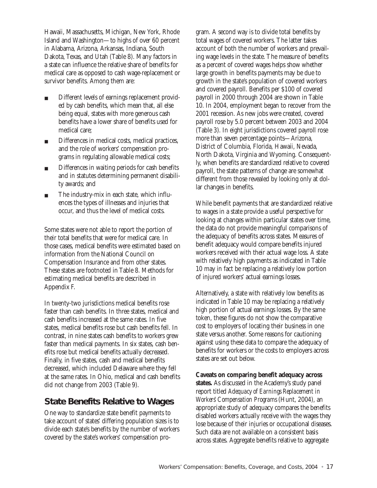Hawaii, Massachusetts, Michigan, New York, Rhode Island and Washington—to highs of over 60 percent in Alabama, Arizona, Arkansas, Indiana, South Dakota, Texas, and Utah (Table 8). Many factors in a state can influence the relative share of benefits for medical care as opposed to cash wage-replacement or survivor benefits. Among them are:

- Different levels of earnings replacement provided by cash benefits, which mean that, all else being equal, states with more generous cash benefits have a lower share of benefits used for medical care;
- Differences in medical costs, medical practices, and the role of workers' compensation programs in regulating allowable medical costs;
- Differences in waiting periods for cash benefits and in statutes determining permanent disability awards; and
- The industry-mix in each state, which influences the types of illnesses and injuries that occur, and thus the level of medical costs.

Some states were not able to report the portion of their total benefits that were for medical care. In those cases, medical benefits were estimated based on information from the National Council on Compensation Insurance and from other states. These states are footnoted in Table 8. Methods for estimating medical benefits are described in Appendix F.

In twenty-two jurisdictions medical benefits rose faster than cash benefits. In three states, medical and cash benefits increased at the same rates. In five states, medical benefits rose but cash benefits fell. In contrast, in nine states cash benefits to workers grew faster than medical payments. In six states, cash benefits rose but medical benefits actually decreased. Finally, in five states, cash and medical benefits decreased, which included Delaware where they fell at the same rates. In Ohio, medical and cash benefits did not change from 2003 (Table 9).

# **State Benefits Relative to Wages**

One way to standardize state benefit payments to take account of states' differing population sizes is to divide each state's benefits by the number of workers covered by the state's workers' compensation program. A second way is to divide total benefits by total wages of covered workers. The latter takes account of both the number of workers and prevailing wage levels in the state. The measure of benefits as a percent of covered wages helps show whether large growth in benefits payments may be due to growth in the state's population of covered workers and covered payroll. Benefits per \$100 of covered payroll in 2000 through 2004 are shown in Table 10. In 2004, employment began to recover from the 2001 recession. As new jobs were created, covered payroll rose by 5.0 percent between 2003 and 2004 (Table 3). In eight jurisdictions covered payroll rose more than seven percentage points—Arizona, District of Columbia, Florida, Hawaii, Nevada, North Dakota, Virginia and Wyoming. Consequently, when benefits are standardized relative to covered payroll, the state patterns of change are somewhat different from those revealed by looking only at dollar changes in benefits.

While benefit payments that are standardized relative to wages in a state provide a useful perspective for looking at changes within particular states over time, the data do not provide meaningful comparisons of the adequacy of benefits across states. Measures of benefit adequacy would compare benefits injured workers received with their actual wage loss. A state with relatively high payments as indicated in Table 10 may in fact be replacing a relatively low portion of injured workers' actual earnings losses.

Alternatively, a state with relatively low benefits as indicated in Table 10 may be replacing a relatively high portion of actual earnings losses. By the same token, these figures do not show the comparative cost to employers of locating their business in one state versus another. Some reasons for cautioning against using these data to compare the adequacy of benefits for workers or the costs to employers across states are set out below.

**Caveats on comparing benefit adequacy across states.** As discussed in the Academy's study panel report titled *Adequacy of Earnings Replacement in Workers' Compensation Programs* (Hunt, 2004), an appropriate study of adequacy compares the benefits disabled workers actually receive with the wages they lose because of their injuries or occupational diseases. Such data are not available on a consistent basis across states. Aggregate benefits relative to aggregate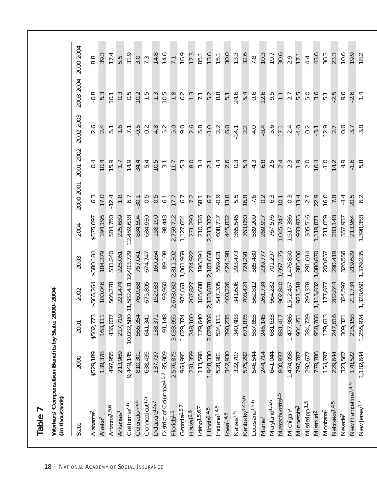| Table                                                        |           |            |           |                    |            |                       |                  |                 |                  |                 |
|--------------------------------------------------------------|-----------|------------|-----------|--------------------|------------|-----------------------|------------------|-----------------|------------------|-----------------|
| Workers' Compensation Benefits by State, 2<br>(in thousands) |           |            | 000-2004  |                    |            |                       |                  |                 |                  |                 |
| <b>State</b>                                                 | 2000      | 2001       | 2002      | 2003               | 2004       | 2000-2001             | 2001-2002        | 2002-2003       | 2003-2004        | 2000-2004       |
| Alabama <sup>2</sup>                                         | \$529,189 | \$562,773  | \$565,264 | \$580,184          | \$575,697  | 6.3                   | 0.4              | 2.6             | $-0.8$           | 8.8             |
| Alaska <sup>2</sup>                                          | 139,378   | 163,111    | 180,046   | 184,379            | 194,195    | 17.0                  | 10.4             | 2.4             | 5.3              | 39.3            |
| Arizona <sup>1,5,6</sup>                                     | 497,955   | 436,037    | 505,278   | 531,240            | 584,750    | $-12.4$               | 15.9             | 5.1             | 10.1             | 17.4            |
| Arkansas <sup>1</sup>                                        | 213,969   | 217,719    | 221,474   | 225,061            | 225,689    | 1.8                   | 1.7              | 1.6             | 0.3              | 5.5             |
| California <sup>2,6</sup>                                    | 9,449,145 | 10,082,580 | $\equiv$  | ,582,43112,403,729 | 12,459,638 | 6.7                   | 14.9             | 71              | 0.5              | 31.9            |
| Colorado <sup>1,5,6</sup>                                    | 810,301   | 566,354    | 760,958   | 757,041            | 834,594    | 30.1                  | 34.4             | $0.5^{\circ}$   | 10.2             | 3.0             |
| Connecticut <sup>1,5</sup>                                   | 638,435   | 641,341    | 675,895   | 674,747            | 684,930    | 0.5                   | 5.4              | $-0.2$          | 1.5              | 7.3             |
| Delaware <sup>1,5,7</sup>                                    | 137,737   | 138,371    | 152,933   | 160,264            | 158,190    | 0.5                   | 0.5              | 4.8             | $-1.3$           | 14.8            |
| District of Columbia <sup>1,5,7</sup> 85,909                 |           | 91,148     | 93,960    | 89,108             | 98,443     | $\overline{6.1}$      | 3.1              | 5.2             | 10.5             | 14.6            |
| Florida <sup>1,5</sup>                                       | 2,576,875 | 3,033,955  | 2,678,082 | 2,811,302          | 2,759,712  | 17.7                  | 1.7              | 5.0             | $-1.8$           | $\overline{71}$ |
| Georgia <sup>1,5,7</sup>                                     | 964,995   | 1,029,374  | 974,661   | 1,061,969          | 1,127,654  | 6.7                   | 5.3              | 9.0             | 6.2              | 16.9            |
| Hawaii <sup>2,6</sup>                                        | 231,359   | 248,100    | 267,827   | 274,922            | 271,290    | 7.2                   | $\overline{8.0}$ | 2.6             | $-1.3$           | 17.3            |
| $\rm Idaho^{1,5,6,7}$                                        | 113,598   | 179,640    | 185,688   | 196,394            | 210,326    | 58.1                  | 3.4              | 5.8             | 7.1              | 85.1            |
| Illinois <sup>1,4,5</sup>                                    | 1,948,330 | 2,079,768  | 2,123,878 | 2,103,658          | 2,213,372  | 6.7                   | $\overline{2.1}$ | $-1.0$          | 5.2              | 13.6            |
| Indiana $1,4,5$                                              | 528,901   | 524,111    | 547,305   | 559,421            | 608,717    | $-0.9$                | 4.4              | 2.2             | 8.8              | 15.1            |
| $Iowa1,4,5$                                                  | 342,930   | 390,235    | 400,226   | 424,198            | 445,832    | 13.8                  | 2.6              | 0.0             | $\overline{5}$ . | 30.0            |
| Kansas <sup>1,5</sup>                                        | 322,707   | 340,483    | 341,606   | 293,473            | 365,546    | 5.5                   | 0.3              | $-14.1$         | 24.6             | 13.3            |
| Kentucky <sup>1,4,5,6</sup>                                  | 575,292   | 671,875    | 708,424   | 724,291            | 763,050    | 16.8                  | 5.4              | 2.2             | 5.4              | 32.6            |
| Louisiana <sup>1,5,6</sup>                                   | 546,544   | 587,855    | 562,812   | 585,480            | 589,209    | 7.6                   | $-4.3$           | 4.0             | 0.6              | 7.8             |
| Maine <sup>1</sup>                                           | 244,714   | 245,145    | 261,734   | 239,777            | 269,917    | 0.2                   | 6.8              | $-8.4$          | 2.6              | 10.3            |
| Maryland <sup>1,5,6</sup>                                    | 641,044   | 681,633    | 664,282   | 701,297            | 767,576    | 6.3                   | $-2.5$           | 5.6             | 9.5              | 19.7            |
| Massachusetts <sup>1,5</sup>                                 | 800,837   | 881,417    | 902,840   | .,057,175          | ,045,747   | $\overline{\text{O}}$ | 2.4              | $\overline{71}$ |                  | 30.6            |
| Michigan <sup>2</sup>                                        | 1,474,058 | 1,477,986  | 512,457   | 1,476,850          | 1,517,386  | 0.3                   | 2.3              | $-2.4$          | 2.7              | 2.9             |
| Minnesota <sup>3</sup>                                       | 797,787   | 904,451    | 921,518   | 885,006            | 933,975    | 3.4                   | 1.9              | $-4.0$          | 5.5              | 17.             |
| Mississippi <sup>1,5</sup>                                   | 292,677   | 284,729    | 290,378   | 291,014            | 305,516    | $-2.7$                | 2.0              | 0.2             | 5.0              | 4.4             |
| Missouri <sup>2</sup>                                        | 779,786   | 958,708    | 115,832   | 080,870            | 119,871    | 22.9                  | 6.4              | $-3.1$          | 3.6              | 43.6            |
| ${\rm Montan}^2$                                             | 154,797   | 179,613    | 177,877   | 200,857            | 211,059    | 16.0                  | $-1.0$           | 12.9            | 5.1              | 36.3            |
| Nebraska <sup>1,4,5</sup>                                    | 229,644   | 247,616    | 282,844   | 290,419            | 283,148    | 7.8                   | 4.2              | 2.7             | 2.5              | 23.3            |
| Nevada <sup>2</sup>                                          | 323,567   | 309,321    | 324,597   | 326,556            | 357,937    | $-4.4$                | 4.9              | 0.6             | 9.6              | 10.6            |
| New Hampshire <sup>1,4,5</sup>                               | 178,522   | 215,158    | 211,734   | 219,629            | 213,964    | 20.5                  | $-1.6$           | 3.7             | 2.6              | 19.9            |
| New Jersey <sup>1,7</sup>                                    | 1,182,644 | 1,255,974  | 1,328,650 | 1,379,235          | 1,398,358  | 6.2                   | 5.8              | 3.8             |                  | 18.2            |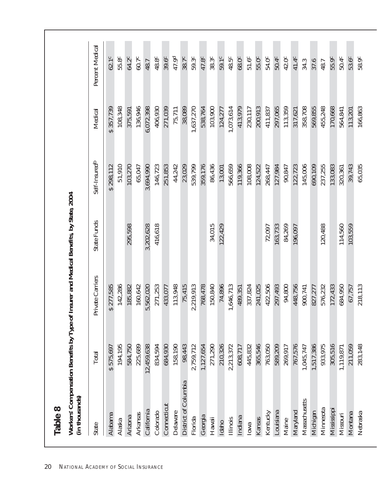| (in thousands)<br>Table 8 |            | Workers' Compensation Benefits by Type of Insurer and Medical Benefits, by State, 2004 |             |                           |           |                   |
|---------------------------|------------|----------------------------------------------------------------------------------------|-------------|---------------------------|-----------|-------------------|
| <b>State</b>              | Total      | Private Carriers                                                                       | State Funds | Self-Insured <sup>b</sup> | Medical   | Percent Medical   |
| Alabama                   | \$575,697  | \$277,585                                                                              |             | \$298,112                 | \$357,739 | 62.1c             |
| Alaska                    | 194,195    | 142,286                                                                                |             | 51,910                    | 108,348   | 55.8c             |
| Arizona                   | 584,750    | 185,882                                                                                | 295,598     | 103,270                   | 375,591   | 64.2c             |
| Arkansas                  | 225,689    | 160,642                                                                                |             | 65,047                    | 136,946   | 60.7c             |
| California                | 12,459,638 | 5,562,020                                                                              | 3,202,628   | 3,694,990                 | 6,072,398 | 48.7              |
| Colorado                  | 834,594    | 271,253                                                                                | 416,618     | 146,723                   | 406,930   | 48.8c             |
| Connecticut               | 684,930    | 433,077                                                                                |             | 251,853                   | 271,039   | 39.6c             |
| Delaware                  | 158,190    | 113,948                                                                                |             | 44,242                    | 75,711    | 47.9d             |
| District of Columbia      | 98,443     | 75,415                                                                                 |             | 23,029                    | 38,089    | 38.7c             |
| Florida                   | 2,759,712  | 2,219,913                                                                              |             | 539,799                   | 1,637,270 | 59.3c             |
| Georgia                   | 1,127,654  | 768,478                                                                                |             | 359,176                   | 538,764   | 47.8c             |
| Hawaii                    | 271,290    | 150,840                                                                                | 34,015      | 86,436                    | 103,900   | 38.3c             |
| Idaho                     | 210,326    | 74,896                                                                                 | 122,429     | 13,001                    | 124,277   | 59.1c             |
| Illinois                  | 2,213,372  | 1,646,713                                                                              |             | 566,659                   | 1,073,614 | 48.5c             |
| Indiana                   | 608,717    | 489,351                                                                                |             | 119,366                   | 413,979   | 68.0°             |
| Iowa                      | 445,832    | 337,824                                                                                |             | 108,008                   | 230,117   | 51.6c             |
| Kansas                    | 365,546    | 241,025                                                                                |             | 124,522                   | 200,913   | 55.0 <sup>c</sup> |
| Kentucky                  | 763,050    | 422,506                                                                                | 72,097      | 268,447                   | 411,837   | 54.0 <sup>c</sup> |
| Louisiana                 | 589,209    | 297,493                                                                                | 163,733     | 127,984                   | 297,065   | 50.4c             |
| Maine                     | 269,917    | 94,800                                                                                 | 84,269      | 90,847                    | 113,359   | 42.0 <sup>c</sup> |
| Maryland                  | 767,576    | 448,756                                                                                | 196,097     | 122,723                   | 317,621   | 41.4 <sup>c</sup> |
| Massachusetts             | 1,045,747  | 900,741                                                                                |             | 145,006                   | 358,708   | 34.3              |
| Michigan                  | 1,517,386  | 827,277                                                                                |             | 690,109                   | 569,855   | 37.6              |
| Minnesota                 | 933,975    | 576,232                                                                                | 120,488     | 237,255                   | 455,248   | 48.7              |
| Mississippi               | 305,516    | 172,433                                                                                |             | 133,083                   | 170,668   | 55.9c             |
| Missouri                  | 1,119,871  | 684,950                                                                                | 114,560     | 320,361                   | 564,841   | 50.4c             |
| Montana                   | 211,059    | 67,757                                                                                 | 103,559     | 39,743                    | 113,201   | 53.6c             |
| Nebraska                  | 283,148    | 218,113                                                                                |             | 65,035                    | 166,863   | 58.9c             |

 $\Gamma$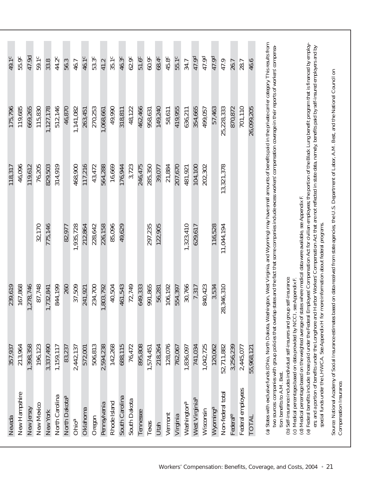| Nevada                                                       | 357,937                                                                                                     | 239,619                                                                                                                                                                                                                                                                                                                                                                                                                                                                                                                                                                                                                                                           |                                          | 118,317    | 175,796                                                                                                                                                                                                                                                        | 49.1c             |
|--------------------------------------------------------------|-------------------------------------------------------------------------------------------------------------|-------------------------------------------------------------------------------------------------------------------------------------------------------------------------------------------------------------------------------------------------------------------------------------------------------------------------------------------------------------------------------------------------------------------------------------------------------------------------------------------------------------------------------------------------------------------------------------------------------------------------------------------------------------------|------------------------------------------|------------|----------------------------------------------------------------------------------------------------------------------------------------------------------------------------------------------------------------------------------------------------------------|-------------------|
| New Hampshire                                                | 213,964                                                                                                     | 167,868                                                                                                                                                                                                                                                                                                                                                                                                                                                                                                                                                                                                                                                           |                                          | 46,096     | 119,685                                                                                                                                                                                                                                                        | 55.9c             |
| New Jersey                                                   | 1,398,358                                                                                                   | 1,278,746                                                                                                                                                                                                                                                                                                                                                                                                                                                                                                                                                                                                                                                         |                                          | 119,612    | 669,265                                                                                                                                                                                                                                                        | 47.9d             |
| New Mexico                                                   | 196,123                                                                                                     | 87,748                                                                                                                                                                                                                                                                                                                                                                                                                                                                                                                                                                                                                                                            | 32,170                                   | 76,205     | 115,830                                                                                                                                                                                                                                                        | 59.1c             |
| New York                                                     | 3,337,490                                                                                                   | 1,732,841                                                                                                                                                                                                                                                                                                                                                                                                                                                                                                                                                                                                                                                         | 775,146                                  | 829,503    | .127,178                                                                                                                                                                                                                                                       | 33.8              |
| North Carolina                                               | 1,159,117                                                                                                   | 844,199                                                                                                                                                                                                                                                                                                                                                                                                                                                                                                                                                                                                                                                           |                                          | 314,919    | 512,146                                                                                                                                                                                                                                                        | 44.2c             |
| North Dakota <sup>a</sup>                                    | 83,237                                                                                                      | 260                                                                                                                                                                                                                                                                                                                                                                                                                                                                                                                                                                                                                                                               | 82,977                                   |            | 46,870                                                                                                                                                                                                                                                         | 56.3              |
| Ohio <sup>a</sup>                                            | 2,442,137                                                                                                   | 37,509                                                                                                                                                                                                                                                                                                                                                                                                                                                                                                                                                                                                                                                            | 1,935,728                                | 468,900    | 1,141,082                                                                                                                                                                                                                                                      | 46.7              |
| Oklahoma                                                     | 572,001                                                                                                     | 241,921                                                                                                                                                                                                                                                                                                                                                                                                                                                                                                                                                                                                                                                           | 212,864                                  | 117,216    | 263,451                                                                                                                                                                                                                                                        | 46.1c             |
| Oregon                                                       | 506,813                                                                                                     | 234,700                                                                                                                                                                                                                                                                                                                                                                                                                                                                                                                                                                                                                                                           | 228,642                                  | 43,472     | 270,253                                                                                                                                                                                                                                                        | 53.3c             |
| Pennsylvania                                                 | 2,594,238                                                                                                   | ,803,792                                                                                                                                                                                                                                                                                                                                                                                                                                                                                                                                                                                                                                                          | 226,158                                  | 564,288    | ,068,661                                                                                                                                                                                                                                                       | 41.2              |
| Rhode Island                                                 | 142,268                                                                                                     | 40,504                                                                                                                                                                                                                                                                                                                                                                                                                                                                                                                                                                                                                                                            | 85,096                                   | 16,669     | 49,990                                                                                                                                                                                                                                                         | 35.1c             |
| South Carolina                                               | 688,115                                                                                                     | 461,543                                                                                                                                                                                                                                                                                                                                                                                                                                                                                                                                                                                                                                                           | 49,629                                   | 176,944    | 318,811                                                                                                                                                                                                                                                        | 46.3c             |
| South Dakota                                                 | 76,472                                                                                                      | 72,749                                                                                                                                                                                                                                                                                                                                                                                                                                                                                                                                                                                                                                                            |                                          | 3,723      | 48,122                                                                                                                                                                                                                                                         | 62.9c             |
| Tennessee                                                    | 895,808                                                                                                     | 649,333                                                                                                                                                                                                                                                                                                                                                                                                                                                                                                                                                                                                                                                           |                                          | 246,475    | 462,466                                                                                                                                                                                                                                                        | 51.6 <sup>c</sup> |
| Texas                                                        | 1,574,451                                                                                                   | 991,865                                                                                                                                                                                                                                                                                                                                                                                                                                                                                                                                                                                                                                                           | 297,235                                  | 285,350    | 958,631                                                                                                                                                                                                                                                        | 60.9c             |
| Utah                                                         | 218,264                                                                                                     | 56,281                                                                                                                                                                                                                                                                                                                                                                                                                                                                                                                                                                                                                                                            | 122,905                                  | 39,077     | 149,240                                                                                                                                                                                                                                                        | 68.4c             |
| Vermont                                                      | 128,076                                                                                                     | 106,192                                                                                                                                                                                                                                                                                                                                                                                                                                                                                                                                                                                                                                                           |                                          | 21,884     | 58,611                                                                                                                                                                                                                                                         | 45.8c             |
| Virginia                                                     | 762,067                                                                                                     | 554,397                                                                                                                                                                                                                                                                                                                                                                                                                                                                                                                                                                                                                                                           |                                          | 207,670    | 419,955                                                                                                                                                                                                                                                        | 55.1c             |
| Washington <sup>a</sup>                                      | 1,836,097                                                                                                   | 30,766                                                                                                                                                                                                                                                                                                                                                                                                                                                                                                                                                                                                                                                            | 1,323,410                                | 481,921    | 636,211                                                                                                                                                                                                                                                        | 34.7              |
| West Virginia <sup>a</sup>                                   | 741,034                                                                                                     | 7,317                                                                                                                                                                                                                                                                                                                                                                                                                                                                                                                                                                                                                                                             | 629,617                                  | 104,100    | 354,665                                                                                                                                                                                                                                                        | 47.9d             |
| Wisconsin                                                    | 1,042,725                                                                                                   | 840,423                                                                                                                                                                                                                                                                                                                                                                                                                                                                                                                                                                                                                                                           |                                          | 202,302    | 499,057                                                                                                                                                                                                                                                        | 47.9d             |
| Wyoming <sup>a</sup>                                         | 120,062                                                                                                     | 3,534                                                                                                                                                                                                                                                                                                                                                                                                                                                                                                                                                                                                                                                             | 116,528                                  |            | 57,463                                                                                                                                                                                                                                                         | 47.9 <sup>d</sup> |
| Non-federal total                                            | 52,711,882                                                                                                  | 8,346,310<br>$\sim$                                                                                                                                                                                                                                                                                                                                                                                                                                                                                                                                                                                                                                               | 11,044,194                               | 13,321,378 | 25,228,333                                                                                                                                                                                                                                                     | 47.9              |
| Federale                                                     | 3,256,239                                                                                                   |                                                                                                                                                                                                                                                                                                                                                                                                                                                                                                                                                                                                                                                                   |                                          |            | 870,872                                                                                                                                                                                                                                                        | 26.7              |
| Federal employees                                            | 2,445,077                                                                                                   |                                                                                                                                                                                                                                                                                                                                                                                                                                                                                                                                                                                                                                                                   |                                          |            | 701,110                                                                                                                                                                                                                                                        | 28.7              |
| TOTAI                                                        | 55,968,121                                                                                                  |                                                                                                                                                                                                                                                                                                                                                                                                                                                                                                                                                                                                                                                                   |                                          |            | 26,099,205                                                                                                                                                                                                                                                     | 46.6              |
| tion benefits to A.M. Best.                                  |                                                                                                             | (a) States with exclusive funds (Ohio, North Dakota, Washington, West Virginia, and Wyoming) may have small amounts of benefits paid in the private carrier category. This results from<br>two sources: companies with group policies that overlap states and the fact that some companies include excess workers' compensation coverage in their reports of workers' compensa-<br>(d) Medical percentage based on the weighted average of states where medical data were available, see Appendix F.<br>(b) Self-insurance includes individual self-insurers and group self-insurance.<br>(c) Medical percentages based on data provided by NCCI, see Appendix F. |                                          |            |                                                                                                                                                                                                                                                                |                   |
| (e) Federal benefits include: those paid under the Federal I | ers; and a portion of benefits under the Longshore and<br>special funds under the LHWCA. See Appendix H for |                                                                                                                                                                                                                                                                                                                                                                                                                                                                                                                                                                                                                                                                   | more information about federal programs. |            | Employees' Compensation Act for civilian employees; the portion of the Black Lung benefit program that is financed by employ-<br>Harbor Workers' Compensation Act that are not reflected in state data, namely, benefits paid by self-insured employers and by |                   |
| Compensation Insurance.                                      |                                                                                                             | Source: National Academy of Social Insurance estimates based on data received from state agencies, the U.S. Department of Labor, A.M. Best, and the National Council on                                                                                                                                                                                                                                                                                                                                                                                                                                                                                           |                                          |            |                                                                                                                                                                                                                                                                |                   |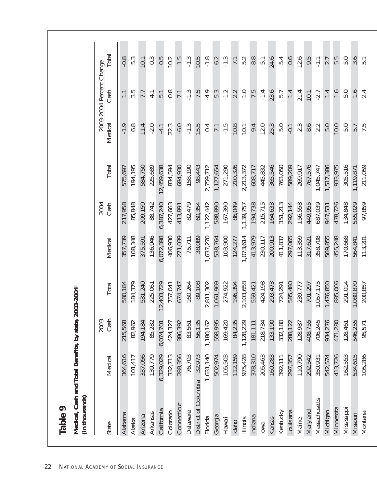| Total                            | $-0.8$  | 5.3     | 10.1    | 0.3              | 0.5        | 10.2     |                 | $-1.3$   | 10.5                 | $-1.8$    | 6.2            | $-1.3$  | $\overline{71}$ | 5.2           | 8.8     | $\overline{5}$ . | 24.6    | 5.4      | 0.6       | 12.6    | 9.5      | $\Xi$         | 2.7       | 5.5       | 5.0         | 3.6      |
|----------------------------------|---------|---------|---------|------------------|------------|----------|-----------------|----------|----------------------|-----------|----------------|---------|-----------------|---------------|---------|------------------|---------|----------|-----------|---------|----------|---------------|-----------|-----------|-------------|----------|
| 2003-2004 Percent Change<br>Cash |         | 3.5     | 7.7     | $\overline{4.1}$ | 5.1        | 0.8      | $\overline{71}$ | $-1.3$   | 7.5                  | $-4.9$    | 5.3            | $-1.2$  | 2.2             | $\frac{0}{1}$ | 7.5     | $-1.4$           | 23.6    | 5.7      | 1.4       | 21.4    | 10.1     | $-2.7$        | 1.4       | 1.6       | 5.0         | 1.6      |
| Medical                          | $-1.9$  | 6.8     |         | $-2.0$           | $-4.1$     | 22.3     | $-6.0$          | $-1.3$   | 15.5                 | 0.4       | $\overline{z}$ | $-1.5$  | 10.8            | 10.1          | 9.4     | 12.0             | 25.3    | 5.0      | $-0.1$    | 2.3     | 8.6      | 2.2           | 5.0       | 10.0      | 5.0         | 5.7      |
| Total                            | 575,697 | 194,195 | 584,750 | 225,689          | 12,459,638 | 834,594  | 684,930         | 158,190  | 98,443               | 2,759,712 | 1,127,654      | 271,290 | 210,326         | 2,213,372     | 608,717 | 445,832          | 365,546 | 763,050  | 589,209   | 269,917 | 767,576  | 1,045,747     | 1,517,386 | 933,975   | 305,516     | .119,871 |
| 2004<br>Cash                     | 217,958 | 85,848  | 209,159 | 88,742           | 6,387,240  | 427,663  | 413,891         | 82,479   | 60,354               | 1,122,442 | 588,890        | 167,390 | 86,049          | 1,139,757     | 194,738 | 215,715          | 164,633 | 351,213  | 292,144   | 156,558 | 449,955  | 687,039       | 947,531   | 478,726   | 134,848     | 555,029  |
| Medical                          | 357,739 | 108,348 | 375,591 | 136,946          | 6,072,398  | 406,930  | 271,039         | 75,711   | 38,089               | 1,637,270 | 538,764        | 103,900 | 124,277         | 1,073,614     | 413,979 | 230,117          | 200,913 | 411,837  | 297,065   | 113,359 | 317,621  | 358,708       | 569,855   | 455,248   | 170,668     | 564,841  |
| Total                            | 580,184 | 184,379 | 531,240 | 225,061          | 12,403,729 | 757,041  | 674,747         | 160,264  | 89,108               | 2,811,302 | 1,061,969      | 274,922 | 196,394         | 2,103,658     | 559,421 | 424,198          | 293,473 | 724,291  | 585,480   | 239,777 | 701,297  | 1,057,175     | 1,476,850 | 885,006   | 291,014     | ,080,870 |
| Cash<br>2003                     | 215,568 | 82,962  | 194,184 | 85,282           | 6,074,701  | 424,327  | 386,392         | 83,561   | 56,135               | 1,180,162 | 558,995        | 169,420 | 84,235          | 1,128,229     | 181,111 | 218,734          | 133,190 | 332,180  | 288,122   | 128,987 | 408,755  | 706,245       | 934,276   | 471,280   | 128,461     | 546,255  |
| Medical                          | 364,616 | 101,417 | 337,056 | 139,779          | 6,329,029  | 332,713  | 288,356         | 76,703   | 32,973               | 1,631,140 | 502,974        | 105,503 | 112,159         | 975,428       | 378,310 | 205,463          | 160,283 | 392,111  | 297,357   | 110,790 | 292,542  | 350,931       | 542,574   | 413,726   | 162,553     | 534,615  |
| <b>State</b>                     | Alabama | Alaska  | Arizona | Arkansas         | California | Colorado | Connecticut     | Delaware | District of Columbia | Florida   | Georgia        | Hawaii  | Idaho           | Illinois      | Indiana | Iowa             | Kansas  | Kentucky | Louisiana | Maine   | Maryland | Massachusetts | Michigan  | Minnesota | Mississippi | Missouri |

Г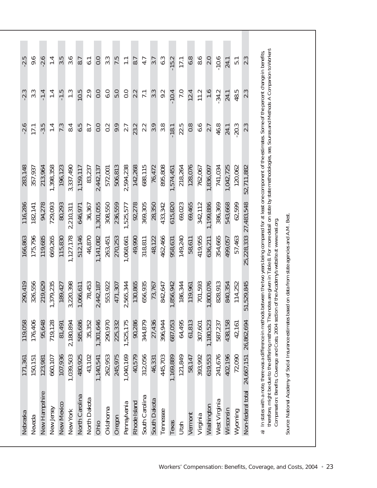| Nebraska                                                                                                | 171,361   | 119,058               | 290,419         | 166,863    | 116,286    | 283,148                                                                                                                                                                                                                           | $-2.6$           | $-2.3$           | $-2.5$           |
|---------------------------------------------------------------------------------------------------------|-----------|-----------------------|-----------------|------------|------------|-----------------------------------------------------------------------------------------------------------------------------------------------------------------------------------------------------------------------------------|------------------|------------------|------------------|
| Nevada                                                                                                  | 150,151   | 176,406               | 326,556         | 175,796    | 182,141    | 357,937                                                                                                                                                                                                                           | 17.1             | $3.\overline{3}$ | 9.6              |
| New Hampshire                                                                                           | 123,981   | 95,648                | 219,629         | 119,685    | 94,278     | 213,964                                                                                                                                                                                                                           | $-3.5$           | $-1.4$           | 2.6              |
| New Jersey                                                                                              | 660,107   | 719,128               | 1,379,235       | 669,265    | 729,093    | 1,398,358                                                                                                                                                                                                                         | 1.4              | $\ddot{=}$       | 1.4              |
| New Mexico                                                                                              | 107,936   | 81,491                | 189,427         | 115,830    | 80,293     | 196,123                                                                                                                                                                                                                           |                  | $-1.5$           | 3.5              |
| New York                                                                                                | 1,039,503 | 2,180,894             | 3,220,398       | 1,127,178  | 2,210,311  | 3,337,490                                                                                                                                                                                                                         | 8.4              | 1.3              | 3.6              |
| North Carolina                                                                                          | 480,925   | 585,686               | 1,066,611       | 512,146    | 646,971    | 1,159,117                                                                                                                                                                                                                         | 6.5              | 10.5             | 8.7              |
| North Dakota                                                                                            | 43,102    | 35,352                | 78,453          | 46,870     | 36,367     | 83,237                                                                                                                                                                                                                            | 8.7              | 2.9              | 61               |
| Ohio                                                                                                    | 1,140,541 | 1,301,646             | 2,442,187       | 1,141,082  | 301,055    | 2,442,137                                                                                                                                                                                                                         | 0.0              | 0.0              | 0.0              |
| Oklahoma                                                                                                | 262,953   | 290,970               | 553,922         | 263,451    | 308,550    | 572,001                                                                                                                                                                                                                           | $0.\overline{2}$ | 6.0              | 3.3              |
| Oregon                                                                                                  | 245,975   | 225,332               | 471,307         | 270,253    | 236,559    | 506,813                                                                                                                                                                                                                           | 9.9              | 5.0              | 7.5              |
| Pennsylvania                                                                                            | 1,040,169 | 1,525,175             | 2,565,344       | 1,068,661  | 1,525,577  | 2,594,238                                                                                                                                                                                                                         | 2.7              | 0.0              | $\Xi$            |
| Rhode Island                                                                                            | 40,579    | 90,286                | 130,865         | 49,990     | 92,278     | 142,268                                                                                                                                                                                                                           | 23.2             | 2.2              | 8.7              |
| South Carolina                                                                                          | 312,056   | 344,879               | 656,935         | 318,811    | 369,305    | 688,115                                                                                                                                                                                                                           | 2.2              | 7.1              | 4.7              |
| South Dakota                                                                                            | 46,331    | 27,436                | 73,767          | 48,122     | 28,350     | 76,472                                                                                                                                                                                                                            | 3.9              | 3.3              | 3.7              |
| Tennessee                                                                                               | 445,703   | 396,944               | 842,647         | 462,466    | 433,342    | 895,808                                                                                                                                                                                                                           | 3.8              | 9.2              | 6.3              |
| Texas                                                                                                   | 1,169,889 | 687,053               | ,856,942        | 958,631    | 615,820    | 574,451                                                                                                                                                                                                                           | 18.1             | 10.4             | 15.2             |
| Utah                                                                                                    | 121,849   | 64,495                | 186,344         | 149,240    | 69,023     | 218,264                                                                                                                                                                                                                           | 22.5             | 7.0              | 17.1             |
| Vermont                                                                                                 | 58,147    | 61,813                | 119,961         | 58,611     | 69,465     | 128,076                                                                                                                                                                                                                           | 0.8              | 12.4             | 6.8              |
| Virginia                                                                                                | 393,992   | 307,601               | 701,593         | 419,955    | 342,112    | 762,067                                                                                                                                                                                                                           | 6.6              | 11.2             | 8.6              |
| Washington                                                                                              | 619,553   | 1,180,523             | ,800,076        | 636,211    | ,199,886   | ,836,097                                                                                                                                                                                                                          | 2.7              | $\frac{6}{1}$    | $\overline{2.0}$ |
| West Virginia                                                                                           | 241,676   | 587,237               | 828,913         | 354,665    | 386,369    | 741,034                                                                                                                                                                                                                           | 46.8             | 34.2             | $-10.6$          |
| Wisconsin                                                                                               | 402,196   | 438,158               | 840,354         | 499,057    | 543,668    | 1,042,725                                                                                                                                                                                                                         | 24.1             | 24.1             | 24.1             |
| Wyoming                                                                                                 | 72,090    | 42,161                | 114,252         | 57,463     | 62,599     | 120,062                                                                                                                                                                                                                           | 20.3             | 48.5             | 5.1              |
| Non-federal total                                                                                       |           | 24,667,151 26,862,694 | 1,529,845<br>صر | 25,228,333 | 27,483,548 | 52,711,882                                                                                                                                                                                                                        | 2.3              | 2.3              | 2.3              |
|                                                                                                         |           |                       |                 |            |            |                                                                                                                                                                                                                                   |                  |                  |                  |
|                                                                                                         |           |                       |                 |            |            | a) In states with a note, there was a difference in methods between the two years being compared for at least one component of the estimates. Some of the percent change in benefits,                                             |                  |                  |                  |
|                                                                                                         |           |                       |                 |            |            | therefore, might be due to the differing methods. The notes are given in Table 8. For more detail on state by state methodologies, see, Sources and Methods: A Companion to Workers'<br>Compensation: Benefits, Coverage, and Cos |                  |                  |                  |
| Source: National Academy of Social Insurance estimates based on data from state agencies and A.M. Best. |           |                       |                 |            |            |                                                                                                                                                                                                                                   |                  |                  |                  |
|                                                                                                         |           |                       |                 |            |            |                                                                                                                                                                                                                                   |                  |                  |                  |
|                                                                                                         |           |                       |                 |            |            |                                                                                                                                                                                                                                   |                  |                  |                  |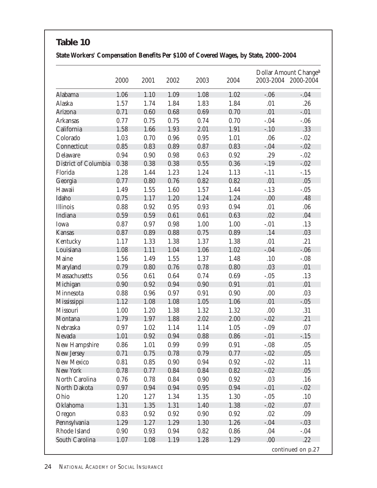# **Table 10**

## **State Workers' Compensation Benefits Per \$100 of Covered Wages, by State, 2000–2004**

|                      | 2000 | 2001 | 2002 | 2003 | 2004 | 2003-2004 | Dollar Amount Change <sup>a</sup><br>2000-2004 |
|----------------------|------|------|------|------|------|-----------|------------------------------------------------|
| Alabama              | 1.06 | 1.10 | 1.09 | 1.08 | 1.02 | $-.06$    | $-.04$                                         |
| Alaska               | 1.57 | 1.74 | 1.84 | 1.83 | 1.84 | .01       | .26                                            |
| Arizona              | 0.71 | 0.60 | 0.68 | 0.69 | 0.70 | .01       | $-.01$                                         |
| <b>Arkansas</b>      | 0.77 | 0.75 | 0.75 | 0.74 | 0.70 | $-.04$    | $-06$                                          |
| California           | 1.58 | 1.66 | 1.93 | 2.01 | 1.91 | $-.10$    | .33                                            |
| Colorado             | 1.03 | 0.70 | 0.96 | 0.95 | 1.01 | .06       | $-0.02$                                        |
| Connecticut          | 0.85 | 0.83 | 0.89 | 0.87 | 0.83 | $-.04$    | $-.02$                                         |
| Delaware             | 0.94 | 0.90 | 0.98 | 0.63 | 0.92 | .29       | $-.02$                                         |
| District of Columbia | 0.38 | 0.38 | 0.38 | 0.55 | 0.36 | $-.19$    | $-.02$                                         |
| Florida              | 1.28 | 1.44 | 1.23 | 1.24 | 1.13 | $-.11$    | $-.15$                                         |
| Georgia              | 0.77 | 0.80 | 0.76 | 0.82 | 0.82 | .01       | .05                                            |
| Hawaii               | 1.49 | 1.55 | 1.60 | 1.57 | 1.44 | $-.13$    | $-.05$                                         |
| Idaho                | 0.75 | 1.17 | 1.20 | 1.24 | 1.24 | .00       | .48                                            |
| Illinois             | 0.88 | 0.92 | 0.95 | 0.93 | 0.94 | .01       | .06                                            |
| Indiana              | 0.59 | 0.59 | 0.61 | 0.61 | 0.63 | .02       | .04                                            |
| Iowa                 | 0.87 | 0.97 | 0.98 | 1.00 | 1.00 | $-.01$    | .13                                            |
| <b>Kansas</b>        | 0.87 | 0.89 | 0.88 | 0.75 | 0.89 | .14       | .03                                            |
| Kentucky             | 1.17 | 1.33 | 1.38 | 1.37 | 1.38 | .01       | .21                                            |
| Louisiana            | 1.08 | 1.11 | 1.04 | 1.06 | 1.02 | $-.04$    | $-06$                                          |
| Maine                | 1.56 | 1.49 | 1.55 | 1.37 | 1.48 | .10       | $-0.08$                                        |
| <b>Maryland</b>      | 0.79 | 0.80 | 0.76 | 0.78 | 0.80 | .03       | .01                                            |
| <b>Massachusetts</b> | 0.56 | 0.61 | 0.64 | 0.74 | 0.69 | $-.05$    | .13                                            |
| Michigan             | 0.90 | 0.92 | 0.94 | 0.90 | 0.91 | .01       | .01                                            |
| Minnesota            | 0.88 | 0.96 | 0.97 | 0.91 | 0.90 | .00       | .03                                            |
| Mississippi          | 1.12 | 1.08 | 1.08 | 1.05 | 1.06 | .01       | $-.05$                                         |
| Missouri             | 1.00 | 1.20 | 1.38 | 1.32 | 1.32 | .00       | .31                                            |
| Montana              | 1.79 | 1.97 | 1.88 | 2.02 | 2.00 | $-.02$    | .21                                            |
| Nebraska             | 0.97 | 1.02 | 1.14 | 1.14 | 1.05 | $-.09$    | .07                                            |
| Nevada               | 1.01 | 0.92 | 0.94 | 0.88 | 0.86 | $-.01$    | $-.15$                                         |
| New Hampshire        | 0.86 | 1.01 | 0.99 | 0.99 | 0.91 | $-.08$    | .05                                            |
| New Jersey           | 0.71 | 0.75 | 0.78 | 0.79 | 0.77 | $-.02$    | .05                                            |
| New Mexico           | 0.81 | 0.85 | 0.90 | 0.94 | 0.92 | $-.02$    | .11                                            |
| New York             | 0.78 | 0.77 | 0.84 | 0.84 | 0.82 | $-.02$    | .05                                            |
| North Carolina       | 0.76 | 0.78 | 0.84 | 0.90 | 0.92 | .03       | .16                                            |
| North Dakota         | 0.97 | 0.94 | 0.94 | 0.95 | 0.94 | $-.01$    | $-.02$                                         |
| Ohio                 | 1.20 | 1.27 | 1.34 | 1.35 | 1.30 | $-.05$    | .10                                            |
| Oklahoma             | 1.31 | 1.35 | 1.31 | 1.40 | 1.38 | $-.02$    | .07                                            |
| Oregon               | 0.83 | 0.92 | 0.92 | 0.90 | 0.92 | .02       | .09                                            |
| Pennsylvania         | 1.29 | 1.27 | 1.29 | 1.30 | 1.26 | $-.04$    | $-.03$                                         |
| Rhode Island         | 0.90 | 0.93 | 0.94 | 0.82 | 0.86 | .04       | $-.04$                                         |
| South Carolina       | 1.07 | 1.08 | 1.19 | 1.28 | 1.29 | .00       | .22                                            |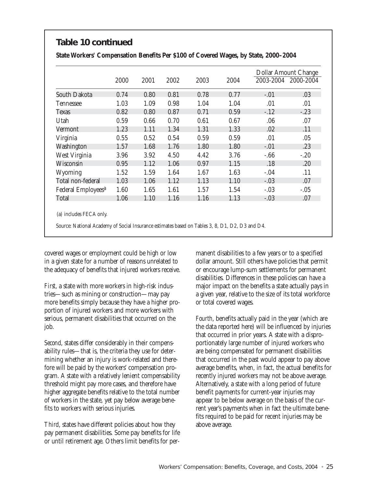### **Table 10 continued**

|                                |      |      |      |      |      | Dollar Amount Change |           |
|--------------------------------|------|------|------|------|------|----------------------|-----------|
|                                | 2000 | 2001 | 2002 | 2003 | 2004 | 2003-2004            | 2000-2004 |
| <b>South Dakota</b>            | 0.74 | 0.80 | 0.81 | 0.78 | 0.77 | $-.01$               | .03       |
| <b>Tennessee</b>               | 1.03 | 1.09 | 0.98 | 1.04 | 1.04 | .01                  | .01       |
| <b>Texas</b>                   | 0.82 | 0.80 | 0.87 | 0.71 | 0.59 | $-12$                | $-.23$    |
| Utah                           | 0.59 | 0.66 | 0.70 | 0.61 | 0.67 | .06                  | .07       |
| Vermont                        | 1.23 | 1.11 | 1.34 | 1.31 | 1.33 | .02                  | .11       |
| Virginia                       | 0.55 | 0.52 | 0.54 | 0.59 | 0.59 | .01                  | .05       |
| Washington                     | 1.57 | 1.68 | 1.76 | 1.80 | 1.80 | $-.01$               | .23       |
| West Virginia                  | 3.96 | 3.92 | 4.50 | 4.42 | 3.76 | $-66$                | $-.20$    |
| <b>Wisconsin</b>               | 0.95 | 1.12 | 1.06 | 0.97 | 1.15 | .18                  | .20       |
| <b>Wyoming</b>                 | 1.52 | 1.59 | 1.64 | 1.67 | 1.63 | $-.04$               | .11       |
| Total non-federal              | 1.03 | 1.06 | 1.12 | 1.13 | 1.10 | $-.03$               | .07       |
| Federal Employees <sup>a</sup> | 1.60 | 1.65 | 1.61 | 1.57 | 1.54 | $-.03$               | $-.05$    |
| Total                          | 1.06 | 1.10 | 1.16 | 1.16 | 1.13 | $-.03$               | .07       |

#### **State Workers' Compensation Benefits Per \$100 of Covered Wages, by State, 2000–2004**

Source: National Academy of Social Insurance estimates based on Tables 3, 8, D1, D2, D3 and D4.

covered wages or employment could be high or low in a given state for a number of reasons unrelated to the adequacy of benefits that injured workers receive.

*First*, a state with more workers in high-risk industries—such as mining or construction—may pay more benefits simply because they have a higher proportion of injured workers and more workers with serious, permanent disabilities that occurred on the job.

*Second*, states differ considerably in their compensability rules—that is, the criteria they use for determining whether an injury is work-related and therefore will be paid by the workers' compensation program. A state with a relatively lenient compensability threshold might pay more cases, and therefore have higher aggregate benefits relative to the total number of workers in the state, yet pay below average benefits to workers with serious injuries.

*Third*, states have different policies about how they pay permanent disabilities. Some pay benefits for life or until retirement age. Others limit benefits for per-

manent disabilities to a few years or to a specified dollar amount. Still others have policies that permit or encourage lump-sum settlements for permanent disabilities. Differences in these policies can have a major impact on the benefits a state actually pays in a given year, relative to the size of its total workforce or total covered wages.

*Fourth*, benefits actually paid in the year (which are the data reported here) will be influenced by injuries that occurred in prior years. A state with a disproportionately large number of injured workers who are being compensated for permanent disabilities that occurred in the past would appear to pay above average benefits, when, in fact, the actual benefits for recently injured workers may not be above average. Alternatively, a state with a long period of future benefit payments for current-year injuries may appear to be below average on the basis of the current year's payments when in fact the ultimate benefits required to be paid for recent injuries may be above average.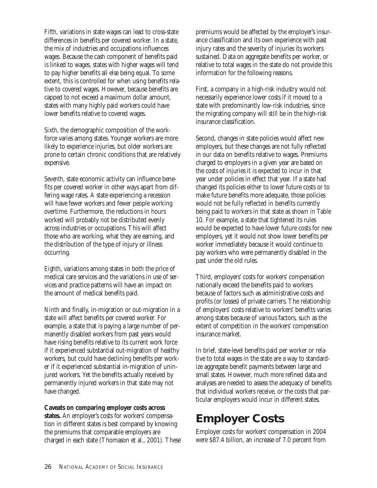*Fifth*, variations in state wages can lead to cross-state differences in benefits per covered worker. In a state, the mix of industries and occupations influences wages. Because the cash component of benefits paid is linked to wages, states with higher wages will tend to pay higher benefits all else being equal. To some extent, this is controlled for when using benefits relative to covered wages. However, because benefits are capped to not exceed a maximum dollar amount, states with many highly paid workers could have lower benefits relative to covered wages.

*Sixth*, the demographic composition of the workforce varies among states. Younger workers are more likely to experience injuries, but older workers are prone to certain chronic conditions that are relatively expensive.

*Seventh*, state economic activity can influence benefits per covered worker in other ways apart from differing wage rates. A state experiencing a recession will have fewer workers and fewer people working overtime. Furthermore, the reductions in hours worked will probably not be distributed evenly across industries or occupations. This will affect those who are working, what they are earning, and the distribution of the type of injury or illness occurring.

*Eighth*, variations among states in both the price of medical care services and the variations in use of services and practice patterns will have an impact on the amount of medical benefits paid.

*Ninth* and finally, in-migration or out-migration in a state will affect benefits per covered worker. For example, a state that is paying a large number of permanently disabled workers from past years would have rising benefits relative to its current work force if it experienced substantial out-migration of healthy workers, but could have declining benefits per worker if it experienced substantial in-migration of uninjured workers. Yet the benefits actually received by permanently injured workers in that state may not have changed.

#### **Caveats on comparing employer costs across**

**states.** An employer's costs for workers' compensation in different states is best compared by knowing the premiums that comparable employers are charged in each state (Thomason et al., 2001). These

premiums would be affected by the employer's insurance classification and its own experience with past injury rates and the severity of injuries its workers sustained. Data on aggregate benefits per worker, or relative to total wages in the state do not provide this information for the following reasons.

First, a company in a high-risk industry would not necessarily experience lower costs if it moved to a state with predominantly low-risk industries, since the migrating company will still be in the high-risk insurance classification.

Second, changes in state policies would affect new employers, but these changes are not fully reflected in our data on benefits relative to wages. Premiums charged to employers in a given year are based on the costs of injuries it is expected to incur in that year under policies in effect that year. If a state had changed its policies either to lower future costs or to make future benefits more adequate, those policies would not be fully reflected in benefits currently being paid to workers in that state as shown in Table 10. For example, a state that tightened its rules would be expected to have lower future costs for new employers, yet it would not show lower benefits per worker immediately because it would continue to pay workers who were permanently disabled in the past under the old rules.

Third, employers' costs for workers' compensation nationally exceed the benefits paid to workers because of factors such as administrative costs and profits (or losses) of private carriers. The relationship of employers' costs relative to workers' benefits varies among states because of various factors, such as the extent of competition in the workers' compensation insurance market.

In brief, state-level benefits paid per worker or relative to total wages in the state are a way to standardize aggregate benefit payments between large and small states. However, much more refined data and analyses are needed to assess the adequacy of benefits that individual workers receive, or the costs that particular employers would incur in different states.

## **Employer Costs**

Employer costs for workers' compensation in 2004 were \$87.4 billion, an increase of 7.0 percent from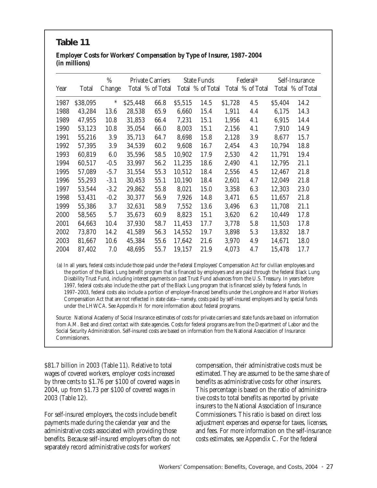#### **Table 11**

| <b>Employer Costs for Workers' Compensation by Type of Insurer, 1987-2004</b> |  |  |
|-------------------------------------------------------------------------------|--|--|
| (in millions)                                                                 |  |  |

|      |              | %      |          | <b>Private Carriers</b> |         | <b>State Funds</b> |         | Federal <sup>a</sup> |         | Self-Insurance   |
|------|--------------|--------|----------|-------------------------|---------|--------------------|---------|----------------------|---------|------------------|
| Year | <b>Total</b> | Change |          | Total % of Total        |         | Total % of Total   |         | Total % of Total     |         | Total % of Total |
| 1987 | \$38,095     | $\ast$ | \$25,448 | 66.8                    | \$5,515 | 14.5               | \$1,728 | 4.5                  | \$5,404 | 14.2             |
| 1988 | 43,284       | 13.6   | 28,538   | 65.9                    | 6,660   | 15.4               | 1,911   | 4.4                  | 6,175   | 14.3             |
| 1989 | 47,955       | 10.8   | 31,853   | 66.4                    | 7,231   | 15.1               | 1,956   | 4.1                  | 6,915   | 14.4             |
| 1990 | 53,123       | 10.8   | 35,054   | 66.0                    | 8,003   | 15.1               | 2,156   | 4.1                  | 7,910   | 14.9             |
| 1991 | 55,216       | 3.9    | 35,713   | 64.7                    | 8,698   | 15.8               | 2,128   | 3.9                  | 8,677   | 15.7             |
| 1992 | 57,395       | 3.9    | 34,539   | 60.2                    | 9,608   | 16.7               | 2,454   | 4.3                  | 10,794  | 18.8             |
| 1993 | 60,819       | 6.0    | 35,596   | 58.5                    | 10,902  | 17.9               | 2,530   | 4.2                  | 11,791  | 19.4             |
| 1994 | 60,517       | $-0.5$ | 33,997   | 56.2                    | 11,235  | 18.6               | 2,490   | 4.1                  | 12,795  | 21.1             |
| 1995 | 57,089       | $-5.7$ | 31,554   | 55.3                    | 10,512  | 18.4               | 2,556   | 4.5                  | 12,467  | 21.8             |
| 1996 | 55,293       | $-3.1$ | 30,453   | 55.1                    | 10,190  | 18.4               | 2,601   | 4.7                  | 12,049  | 21.8             |
| 1997 | 53,544       | $-3.2$ | 29,862   | 55.8                    | 8,021   | 15.0               | 3,358   | 6.3                  | 12,303  | 23.0             |
| 1998 | 53,431       | $-0.2$ | 30,377   | 56.9                    | 7,926   | 14.8               | 3,471   | 6.5                  | 11,657  | 21.8             |
| 1999 | 55,386       | 3.7    | 32,631   | 58.9                    | 7,552   | 13.6               | 3,496   | 6.3                  | 11,708  | 21.1             |
| 2000 | 58,565       | 5.7    | 35,673   | 60.9                    | 8,823   | 15.1               | 3,620   | 6.2                  | 10,449  | 17.8             |
| 2001 | 64,663       | 10.4   | 37,930   | 58.7                    | 11,453  | 17.7               | 3,778   | 5.8                  | 11,503  | 17.8             |
| 2002 | 73,870       | 14.2   | 41,589   | 56.3                    | 14,552  | 19.7               | 3,898   | 5.3                  | 13,832  | 18.7             |
| 2003 | 81,667       | 10.6   | 45,384   | 55.6                    | 17,642  | 21.6               | 3,970   | 4.9                  | 14,671  | 18.0             |
| 2004 | 87,402       | 7.0    | 48,695   | 55.7                    | 19,157  | 21.9               | 4,073   | 4.7                  | 15,478  | 17.7             |

(a) In all years, federal costs include those paid under the Federal Employees' Compensation Act for civilian employees and the portion of the Black Lung benefit program that is financed by employers and are paid through the federal Black Lung Disability Trust Fund, including interest payments on past Trust Fund advances from the U.S. Treasury. In years before 1997, federal costs also include the other part of the Black Lung program that is financed solely by federal funds. In 1997–2003, federal costs also include a portion of employer-financed benefits under the Longshore and Harbor Workers Compensation Act that are not reflected in state data—namely, costs paid by self-insured employers and by special funds under the LHWCA. See Appendix H for more information about federal programs.

Source: National Academy of Social Insurance estimates of costs for private carriers and state funds are based on information from A.M. Best and direct contact with state agencies. Costs for federal programs are from the Department of Labor and the Social Security Administration. Self-insured costs are based on information from the National Association of Insurance Commissioners.

\$81.7 billion in 2003 (Table 11). Relative to total wages of covered workers, employer costs increased by three cents to \$1.76 per \$100 of covered wages in 2004, up from \$1.73 per \$100 of covered wages in 2003 (Table 12).

For self-insured employers, the costs include benefit payments made during the calendar year and the administrative costs associated with providing those benefits. Because self-insured employers often do not separately record administrative costs for workers'

compensation, their administrative costs must be estimated. They are assumed to be the same share of benefits as administrative costs for other insurers. This percentage is based on the ratio of administrative costs to total benefits as reported by private insurers to the National Association of Insurance Commissioners. This ratio is based on direct loss adjustment expenses and expense for taxes, licenses, and fees. For more information on the self-insurance costs estimates, see Appendix C. For the federal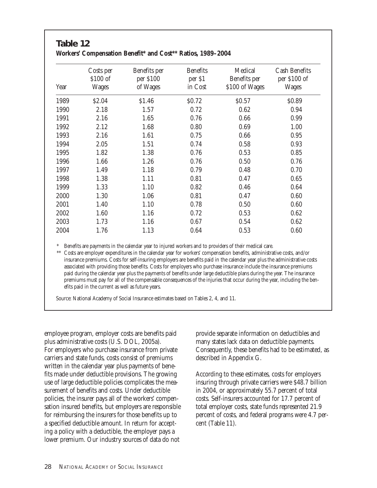| Year | Costs per<br>\$100 of<br><b>Wages</b> | Benefits per<br>per \$100<br>of Wages | <b>Benefits</b><br>per \$1<br>in Cost | Medical<br>Benefits per<br>\$100 of Wages | <b>Cash Benefits</b><br>per \$100 of<br><b>Wages</b> |
|------|---------------------------------------|---------------------------------------|---------------------------------------|-------------------------------------------|------------------------------------------------------|
| 1989 | \$2.04                                | \$1.46                                | \$0.72                                | \$0.57                                    | \$0.89                                               |
| 1990 | 2.18                                  | 1.57                                  | 0.72                                  | 0.62                                      | 0.94                                                 |
| 1991 | 2.16                                  | 1.65                                  | 0.76                                  | 0.66                                      | 0.99                                                 |
| 1992 | 2.12                                  | 1.68                                  | 0.80                                  | 0.69                                      | 1.00                                                 |
| 1993 | 2.16                                  | 1.61                                  | 0.75                                  | 0.66                                      | 0.95                                                 |
| 1994 | 2.05                                  | 1.51                                  | 0.74                                  | 0.58                                      | 0.93                                                 |
| 1995 | 1.82                                  | 1.38                                  | 0.76                                  | 0.53                                      | 0.85                                                 |
| 1996 | 1.66                                  | 1.26                                  | 0.76                                  | 0.50                                      | 0.76                                                 |
| 1997 | 1.49                                  | 1.18                                  | 0.79                                  | 0.48                                      | 0.70                                                 |
| 1998 | 1.38                                  | 1.11                                  | 0.81                                  | 0.47                                      | 0.65                                                 |
| 1999 | 1.33                                  | 1.10                                  | 0.82                                  | 0.46                                      | 0.64                                                 |
| 2000 | 1.30                                  | 1.06                                  | 0.81                                  | 0.47                                      | 0.60                                                 |
| 2001 | 1.40                                  | 1.10                                  | 0.78                                  | 0.50                                      | 0.60                                                 |
| 2002 | 1.60                                  | 1.16                                  | 0.72                                  | 0.53                                      | 0.62                                                 |
| 2003 | 1.73                                  | 1.16                                  | 0.67                                  | 0.54                                      | 0.62                                                 |
| 2004 | 1.76                                  | 1.13                                  | 0.64                                  | 0.53                                      | 0.60                                                 |

# **Table 12**

Benefits are payments in the calendar year to injured workers and to providers of their medical care.

Costs are employer expenditures in the calendar year for workers' compensation benefits, administrative costs, and/or insurance premiums. Costs for self-insuring employers are benefits paid in the calendar year plus the administrative costs associated with providing those benefits. Costs for employers who purchase insurance include the insurance premiums paid during the calendar year plus the payments of benefits under large deductible plans during the year. The insurance premiums must pay for all of the compensable consequences of the injuries that occur during the year, including the benefits paid in the current as well as future years.

Source: National Academy of Social Insurance estimates based on Tables 2, 4, and 11.

employee program, employer costs are benefits paid plus administrative costs (U.S. DOL, 2005a). For employers who purchase insurance from private carriers and state funds, costs consist of premiums written in the calendar year plus payments of benefits made under deductible provisions. The growing use of large deductible policies complicates the measurement of benefits and costs. Under deductible policies, the insurer pays all of the workers' compensation insured benefits, but employers are responsible for reimbursing the insurers for those benefits up to a specified deductible amount. In return for accepting a policy with a deductible, the employer pays a lower premium. Our industry sources of data do not

provide separate information on deductibles and many states lack data on deductible payments. Consequently, these benefits had to be estimated, as described in Appendix G.

According to these estimates, costs for employers insuring through private carriers were \$48.7 billion in 2004, or approximately 55.7 percent of total costs. Self-insurers accounted for 17.7 percent of total employer costs, state funds represented 21.9 percent of costs, and federal programs were 4.7 percent (Table 11).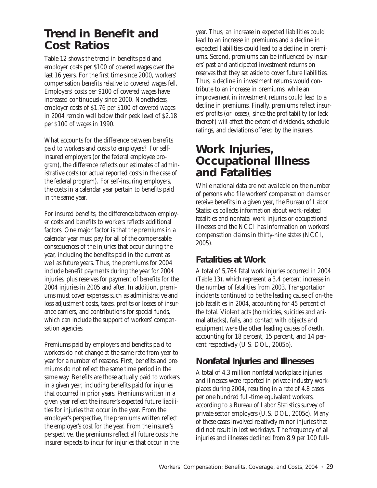## **Trend in Benefit and Cost Ratios**

Table 12 shows the trend in benefits paid and employer costs per \$100 of covered wages over the last 16 years. For the first time since 2000, workers' compensation benefits relative to covered wages fell. Employers' costs per \$100 of covered wages have increased continuously since 2000. Nonetheless, employer costs of \$1.76 per \$100 of covered wages in 2004 remain well below their peak level of \$2.18 per \$100 of wages in 1990.

What accounts for the difference between benefits paid to workers and costs to employers? For selfinsured employers (or the federal employee program), the difference reflects our estimates of administrative costs (or actual reported costs in the case of the federal program). For self-insuring employers, the costs in a calendar year pertain to benefits paid in the same year.

For insured benefits, the difference between employer costs and benefits to workers reflects additional factors. One major factor is that the premiums in a calendar year must pay for all of the compensable consequences of the injuries that occur during the year, including the benefits paid in the current as well as future years. Thus, the premiums for 2004 include benefit payments during the year for 2004 injuries, plus reserves for payment of benefits for the 2004 injuries in 2005 and after. In addition, premiums must cover expenses such as administrative and loss adjustment costs, taxes, profits or losses of insurance carriers, and contributions for special funds, which can include the support of workers' compensation agencies.

Premiums paid by employers and benefits paid to workers do not change at the same rate from year to year for a number of reasons. First, benefits and premiums do not reflect the same time period in the same way. Benefits are those actually paid to workers in a given year, including benefits paid for injuries that occurred in prior years. Premiums written in a given year reflect the insurer's expected future liabilities for injuries that occur in the year. From the employer's perspective, the premiums written reflect the employer's cost for the year. From the insurer's perspective, the premiums reflect all future costs the insurer expects to incur for injuries that occur in the

year. Thus, an increase in expected liabilities could lead to an increase in premiums and a decline in expected liabilities could lead to a decline in premiums. Second, premiums can be influenced by insurers' past and anticipated investment returns on reserves that they set aside to cover future liabilities. Thus, a decline in investment returns would contribute to an increase in premiums, while an improvement in investment returns could lead to a decline in premiums. Finally, premiums reflect insurers' profits (or losses), since the profitability (or lack thereof) will affect the extent of dividends, schedule ratings, and deviations offered by the insurers.

## **Work Injuries, Occupational Illness and Fatalities**

While national data are not available on the number of persons who file workers' compensation claims or receive benefits in a given year, the Bureau of Labor Statistics collects information about work-related fatalities and nonfatal work injuries or occupational illnesses and the NCCI has information on workers' compensation claims in thirty-nine states (NCCI, 2005).

### **Fatalities at Work**

A total of 5,764 fatal work injuries occurred in 2004 (Table 13), which represent a 3.4 percent increase in the number of fatalities from 2003. Transportation incidents continued to be the leading cause of on-the job fatalities in 2004, accounting for 45 percent of the total. Violent acts (homicides, suicides and animal attacks), falls, and contact with objects and equipment were the other leading causes of death, accounting for 18 percent, 15 percent, and 14 percent respectively (U.S. DOL, 2005b).

### **Nonfatal Injuries and Illnesses**

A total of 4.3 million nonfatal workplace injuries and illnesses were reported in private industry workplaces during 2004, resulting in a rate of 4.8 cases per one hundred full-time equivalent workers, according to a Bureau of Labor Statistics survey of private sector employers (U.S. DOL, 2005c). Many of these cases involved relatively minor injuries that did not result in lost workdays. The frequency of all injuries and illnesses declined from 8.9 per 100 full-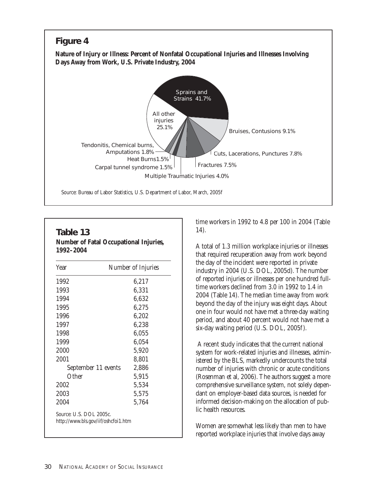### **Figure 4**

**Nature of Injury or Illness: Percent of Nonfatal Occupational Injuries and Illnesses Involving Days Away from Work, U.S. Private Industry, 2004**



#### **Table 13 Number of Fatal Occupational Injuries, 1992–2004**

| Year                | Number of Injuries |
|---------------------|--------------------|
| 1992                | 6,217              |
| 1993                | 6,331              |
| 1994                | 6,632              |
| 1995                | 6,275              |
| 1996                | 6,202              |
| 1997                | 6,238              |
| 1998                | 6,055              |
| 1999                | 6,054              |
| 2000                | 5,920              |
| 2001                | 8,801              |
| September 11 events | 2,886              |
| Other               | 5,915              |
| 2002                | 5,534              |
| 2003                | 5,575              |
| 2004                | 5,764              |

time workers in 1992 to 4.8 per 100 in 2004 (Table 14).

A total of 1.3 million workplace injuries or illnesses that required recuperation away from work beyond the day of the incident were reported in private industry in 2004 (U.S. DOL, 2005d). The number of reported injuries or illnesses per one hundred fulltime workers declined from 3.0 in 1992 to 1.4 in 2004 (Table 14). The median time away from work beyond the day of the injury was eight days. About one in four would not have met a three-day waiting period, and about 40 percent would not have met a six-day waiting period (U.S. DOL, 2005f).

A recent study indicates that the current national system for work-related injuries and illnesses, administered by the BLS, markedly undercounts the total number of injuries with chronic or acute conditions (Rosenman et al, 2006). The authors suggest a more comprehensive surveillance system, not solely dependant on employer-based data sources, is needed for informed decision-making on the allocation of public health resources.

Women are somewhat less likely than men to have reported workplace injuries that involve days away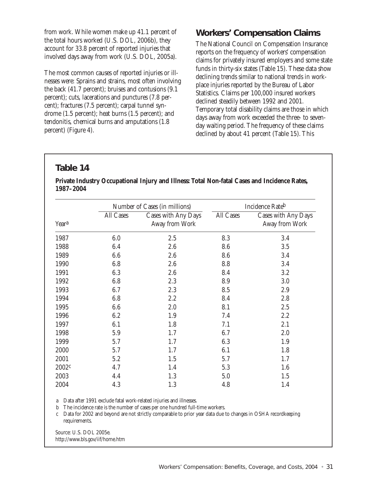from work. While women make up 41.1 percent of the total hours worked (U.S. DOL, 2006b), they account for 33.8 percent of reported injuries that involved days away from work (U.S. DOL, 2005a).

The most common causes of reported injuries or illnesses were: Sprains and strains, most often involving the back (41.7 percent); bruises and contusions (9.1 percent); cuts, lacerations and punctures (7.8 percent); fractures (7.5 percent); carpal tunnel syndrome (1.5 percent); heat burns (1.5 percent); and tendonitis, chemical burns and amputations (1.8 percent) (Figure 4).

### **Workers' Compensation Claims**

The National Council on Compensation Insurance reports on the frequency of workers' compensation claims for privately insured employers and some state funds in thirty-six states (Table 15). These data show declining trends similar to national trends in workplace injuries reported by the Bureau of Labor Statistics. Claims per 100,000 insured workers declined steadily between 1992 and 2001. Temporary total disability claims are those in which days away from work exceeded the three- to sevenday waiting period. The frequency of these claims declined by about 41 percent (Table 15). This

### **Table 14**

| Private Industry Occupational Injury and Illness: Total Non-fatal Cases and Incidence Rates, |  |
|----------------------------------------------------------------------------------------------|--|
| 1987-2004                                                                                    |  |

|       |           | Number of Cases (in millions)         |           | Incidence Rateb                       |
|-------|-----------|---------------------------------------|-----------|---------------------------------------|
| Yeara | All Cases | Cases with Any Days<br>Away from Work | All Cases | Cases with Any Days<br>Away from Work |
| 1987  | 6.0       | 2.5                                   | 8.3       | 3.4                                   |
| 1988  | 6.4       | 2.6                                   | 8.6       | 3.5                                   |
| 1989  | 6.6       | 2.6                                   | 8.6       | 3.4                                   |
| 1990  | 6.8       | 2.6                                   | 8.8       | 3.4                                   |
| 1991  | 6.3       | 2.6                                   | 8.4       | 3.2                                   |
| 1992  | 6.8       | 2.3                                   | 8.9       | 3.0                                   |
| 1993  | 6.7       | 2.3                                   | 8.5       | 2.9                                   |
| 1994  | 6.8       | 2.2                                   | 8.4       | 2.8                                   |
| 1995  | 6.6       | 2.0                                   | 8.1       | 2.5                                   |
| 1996  | 6.2       | 1.9                                   | 7.4       | 2.2                                   |
| 1997  | 6.1       | 1.8                                   | 7.1       | 2.1                                   |
| 1998  | 5.9       | 1.7                                   | 6.7       | 2.0                                   |
| 1999  | 5.7       | 1.7                                   | 6.3       | 1.9                                   |
| 2000  | 5.7       | 1.7                                   | 6.1       | 1.8                                   |
| 2001  | 5.2       | 1.5                                   | 5.7       | 1.7                                   |
| 2002c | 4.7       | 1.4                                   | 5.3       | 1.6                                   |
| 2003  | 4.4       | 1.3                                   | 5.0       | 1.5                                   |
| 2004  | 4.3       | 1.3                                   | 4.8       | 1.4                                   |

a Data after 1991 exclude fatal work-related injuries and illnesses.

b The incidence rate is the number of cases per one hundred full-time workers.

c Data for 2002 and beyond are not strictly comparable to prior year data due to changes in OSHA recordkeeping requirements.

Source: U.S. DOL 2005e. http://www.bls.gov/iif/home.htm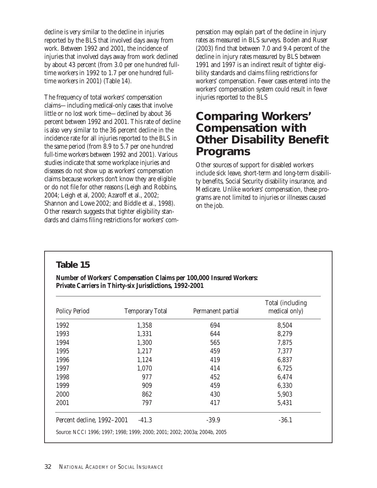decline is very similar to the decline in injuries reported by the BLS that involved days away from work. Between 1992 and 2001, the incidence of injuries that involved days away from work declined by about 43 percent (from 3.0 per one hundred fulltime workers in 1992 to 1.7 per one hundred fulltime workers in 2001) (Table 14).

The frequency of total workers' compensation claims—including medical-only cases that involve little or no lost work time—declined by about 36 percent between 1992 and 2001. This rate of decline is also very similar to the 36 percent decline in the incidence rate for all injuries reported to the BLS in the same period (from 8.9 to 5.7 per one hundred full-time workers between 1992 and 2001). Various studies indicate that some workplace injuries and diseases do not show up as workers' compensation claims because workers don't know they are eligible or do not file for other reasons (Leigh and Robbins, 2004; Leigh et al, 2000; Azaroff et al., 2002; Shannon and Lowe 2002; and Biddle et al., 1998). Other research suggests that tighter eligibility standards and claims filing restrictions for workers' compensation may explain part of the decline in injury rates as measured in BLS surveys. Boden and Ruser (2003) find that between 7.0 and 9.4 percent of the decline in injury rates measured by BLS between 1991 and 1997 is an indirect result of tighter eligibility standards and claims filing restrictions for workers' compensation. Fewer cases entered into the workers' compensation system could result in fewer injuries reported to the BLS

## **Comparing Workers' Compensation with Other Disability Benefit Programs**

Other sources of support for disabled workers include sick leave, short-term and long-term disability benefits, Social Security disability insurance, and Medicare. Unlike workers' compensation, these programs are not limited to injuries or illnesses caused on the job.

| Table |  |  |
|-------|--|--|
|-------|--|--|

| Number of Workers' Compensation Claims per 100,000 Insured Workers: |
|---------------------------------------------------------------------|
| Private Carriers in Thirty-six Jurisdictions, 1992-2001             |

| <b>Policy Period</b>       | <b>Temporary Total</b> | Permanent partial | Total (including)<br>medical only) |
|----------------------------|------------------------|-------------------|------------------------------------|
| 1992                       | 1,358                  | 694               | 8,504                              |
| 1993                       | 1,331                  | 644               | 8,279                              |
| 1994                       | 1,300                  | 565               | 7,875                              |
| 1995                       | 1,217                  | 459               | 7,377                              |
| 1996                       | 1,124                  | 419               | 6,837                              |
| 1997                       | 1,070                  | 414               | 6,725                              |
| 1998                       | 977                    | 452               | 6,474                              |
| 1999                       | 909                    | 459               | 6,330                              |
| 2000                       | 862                    | 430               | 5,903                              |
| 2001                       | 797                    | 417               | 5,431                              |
| Percent decline, 1992-2001 | $-41.3$                | $-39.9$           | $-36.1$                            |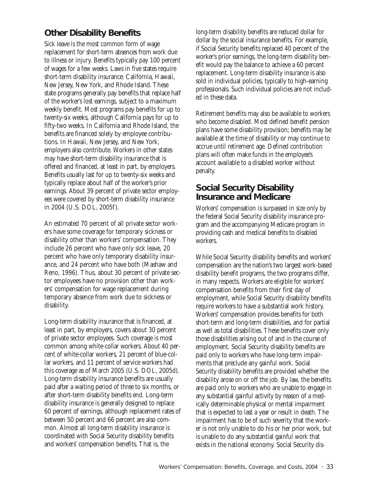## **Other Disability Benefits**

Sick leave is the most common form of wage replacement for short-term absences from work due to illness or injury. Benefits typically pay 100 percent of wages for a few weeks. Laws in five states require short-term disability insurance: California, Hawaii, New Jersey, New York, and Rhode Island. These state programs generally pay benefits that replace half of the worker's lost earnings, subject to a maximum weekly benefit. Most programs pay benefits for up to twenty-six weeks, although California pays for up to fifty-two weeks. In California and Rhode Island, the benefits are financed solely by employee contributions. In Hawaii, New Jersey, and New York, employers also contribute. Workers in other states may have short-term disability insurance that is offered and financed, at least in part, by employers. Benefits usually last for up to twenty-six weeks and typically replace about half of the worker's prior earnings. About 39 percent of private sector employees were covered by short-term disability insurance in 2004 (U.S. DOL, 2005f).

An estimated 70 percent of all private sector workers have some coverage for temporary sickness or disability other than workers' compensation. They include 26 percent who have only sick leave, 20 percent who have only temporary disability insurance, and 24 percent who have both (Mashaw and Reno, 1996). Thus, about 30 percent of private sector employees have no provision other than workers' compensation for wage replacement during temporary absence from work due to sickness or disability.

Long-term disability insurance that is financed, at least in part, by employers, covers about 30 percent of private sector employees. Such coverage is most common among white-collar workers. About 40 percent of white-collar workers, 21 percent of blue-collar workers, and 11 percent of service workers had this coverage as of March 2005 (U.S. DOL, 2005d). Long-term disability insurance benefits are usually paid after a waiting period of three to six months, or after short-term disability benefits end. Long-term disability insurance is generally designed to replace 60 percent of earnings, although replacement rates of between 50 percent and 66 percent are also common. Almost all long-term disability insurance is coordinated with Social Security disability benefits and workers' compensation benefits. That is, the

long-term disability benefits are reduced dollar for dollar by the social insurance benefits. For example, if Social Security benefits replaced 40 percent of the worker's prior earnings, the long-term disability benefit would pay the balance to achieve a 60 percent replacement. Long-term disability insurance is also sold in individual policies, typically to high-earning professionals. Such individual policies are not included in these data.

Retirement benefits may also be available to workers who become disabled. Most defined benefit pension plans have some disability provision; benefits may be available at the time of disability or may continue to accrue until retirement age. Defined contribution plans will often make funds in the employee's account available to a disabled worker without penalty.

### **Social Security Disability Insurance and Medicare**

Workers' compensation is surpassed in size only by the federal Social Security disability insurance program and the accompanying Medicare program in providing cash and medical benefits to disabled workers.

While Social Security disability benefits and workers' compensation are the nation's two largest work-based disability benefit programs, the two programs differ, in many respects. Workers are eligible for workers' compensation benefits from their first day of employment, while Social Security disability benefits require workers to have a substantial work history. Workers' compensation provides benefits for both short-term and long-term disabilities, and for partial as well as total disabilities. These benefits cover only those disabilities arising out of and in the course of employment. Social Security disability benefits are paid only to workers who have long-term impairments that preclude any gainful work. Social Security disability benefits are provided whether the disability arose on or off the job. By law, the benefits are paid only to workers who are unable to engage in any substantial gainful activity by reason of a medically determinable physical or mental impairment that is expected to last a year or result in death. The impairment has to be of such severity that the worker is not only unable to do his or her prior work, but is unable to do any substantial gainful work that exists in the national economy. Social Security dis-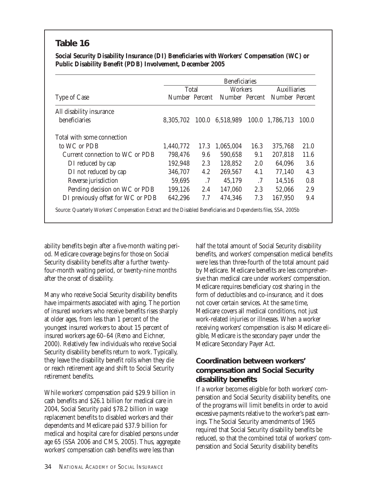### **Table 16**

|                                    | <b>Beneficiaries</b> |              |                                 |      |                               |       |  |
|------------------------------------|----------------------|--------------|---------------------------------|------|-------------------------------|-------|--|
|                                    |                      | <b>Total</b> | Workers                         |      | <b>Auxilliaries</b>           |       |  |
| <b>Type of Case</b>                | Number Percent       |              |                                 |      | Number Percent Number Percent |       |  |
| All disability insurance           |                      |              |                                 |      |                               |       |  |
| beneficiaries                      | 8,305,702            |              | 100.0 6,518,989 100.0 1,786,713 |      |                               | 100.0 |  |
| Total with some connection         |                      |              |                                 |      |                               |       |  |
| to WC or PDB                       | 1,440,772            | 17.3         | 1,065,004                       | 16.3 | 375,768                       | 21.0  |  |
| Current connection to WC or PDB    | 798,476              | 9.6          | 590,658                         | 9.1  | 207,818                       | 11.6  |  |
| DI reduced by cap                  | 192,948              | 2.3          | 128,852                         | 2.0  | 64,096                        | 3.6   |  |
| DI not reduced by cap              | 346,707              | 4.2          | 269,567                         | 4.1  | 77,140                        | 4.3   |  |
| Reverse jurisdiction               | 59,695               | .7           | 45,179                          | .7   | 14,516                        | 0.8   |  |
| Pending decision on WC or PDB      | 199,126              | 2.4          | 147,060                         | 2.3  | 52,066                        | 2.9   |  |
| DI previously offset for WC or PDB | 642,296              | 7.7          | 474,346                         | 7.3  | 167,950                       | 9.4   |  |

#### **Social Security Disability Insurance (DI) Beneficiaries with Workers' Compensation (WC) or Public Disability Benefit (PDB) Involvement, December 2005**

ability benefits begin after a five-month waiting period. Medicare coverage begins for those on Social Security disability benefits after a further twentyfour-month waiting period, or twenty-nine months after the onset of disability.

Many who receive Social Security disability benefits have impairments associated with aging. The portion of insured workers who receive benefits rises sharply at older ages, from less than 1 percent of the youngest insured workers to about 15 percent of insured workers age 60–64 (Reno and Eichner, 2000). Relatively few individuals who receive Social Security disability benefits return to work. Typically, they leave the disability benefit rolls when they die or reach retirement age and shift to Social Security retirement benefits.

While workers' compensation paid \$29.9 billion in cash benefits and \$26.1 billion for medical care in 2004, Social Security paid \$78.2 billion in wage replacement benefits to disabled workers and their dependents and Medicare paid \$37.9 billion for medical and hospital care for disabled persons under age 65 (SSA 2006 and CMS, 2005). Thus, aggregate workers' compensation cash benefits were less than

half the total amount of Social Security disability benefits, and workers' compensation medical benefits were less than three-fourth of the total amount paid by Medicare. Medicare benefits are less comprehensive than medical care under workers' compensation. Medicare requires beneficiary cost sharing in the form of deductibles and co-insurance, and it does not cover certain services. At the same time, Medicare covers all medical conditions, not just work-related injuries or illnesses. When a worker receiving workers' compensation is also Medicare eligible, Medicare is the secondary payer under the Medicare Secondary Payer Act.

#### *Coordination between workers' compensation and Social Security disability benefits*

If a worker becomes eligible for both workers' compensation and Social Security disability benefits, one of the programs will limit benefits in order to avoid excessive payments relative to the worker's past earnings. The Social Security amendments of 1965 required that Social Security disability benefits be reduced, so that the combined total of workers' compensation and Social Security disability benefits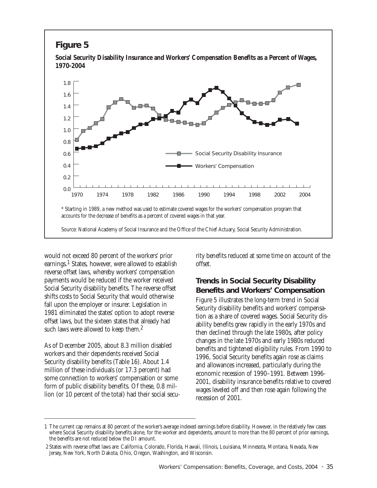#### **Figure 5**



would not exceed 80 percent of the workers' prior earnings.1 States, however, were allowed to establish reverse offset laws, whereby workers' compensation payments would be reduced if the worker received Social Security disability benefits. The reverse offset shifts costs to Social Security that would otherwise fall upon the employer or insurer. Legislation in 1981 eliminated the states' option to adopt reverse offset laws, but the sixteen states that already had such laws were allowed to keep them.<sup>2</sup>

As of December 2005, about 8.3 million disabled workers and their dependents received Social Security disability benefits (Table 16). About 1.4 million of these individuals (or 17.3 percent) had some connection to workers' compensation or some form of public disability benefits. Of these, 0.8 million (or 10 percent of the total) had their social security benefits reduced at some time on account of the offset.

#### *Trends in Social Security Disability Benefits and Workers' Compensation*

Figure 5 illustrates the long-term trend in Social Security disability benefits and workers' compensation as a share of covered wages. Social Security disability benefits grew rapidly in the early 1970s and then declined through the late 1980s, after policy changes in the late 1970s and early 1980s reduced benefits and tightened eligibility rules. From 1990 to 1996, Social Security benefits again rose as claims and allowances increased, particularly during the economic recession of 1990–1991. Between 1996- 2001, disability insurance benefits relative to covered wages leveled off and then rose again following the recession of 2001.

<sup>1</sup> The current cap remains at 80 percent of the worker's average indexed earnings before disability. However, in the relatively few cases where Social Security disability benefits alone, for the worker and dependents, amount to more than the 80 percent of prior earnings, the benefits are not reduced below the DI amount.

<sup>2</sup>States with reverse offset laws are: California, Colorado, Florida, Hawaii, Illinois, Louisiana, Minnesota, Montana, Nevada, New Jersey, New York, North Dakota, Ohio, Oregon, Washington, and Wisconsin.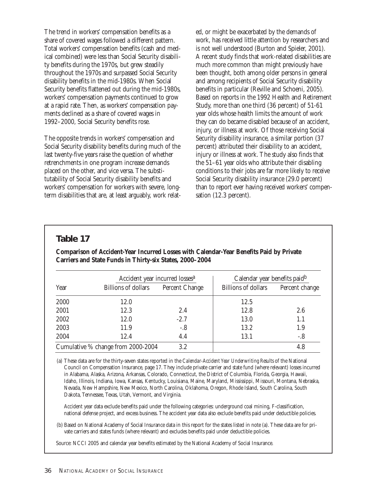The trend in workers' compensation benefits as a share of covered wages followed a different pattern. Total workers' compensation benefits (cash and medical combined) were less than Social Security disability benefits during the 1970s, but grew steadily throughout the 1970s and surpassed Social Security disability benefits in the mid-1980s. When Social Security benefits flattened out during the mid-1980s, workers' compensation payments continued to grow at a rapid rate. Then, as workers' compensation payments declined as a share of covered wages in 1992–2000, Social Security benefits rose.

The opposite trends in workers' compensation and Social Security disability benefits during much of the last twenty-five years raise the question of whether retrenchments in one program increase demands placed on the other, and vice versa. The substitutability of Social Security disability benefits and workers' compensation for workers with severe, longterm disabilities that are, at least arguably, work relat-

ed, or might be exacerbated by the demands of work, has received little attention by researchers and is not well understood (Burton and Spieler, 2001). A recent study finds that work-related disabilities are much more common than might previously have been thought, both among older persons in general and among recipients of Social Security disability benefits in particular (Reville and Schoeni, 2005). Based on reports in the 1992 Health and Retirement Study, more than one third (36 percent) of 51-61 year olds whose health limits the amount of work they can do became disabled because of an accident, injury, or illness at work. Of those receiving Social Security disability insurance, a similar portion (37 percent) attributed their disability to an accident, injury or illness at work. The study also finds that the 51–61 year olds who attribute their disabling conditions to their jobs are far more likely to receive Social Security disability insurance (29.0 percent) than to report ever having received workers' compensation (12.3 percent).

#### **Table 17**

| Accident year incurred losses <sup>a</sup> |                            |                | Calendar year benefits paid <sup>b</sup> |                |  |
|--------------------------------------------|----------------------------|----------------|------------------------------------------|----------------|--|
| Year                                       | <b>Billions of dollars</b> | Percent Change | <b>Billions of dollars</b>               | Percent change |  |
| 2000                                       | 12.0                       |                | 12.5                                     |                |  |
| 2001                                       | 12.3                       | 2.4            | 12.8                                     | 2.6            |  |
| 2002                                       | 12.0                       | $-2.7$         | 13.0                                     | 1.1            |  |
| 2003                                       | 11.9                       | $-.8$          | 13.2                                     | 1.9            |  |
| 2004                                       | 12.4                       | 4.4            | 13.1                                     | $-8$           |  |
| Cumulative % change from 2000-2004         |                            | 3.2            |                                          | 4.8            |  |

**Comparison of Accident-Year Incurred Losses with Calendar-Year Benefits Paid by Private Carriers and State Funds in Thirty-six States, 2000–2004**

(a) These data are for the thirty-seven states reported in the *Calendar-Accident Year Underwriting Results* of the National Council on Compensation Insurance, page 17. They include private carrier and state fund (where relevant) losses incurred in Alabama, Alaska, Arizona, Arkansas, Colorado, Connecticut, the District of Columbia, Florida, Georgia, Hawaii, Idaho, Illinois, Indiana, Iowa, Kansas, Kentucky, Louisiana, Maine, Maryland, Mississippi, Missouri, Montana, Nebraska, Nevada, New Hampshire, New Mexico, North Carolina, Oklahoma, Oregon, Rhode Island, South Carolina, South Dakota, Tennessee, Texas, Utah, Vermont, and Virginia.

Accident year data exclude benefits paid under the following categories: underground coal mining, F-classification, national defense project, and excess business. The accident year data also exclude benefits paid under deductible policies.

(b) Based on National Academy of Social Insurance data in this report for the states listed in note (a). These data are for private carriers and states funds (where relevant) and excludes benefits paid under deductible policies.

Source: NCCI 2005 and calendar year benefits estimated by the National Academy of Social Insurance.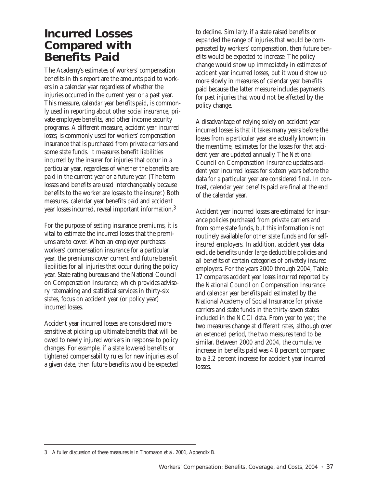## **Incurred Losses Compared with Benefits Paid**

The Academy's estimates of workers' compensation benefits in this report are the amounts paid to workers in a calendar year regardless of whether the injuries occurred in the current year or a past year. This measure, *calendar year benefits paid*, is commonly used in reporting about other social insurance, private employee benefits, and other income security programs. A different measure, *accident year incurred losses*, is commonly used for workers' compensation insurance that is purchased from private carriers and some state funds. It measures benefit liabilities incurred by the insurer for injuries that occur in a particular year, regardless of whether the benefits are paid in the current year or a future year. (The term losses and benefits are used interchangeably because benefits to the worker are losses to the insurer.) Both measures, calendar year benefits paid and accident year losses incurred, reveal important information.3

For the purpose of setting insurance premiums, it is vital to estimate the incurred losses that the premiums are to cover. When an employer purchases workers' compensation insurance for a particular year, the premiums cover current and future benefit liabilities for all injuries that occur during the policy year. State rating bureaus and the National Council on Compensation Insurance, which provides advisory ratemaking and statistical services in thirty-six states, focus on accident year (or policy year) incurred losses.

Accident year incurred losses are considered more sensitive at picking up ultimate benefits that will be owed to newly injured workers in response to policy changes. For example, if a state lowered benefits or tightened compensability rules for new injuries as of a given date, then future benefits would be expected

to decline. Similarly, if a state raised benefits or expanded the range of injuries that would be compensated by workers' compensation, then future benefits would be expected to increase. The policy change would show up immediately in estimates of accident year incurred losses, but it would show up more slowly in measures of calendar year benefits paid because the latter measure includes payments for past injuries that would not be affected by the policy change.

A disadvantage of relying solely on accident year incurred losses is that it takes many years before the losses from a particular year are actually known; in the meantime, estimates for the losses for that accident year are updated annually. The National Council on Compensation Insurance updates accident year incurred losses for sixteen years before the data for a particular year are considered final. In contrast, calendar year benefits paid are final at the end of the calendar year.

Accident year incurred losses are estimated for insurance policies purchased from private carriers and from some state funds, but this information is not routinely available for other state funds and for selfinsured employers. In addition, accident year data exclude benefits under large deductible policies and all benefits of certain categories of privately insured employers. For the years 2000 through 2004, Table 17 compares *accident year losses incurred* reported by the National Council on Compensation Insurance and *calendar year benefits paid* estimated by the National Academy of Social Insurance for private carriers and state funds in the thirty-seven states included in the NCCI data. From year to year, the two measures change at different rates, although over an extended period, the two measures tend to be similar. Between 2000 and 2004, the cumulative increase in benefits paid was 4.8 percent compared to a 3.2 percent increase for accident year incurred losses.

<sup>3</sup> A fuller discussion of these measures is in Thomason et al. 2001, Appendix B.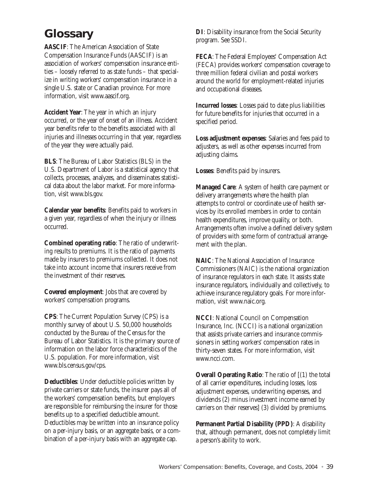## **Glossary**

**AASCIF**: The American Association of State Compensation Insurance Funds (AASCIF) is an association of workers' compensation insurance entities – loosely referred to as state funds – that specialize in writing workers' compensation insurance in a single U.S. state or Canadian province. For more information, visit www.aascif.org.

**Accident Year**: The year in which an injury occurred, or the year of onset of an illness. Accident year benefits refer to the benefits associated with all injuries and illnesses occurring in that year, regardless of the year they were actually paid.

**BLS**: The Bureau of Labor Statistics (BLS) in the U.S. Department of Labor is a statistical agency that collects, processes, analyzes, and disseminates statistical data about the labor market. For more information, visit www.bls.gov.

**Calendar year benefits**: Benefits paid to workers in a given year, regardless of when the injury or illness occurred.

**Combined operating ratio**: The ratio of underwriting results to premiums. It is the ratio of payments made by insurers to premiums collected. It does not take into account income that insurers receive from the investment of their reserves.

**Covered employment**: Jobs that are covered by workers' compensation programs.

**CPS**: The Current Population Survey (CPS) is a monthly survey of about U.S. 50,000 households conducted by the Bureau of the Census for the Bureau of Labor Statistics. It is the primary source of information on the labor force characteristics of the U.S. population. For more information, visit www.bls.census.gov/cps.

**Deductibles:** Under deductible policies written by private carriers or state funds, the insurer pays all of the workers' compensation benefits, but employers are responsible for reimbursing the insurer for those benefits up to a specified deductible amount. Deductibles may be written into an insurance policy on a per-injury basis, or an aggregate basis, or a combination of a per-injury basis with an aggregate cap.

**DI**: Disability insurance from the Social Security program. See SSDI.

**FECA**: The Federal Employees' Compensation Act (FECA) provides workers' compensation coverage to three million federal civilian and postal workers around the world for employment-related injuries and occupational diseases.

**Incurred losses**: Losses paid to date plus liabilities for future benefits for injuries that occurred in a specified period.

**Loss adjustment expenses**: Salaries and fees paid to adjusters, as well as other expenses incurred from adjusting claims.

**Losses**: Benefits paid by insurers.

**Managed Care**: A system of health care payment or delivery arrangements where the health plan attempts to control or coordinate use of health services by its enrolled members in order to contain health expenditures, improve quality, or both. Arrangements often involve a defined delivery system of providers with some form of contractual arrangement with the plan.

**NAIC**: The National Association of Insurance Commissioners (NAIC) is the national organization of insurance regulators in each state. It assists state insurance regulators, individually and collectively, to achieve insurance regulatory goals. For more information, visit www.naic.org.

**NCCI**: National Council on Compensation Insurance, Inc. (NCCI) is a national organization that assists private carriers and insurance commissioners in setting workers' compensation rates in thirty-seven states. For more information, visit www.ncci.com.

**Overall Operating Ratio:** The ratio of  $(1)$  the total of all carrier expenditures, including losses, loss adjustment expenses, underwriting expenses, and dividends (2) minus investment income earned by carriers on their reserves] (3) divided by premiums.

**Permanent Partial Disability (PPD)**: A disability that, although permanent, does not completely limit a person's ability to work.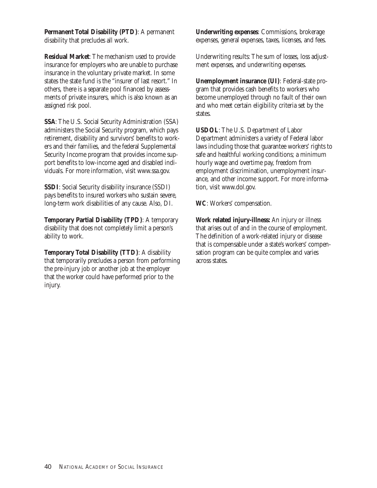**Permanent Total Disability (PTD)**: A permanent disability that precludes all work.

**Residual Market**: The mechanism used to provide insurance for employers who are unable to purchase insurance in the voluntary private market. In some states the state fund is the "insurer of last resort." In others, there is a separate pool financed by assessments of private insurers, which is also known as an assigned risk pool.

**SSA**: The U.S. Social Security Administration (SSA) administers the Social Security program, which pays retirement, disability and survivors' benefits to workers and their families, and the federal Supplemental Security Income program that provides income support benefits to low-income aged and disabled individuals. For more information, visit www.ssa.gov.

**SSDI**: Social Security disability insurance (SSDI) pays benefits to insured workers who sustain severe, long-term work disabilities of any cause. Also, DI.

**Temporary Partial Disability (TPD)**: A temporary disability that does not completely limit a person's ability to work.

**Temporary Total Disability (TTD)**: A disability that temporarily precludes a person from performing the pre-injury job or another job at the employer that the worker could have performed prior to the injury.

**Underwriting expenses**: Commissions, brokerage expenses, general expenses, taxes, licenses, and fees.

Underwriting results: The sum of losses, loss adjustment expenses, and underwriting expenses.

**Unemployment insurance (UI)**: Federal-state program that provides cash benefits to workers who become unemployed through no fault of their own and who meet certain eligibility criteria set by the states.

**USDOL**: The U.S. Department of Labor Department administers a variety of Federal labor laws including those that guarantee workers' rights to safe and healthful working conditions; a minimum hourly wage and overtime pay, freedom from employment discrimination, unemployment insurance, and other income support. For more information, visit www.dol.gov.

**WC**: Workers' compensation.

**Work related injury-illness:** An injury or illness that arises out of and in the course of employment. The definition of a work-related injury or disease that is compensable under a state's workers' compensation program can be quite complex and varies across states.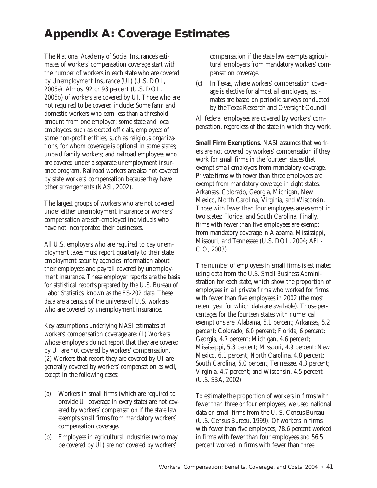## **Appendix A: Coverage Estimates**

The National Academy of Social Insurance's estimates of workers' compensation coverage start with the number of workers in each state who are covered by Unemployment Insurance (UI) (U.S. DOL, 2005e). Almost 92 or 93 percent (U.S. DOL, 2005b) of workers are covered by UI. Those who are not required to be covered include: Some farm and domestic workers who earn less than a threshold amount from one employer; some state and local employees, such as elected officials; employees of some non-profit entities, such as religious organizations, for whom coverage is optional in some states; unpaid family workers; and railroad employees who are covered under a separate unemployment insurance program. Railroad workers are also not covered by state workers' compensation because they have other arrangements (NASI, 2002).

The largest groups of workers who are not covered under either unemployment insurance or workers' compensation are self-employed individuals who have not incorporated their businesses.

All U.S. employers who are required to pay unemployment taxes must report quarterly to their state employment security agencies information about their employees and payroll covered by unemployment insurance. These employer reports are the basis for statistical reports prepared by the U.S. Bureau of Labor Statistics, known as the ES-202 data. These data are a census of the universe of U.S. workers who are covered by unemployment insurance.

Key assumptions underlying NASI estimates of workers' compensation coverage are: (1) Workers whose employers do not report that they are covered by UI are not covered by workers' compensation. (2) Workers that report they are covered by UI are generally covered by workers' compensation as well, except in the following cases:

- (a) Workers in small firms (which are required to provide UI coverage in every state) are not covered by workers' compensation if the state law exempts small firms from mandatory workers' compensation coverage.
- (b) Employees in agricultural industries (who may be covered by UI) are not covered by workers'

compensation if the state law exempts agricultural employers from mandatory workers' compensation coverage.

(c) In Texas, where workers' compensation coverage is elective for almost all employers, estimates are based on periodic surveys conducted by the Texas Research and Oversight Council.

All federal employees are covered by workers' compensation, regardless of the state in which they work.

**Small Firm Exemptions**. NASI assumes that workers are not covered by workers' compensation if they work for small firms in the fourteen states that exempt small employers from mandatory coverage. Private firms with fewer than three employees are exempt from mandatory coverage in eight states: Arkansas, Colorado, Georgia, Michigan, New Mexico, North Carolina, Virginia, and Wisconsin. Those with fewer than four employees are exempt in two states: Florida, and South Carolina. Finally, firms with fewer than five employees are exempt from mandatory coverage in Alabama, Mississippi, Missouri, and Tennessee (U.S. DOL, 2004; AFL-CIO, 2003).

The number of employees in small firms is estimated using data from the U.S. Small Business Administration for each state, which show the proportion of employees in all private firms who worked for firms with fewer than five employees in 2002 (the most recent year for which data are available). Those percentages for the fourteen states with numerical exemptions are: Alabama, 5.1 percent; Arkansas, 5.2 percent; Colorado, 6.0 percent; Florida, 6 percent; Georgia, 4.7 percent; Michigan, 4.6 percent; Mississippi, 5.3 percent; Missouri, 4.9 percent; New Mexico, 6.1 percent; North Carolina, 4.8 percent; South Carolina, 5.0 percent; Tennessee, 4.3 percent; Virginia, 4.7 percent; and Wisconsin, 4.5 percent (U.S. SBA, 2002).

To estimate the proportion of workers in firms with fewer than three or four employees, we used national data on small firms from the U. S. Census Bureau (U.S. Census Bureau, 1999). Of workers in firms with fewer than five employees, 78.6 percent worked in firms with fewer than four employees and 56.5 percent worked in firms with fewer than three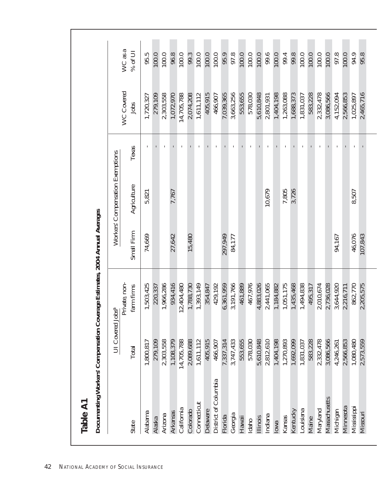| Documenting Workers' Compensation Coverage Estimates, 2004 Annual Averages<br>Table A1 |                              |               |            |                                  |       |                   |           |
|----------------------------------------------------------------------------------------|------------------------------|---------------|------------|----------------------------------|-------|-------------------|-----------|
|                                                                                        | UI Covered Jobs <sup>a</sup> | Private, non- |            | Workers' Compensation Exemptions |       | <b>WC</b> Covered | $WC$ as a |
| <b>State</b>                                                                           | Total                        | arm firms     | Small Firm | Agriculture                      | Texas | Jobs              | $%$ of UI |
| Alabama                                                                                | 1,800,817                    | 1,503,425     | 74,669     | 5,821                            |       | 1,720,327         | 95.5      |
| Alaska                                                                                 | 279,109                      | 220,337       |            |                                  |       | 279,109           | 100.0     |
| Arizona                                                                                | 2,303,558                    | 1,966,286     |            |                                  |       | 2,303,558         | 100.0     |
| Arkansas                                                                               | 1,108,379                    | 934,416       | 27,642     | 7,767                            |       | 1,072,970         | 96.8      |
| California                                                                             | 14,705,788                   | 2,404,480     |            |                                  |       | 14,705,788        | 100.0     |
| Colorado                                                                               | 2,089,688                    | 1,788,730     | 15,480     |                                  |       | 2,074,208         | 99.3      |
| Connecticut                                                                            | 1,611,112                    | 1,393,149     |            |                                  |       | 1,611,112         | 100.0     |
| <b>Delaware</b>                                                                        | 405,915                      | 354,847       |            |                                  |       | 405,915           | 100.0     |
| District of Columbia                                                                   | 466,907                      | 429,192       |            |                                  |       | 466,907           | 100.0     |
| Florida                                                                                | 7,337,314                    | 6,361,959     | 297,949    |                                  |       | 7,039,365         | 95.9      |
| Georgia                                                                                | 3,747,433                    | 3,191,766     | 84,177     |                                  |       | 3,663,256         | 97.8      |
| Hawaii                                                                                 | 553,655                      | 461,889       |            |                                  |       | 553,655           | 100.0     |
| Idaho                                                                                  | 578,030                      | 467,976       |            |                                  |       | 578,030           | 100.0     |
| <b>Illinois</b>                                                                        | 5,610,848                    | 4,883,026     |            |                                  |       | 5,610,848         | 100.0     |
| Indiana                                                                                | 2,812,610                    | 2,441,065     |            | 10,679                           |       | 2,801,931         | 99.6      |
| Iowa                                                                                   | 1,404,198                    | 1,184,882     |            |                                  |       | 1,404,198         | 100.0     |
| Kansas                                                                                 | 1,270,893                    | 1,051,175     |            | 7,805                            |       | 1,263,088         | 99.4      |
| Kentucky                                                                               | 1,692,099                    | 1,435,468     |            | 3,726                            |       | 1,688,373         | 99.8      |
| Louisiana                                                                              | 1,831,037                    | 1,494,838     |            |                                  |       | 1,831,037         | 100.0     |
| Maine                                                                                  | 583,228                      | 495,317       |            |                                  |       | 583,228           | 100.0     |
| Maryland                                                                               | 2,332,478                    | 2,010,674     |            |                                  |       | 2,332,478         | 100.0     |
| Massachusetts                                                                          | 3,086,566                    | 2,736,028     |            |                                  |       | 3,086,566         | 100.0     |
| Michigan                                                                               | 4,246,261                    | 3,644,920     | 94,167     |                                  |       | 4,152,094         | 97.8      |
| Minnesota                                                                              | 2,566,853                    | 2,216,711     |            |                                  |       | 2,566,853         | $0.00$ .  |
| Mississippi                                                                            | 1,080,480                    | 862,770       | 46,076     | 8,507                            |       | 1,025,897         | 94.9      |
| Missouri                                                                               | 2,573,559                    | 2,205,575     | 107,843    |                                  |       | 2,465,716         | 95.8      |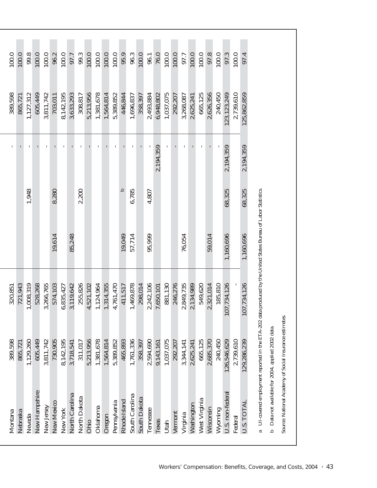| Montana             | 389,598                                           | 320,851                                                                                                      |           |        |           | 389,598     | 100.0 |
|---------------------|---------------------------------------------------|--------------------------------------------------------------------------------------------------------------|-----------|--------|-----------|-------------|-------|
| Nebraska            | 865,721                                           | 721,943                                                                                                      |           |        |           | 865,721     | 100.0 |
| Nevada              | 1,129,260                                         | 1,008,319                                                                                                    |           | 1,948  |           | 1,127,312   | 99.8  |
| New Hampshire       | 605,449                                           | 528,268                                                                                                      |           |        |           | 605,449     | 100.0 |
| New Jersey          | 3,811,742                                         | 3,266,765                                                                                                    |           |        |           | 3,811,742   | 100.0 |
| New Mexico          | 730,905                                           | 574,103                                                                                                      | 19,614    | 8,280  |           | 703,011     | 96.2  |
| New York            | 8,142,195                                         | 6,835,427                                                                                                    |           |        |           | 8,142,195   | 100.0 |
| North Carolina      | 3,718,541                                         | 3,119,642                                                                                                    | 85,248    |        |           | 3,633,293   | 97.7  |
| North Dakota        | 311,017                                           | 255,826                                                                                                      |           | 2,200  |           | 308,817     | 99.3  |
| Ohio                | 5,213,956                                         | 4,521,102                                                                                                    |           |        |           | 5,213,956   | 100.0 |
| Oklahoma            | 1,381,678                                         | 1,124,964                                                                                                    |           |        |           | 1,381,678   | 100.0 |
| Oregon              | 1,564,814                                         | 1,314,355                                                                                                    |           |        |           | 1,564,814   | 100.0 |
| Pennsylvania        | 5,389,852                                         | 4,761,470                                                                                                    |           |        |           | 5,389,852   | 100.0 |
| Rhode Island        | 465,893                                           | 411,517                                                                                                      | 19,049    |        |           | 446,844     | 95.9  |
| South Carolina      | 1,761,336                                         | 1,469,878                                                                                                    | 57,714    | 6,785  |           | 1,696,837   | 96.3  |
| <b>South Dakota</b> | 358,397                                           | 298,014                                                                                                      |           |        |           | 358,397     | 100.0 |
| Tennessee           | 2,594,690                                         | 2,242,106                                                                                                    | 95,999    | 4,807  |           | 2,493,884   | 96.1  |
| Texas               | 9.143.161                                         | 7,650,101                                                                                                    |           |        | 2.194.359 | 6,948,802   | 76.0  |
| Utah                | 1,037,075                                         | 881,130                                                                                                      |           |        |           | 1,037,075   | 100.0 |
| Vermont             | 292,207                                           | 246,276                                                                                                      |           |        |           | 292,207     | 100.0 |
| Virginia            | 3,344,141                                         | 2,849,735                                                                                                    | 76,054    |        |           | 3,268,087   | 97.7  |
| Washington          | 2,625,241                                         | 2,134,989                                                                                                    |           |        |           | 2,625,241   | 100.0 |
| West Virginia       | 665,125                                           | 549,620                                                                                                      |           |        |           | 665,125     | 100.0 |
| Wisconsin           | 2,685,370                                         | 2,321,014                                                                                                    | 59,014    |        |           | 2,626,356   | 97.8  |
| Wyoming             | 240,450                                           | 185,810                                                                                                      |           |        |           | 240,450     | 100.0 |
| U.S. non-federal    | 126,546,629                                       | 07,734,126                                                                                                   | 1,160,696 | 68,325 | 2,194,359 | 123,123,249 | 97.3  |
| Federal             | 2,739,610                                         |                                                                                                              |           |        |           | 2,739,610   | 100.0 |
| U.S. TOTAL          | 129,286,239                                       | 07,734,126                                                                                                   | 1,160,696 | 68,325 | 2,194,359 | 125,862,859 | 97.4  |
| $\mathbf{a}$        |                                                   | UI-covered employment reported in the ETA-202 data produced by the United States Bureau of Labor Statistics. |           |        |           |             |       |
|                     |                                                   |                                                                                                              |           |        |           |             |       |
|                     | b Data not available for 2004, applied 2002 data. |                                                                                                              |           |        |           |             |       |

Source: National Academy of Social Insurance estimates. Source: National Academy of Social Insurance estimates.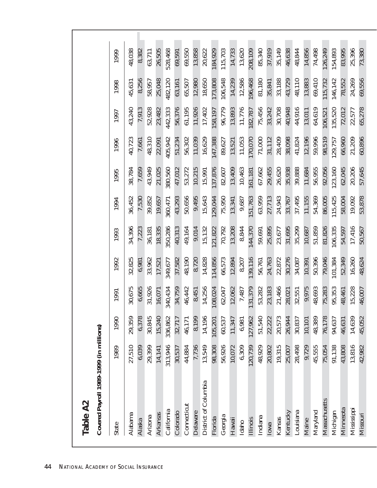| Table A2                                |         |         |         |         |         |         |         |         |         |         |          |
|-----------------------------------------|---------|---------|---------|---------|---------|---------|---------|---------|---------|---------|----------|
| Covered Payroll 1989-1999 (in millions) |         |         |         |         |         |         |         |         |         |         |          |
| <b>State</b>                            | 1989    | 1990    | 1991    | 1992    | 1993    | 1994    | 1995    | 1996    | 1997    | 1998    | 1999     |
| Alabama                                 | 27,510  | 29,359  | 30,675  | 32,825  | 34,396  | 36,452  | 38,784  | 40,723  | 43,240  | 45,631  | 48,038   |
| Alaska                                  | 6,039   | 6,378   | 6,665   | 6,981   | 7,223   | 7,530   | 7,659   | 7,661   | 7,913   | 8,256   | 8,382    |
| Arizona                                 | 29,399  | 30,845  | 31,926  | 33,962  | 36,181  | 39,852  | 43,949  | 48,310  | 52,928  | 58,957  | 63,711   |
| Arkansas                                | 14,141  | 15,240  | 16,071  | 17,521  | 18,335  | 19,657  | 21,025  | 22,091  | 23,482  | 25,048  | 26,505   |
| California                              | 313,946 | 336,862 | 340,434 | 349,677 | 350,286 | 360,471 | 380,560 | 405,942 | 442,333 | 482,120 | 528,468  |
| Colorado                                | 30,537  | 32,717  | 34,759  | 37,582  | 40,313  | 43,293  | 47,012  | 51,234  | 56,376  | 63,161  | 69,591   |
| Connecticut                             | 44,884  | 46,171  | 46,442  | 48,190  | 49,164  | 50,656  | 53,272  | 56,302  | 61,195  | 65,507  | 69,550   |
| Delaware                                | 7,736   | 8,199   | 8,451   | 8,720   | 9.014   | 9,495   | 10.215  | 11,039  | 11,926  | 12,980  | 13,858   |
| District of Columbia                    | 13,549  | 14,196  | 14,256  | 14,828  | 15,132  | 15,643  | 15,991  | 16,629  | 17,402  | 18,650  | 20,622   |
| Florida                                 | 98,308  | 105,201 | 108,024 | 14,856  | 21,822  | 29,044  | 137,876 | .47,388 | [58,197 | 173,808 | 184,929  |
| Georgia                                 | 56,926  | 60,537  | 62,047  | 66,573  | 70,792  | 75,950  | 82,607  | 89,627  | 96,779  | 106,548 | 115,703  |
| Hawaii                                  | 10,072  | 11,347  | 12,062  | 12,894  | 13,208  | 13,341  | 13,409  | 13,521  | 13,893  | 14,239  | 14,733   |
| Idaho                                   | 6,309   | 6,981   | 7,487   | 8,207   | 8,844   | 9,687   | 10,463  | 11,053  | 11,776  | 12,586  | 13,620   |
| <b>Illinois</b>                         | 120,739 | 127,962 | 31,379  | .39,116 | 144,370 | 151,763 | 161,181 | 170,070 | 182,787 | 196,468 | 208,109  |
| Indiana                                 | 48,929  | 51,540  | 53,282  | 56,761  | 59,691  | 63,959  | 67,662  | 71,000  | 75,456  | 81,180  | 85,340   |
| Iowa                                    | 20,802  | 22,222  | 23,183  | 24,763  | 25,895  | 27,713  | 29,455  | 31,112  | 33,242  | 35,841  | 37,919   |
| Kansas                                  | 19,315  | 20,573  | 21,466  | 22,872  | 23,677  | 24,943  | 26,620  | 28,409  | 30,708  | 33,188  | 35,149   |
| Kentucky                                | 25,007  | 26,944  | 28,021  | 30,276  | 31,695  | 33,767  | 35,938  | 38,098  | 40,948  | 43,729  | 46,638   |
| Louisiana                               | 28,498  | 30,837  | 32,551  | 34,087  | 35,299  | 37,495  | 39,888  | 41,824  | 44,916  | 48,110  | 48,844   |
| Maine                                   | 9,729   | 10,101  | 9,975   | 10,391  | 10,687  | 11,155  | 11,684  | 12,196  | 13,011  | 13,883  | 14,856   |
| Maryland                                | 45,555  | 48,389  | 48,693  | 50,396  | 51,859  | 54,369  | 56,955  | 59,996  | 64,619  | 69,410  | 74,498   |
| Massachusetts                           | 75,054  | 76,178  | 75,283  | 79,046  | 81,826  | 86,005  | 92,056  | 98,519  | 106,521 | 115,732 | .26, 249 |
| Michigan                                | 91,138  | 94,637  | 95,353  | 101,384 | 106,335 | 115,425 | 123,160 | 129,757 | 135,520 | 146,142 | 154,893  |
| Minnesota                               | 43,808  | 46,631  | 48,461  | 52,349  | 54,597  | 58,004  | 62,045  | 66,960  | 72,012  | 78,552  | 83,995   |
| Mississippi                             | 13,816  | 14,639  | 15,228  | 16,260  | 17,416  | 19,092  | 20,206  | 21,209  | 22,577  | 24,269  | 25,396   |
| Missouri                                | 42,982  | 45,052  | 46,007  | 48,624  | 50,567  | 53,878  | 57,645  | 60,896  | 65,278  | 69,556  | 73,380   |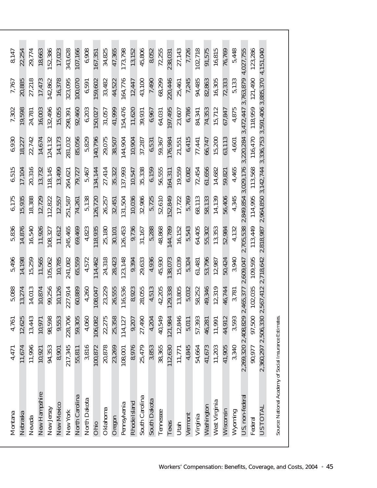| Montana                                                 | 4,471               | 4,761   | 5,088     | 5,496     | 5,836     | 6,175               | 6,515     | 6,930                         | 7,302     | 7,767     | 8,147     |
|---------------------------------------------------------|---------------------|---------|-----------|-----------|-----------|---------------------|-----------|-------------------------------|-----------|-----------|-----------|
| Nebraska                                                | 11,674              | 12,625  | 13,274    | 14,198    | 14,876    | 15,935              | 17,104    | 18,227                        | 19,598    | 20,885    | 22,254    |
| Nevada                                                  | 11,996              | 13,443  | 14,013    | 15,259    | 16,540    | 18,388              | 20,316    | 22,742                        | 24,781    | 27,218    | 29,774    |
| New Hampshire                                           | 10,921              | 10,971  | 10,874    | 11,565    | 11,926    | 12,729              | 13,732    | 14,674                        | 16,003    | 17,473    | 18,663    |
| New Jersey                                              | 94,353              | 98,598  | 99,256    | 105,062   | 108,327   | 112,822             | 118,145   | 124,132                       | 132,496   | 142,862   | 152,386   |
| New Mexico                                              | 8,901               | 9,553   | 10,126    | 10,785    | 11,612    | 12,557              | 13,499    | 14,173                        | 15,055    | 16,378    | 17,023    |
| New York                                                | 217,345             | 228,706 | 227,914   | 241,082   | 245,465   | 251,587             | 264,621   | 281,032                       | 298,391   | 323,095   | 343,628   |
| North Carolina                                          | 55,811              | 59,305  | 60,889    | 65,559    | 69,469    | 74,261              | 79,727    | 85,056                        | 92,460    | 100,070   | 107,166   |
| North Dakota                                            | 3,816               | 4,060   | 4,260     | 4,572     | 4,823     | 5,138               | 5,467     | 5,829                         | 6,203     | 6,591     | 6,908     |
| Ohio                                                    | 100,872             | 106,082 | 108,047   | 114,462   | 118,935   | 126,720             | 134,144   | 140,796                       | 150,027   | 159,602   | 167,351   |
| Oklahoma                                                | 20,878              | 22,275  | 23,229    | 24,318    | 25,180    | 26,257              | 27,414    | 29,075                        | 31,057    | 33,482    | 34,825    |
| Oregon                                                  | 23,269              | 25,358  | 26,555    | 28,423    | 30,101    | 32,451              | 35,322    | 38,507                        | 41,999    | 44,522    | 47,365    |
| Pennsylvania                                            | 108,001             | 114,127 | 116,536   | 123,148   | 126,453   | 131,504             | 137,993   | 144,904                       | 154,476   | 164,776   | 173,798   |
| Rhode Island                                            | 8,976               | 9,207   | 8,923     | 9,394     | 9,736     | 10,036              | 10,547    | 10,904                        | 11,620    | 12,447    | 13,152    |
| South Carolina                                          | 25,479              | 27,490  | 28,055    | 29,633    | 31,167    | 32,986              | 35,338    | 37,287                        | 39,931    | 43,100    | 45,806    |
| South Dakota                                            | 3,853               | 4,204   | 4,513     | 4,936     | 5,288     | 5,725               | 6,159     | 6,531                         | 6,967     | 7,490     | 8,052     |
| Tennessee                                               | 38,365              | 40,549  | 42,205    | 45,930    | 48,868    | 52,610              | 56,555    | 59,367                        | 64,031    | 68,299    | 72,255    |
| Texas                                                   | 112,630             | 121,984 | 129,338   | 138,073   | 144,789   | 152,849             | 164,311   | 176,984                       | 197,495   | 220,446   | 238,031   |
| Utah                                                    | 11,771              | 12,846  | 13,805    | 15,039    | 16,152    | 17,722              | 19,559    | 21,551                        | 23,607    | 25,461    | 27,143    |
| Vermont                                                 | 4,845               | 5,011   | 5,032     | 5,324     | 5,543     | 5,769               | 6,082     | 6,415                         | 6,786     | 7,245     | 7,726     |
| Virginia                                                | 54,664              | 57,393  | 58,252    | 61,481    | 64,405    | 68,113              | 72,454    | 77,441                        | 84,341    | 94,485    | 102,718   |
| Washington                                              | 41,673              | 46,281  | 49,346    | 53,796    | 55,302    | 58,133              | 61,656    | 66,747                        | 74,353    | 82,863    | 91,575    |
| West Virginia                                           | 11,203              | 11,991  | 12,319    | 12,987    | 13,353    | 14,139              | 14,682    | 15,200                        | 15,712    | 16,305    | 16,815    |
| Wisconsin                                               | 41,905              | 44,912  | 46,744    | 50,424    | 52,984    | 56,406              | 59,821    | 63,113                        | 67,847    | 72,333    | 76,769    |
| Wyoming                                                 | 3,340               | 3,593   | 3,781     | 3,940     | 4,132     | 4,345               | 4,465     | 4,601                         | 4.875     | 5,133     | 5,448     |
| US, non-federal                                         | 2,269,320 2,408,829 |         | 2,465,377 | 2,609,047 | 2,705,538 | 2,849,854           | 3,029,176 | 3,220,284                     | 3,472,447 | 3,763,879 | 4,027,755 |
| Federal                                                 | 90,977              | 97,500  | 102,035   | 109,595   | 113,449   | 114,995             | 113,568   | 116,470                       | 118,959   | 121,490   | 123,286   |
| <b>US TOTAL</b>                                         | 2,360,297 2,506,330 |         | 2,567,412 | 2,718,642 | 2,818,987 | 2,964,850 3,142,744 |           | 3,336,753 3,591,406 3,885,370 |           |           | 4,151,040 |
| Source: National Academy of Social Insurance Estimates. |                     |         |           |           |           |                     |           |                               |           |           |           |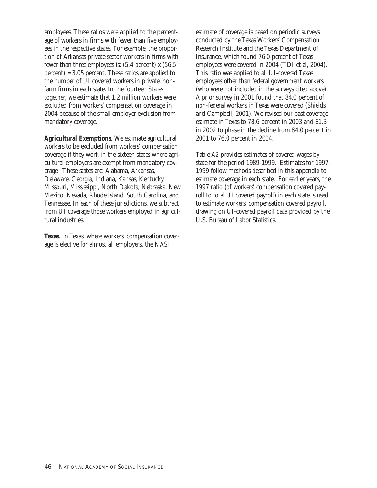employees. These ratios were applied to the percentage of workers in firms with fewer than five employees in the respective states. For example, the proportion of Arkansas private sector workers in firms with fewer than three employees is: (5.4 percent) x (56.5 percent) = 3.05 percent. These ratios are applied to the number of UI covered workers in private, nonfarm firms in each state. In the fourteen States together, we estimate that 1.2 million workers were excluded from workers' compensation coverage in 2004 because of the small employer exclusion from mandatory coverage.

**Agricultural Exemptions**. We estimate agricultural workers to be excluded from workers' compensation coverage if they work in the sixteen states where agricultural employers are exempt from mandatory coverage. These states are: Alabama, Arkansas, Delaware, Georgia, Indiana, Kansas, Kentucky, Missouri, Mississippi, North Dakota, Nebraska, New Mexico, Nevada, Rhode Island, South Carolina, and Tennessee. In each of these jurisdictions, we subtract from UI coverage those workers employed in agricultural industries.

**Texas**. In Texas, where workers' compensation coverage is elective for almost all employers, the NASI

estimate of coverage is based on periodic surveys conducted by the Texas Workers' Compensation Research Institute and the Texas Department of Insurance, which found 76.0 percent of Texas employees were covered in 2004 (TDI et al, 2004). This ratio was applied to all UI-covered Texas employees other than federal government workers (who were not included in the surveys cited above). A prior survey in 2001 found that 84.0 percent of non-federal workers in Texas were covered (Shields and Campbell, 2001). We revised our past coverage estimate in Texas to 78.6 percent in 2003 and 81.3 in 2002 to phase in the decline from 84.0 percent in 2001 to 76.0 percent in 2004.

Table A2 provides estimates of covered wages by state for the period 1989-1999. Estimates for 1997- 1999 follow methods described in this appendix to estimate coverage in each state. For earlier years, the 1997 ratio (of workers' compensation covered payroll to total UI covered payroll) in each state is used to estimate workers' compensation covered payroll, drawing on UI-covered payroll data provided by the U.S. Bureau of Labor Statistics.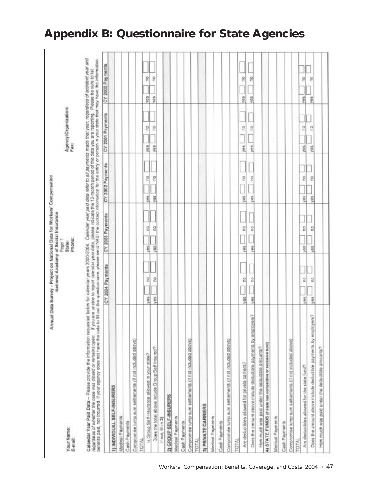| E-mail:                                                                                                                                                                                                                                                                                                                          |                  | Phone:<br>State: |                                                                                                                                                                                                                                                                                         | Fax:             | Agency/Organization: |
|----------------------------------------------------------------------------------------------------------------------------------------------------------------------------------------------------------------------------------------------------------------------------------------------------------------------------------|------------------|------------------|-----------------------------------------------------------------------------------------------------------------------------------------------------------------------------------------------------------------------------------------------------------------------------------------|------------------|----------------------|
| Calendar Paid Data - Please provide the information requested below for calendar years (2000-2004). Calendar year paid data refer to all payments made that reserve of accident year and<br>benefits paid, not incurred. If your agency does not have the data<br>ŧ<br>regardless of whether the case was obsed or remains open. |                  |                  | to fill out this questionnaire, please send NASI the contact information for the entity or person in your state that may have the information<br>you are unable to report calendar year data, please indicate the 12-month period of the data you are reporting. Please be sure to salt |                  |                      |
|                                                                                                                                                                                                                                                                                                                                  | CY 2004 Payments | CY 2003 Payments | CY 2002 Payments                                                                                                                                                                                                                                                                        | CY 2001 Payments | CY 2000 Payments     |
| 1) INDIVIDUAL SELF-INSURERS                                                                                                                                                                                                                                                                                                      |                  |                  |                                                                                                                                                                                                                                                                                         |                  |                      |
| Medical Payments                                                                                                                                                                                                                                                                                                                 |                  |                  |                                                                                                                                                                                                                                                                                         |                  |                      |
| Cash Payments                                                                                                                                                                                                                                                                                                                    |                  |                  |                                                                                                                                                                                                                                                                                         |                  |                      |
| Compromise lump sum settlements (if not included above)                                                                                                                                                                                                                                                                          |                  |                  |                                                                                                                                                                                                                                                                                         |                  |                      |
| TOTAL                                                                                                                                                                                                                                                                                                                            |                  |                  |                                                                                                                                                                                                                                                                                         |                  |                      |
| Is Group Self-Insurance allowed in your state?                                                                                                                                                                                                                                                                                   | 2<br><b>268</b>  | 2<br>g           | 욷<br>夏                                                                                                                                                                                                                                                                                  | 2<br>yes         | 2<br>yes             |
| Does the total above incude Group Self Insured?                                                                                                                                                                                                                                                                                  | 2<br>ğ           | g<br>yas         | 2<br>显                                                                                                                                                                                                                                                                                  | 2<br>giels.      | 2<br>yes             |
| If not, fill in 2)                                                                                                                                                                                                                                                                                                               |                  |                  |                                                                                                                                                                                                                                                                                         |                  |                      |
| 2) GROUP SELF-INSURERS                                                                                                                                                                                                                                                                                                           |                  |                  |                                                                                                                                                                                                                                                                                         |                  |                      |
| Medical Payments                                                                                                                                                                                                                                                                                                                 |                  |                  |                                                                                                                                                                                                                                                                                         |                  |                      |
| Cash Payments                                                                                                                                                                                                                                                                                                                    |                  |                  |                                                                                                                                                                                                                                                                                         |                  |                      |
| Compromise lump sum settlements (if nat included above)                                                                                                                                                                                                                                                                          |                  |                  |                                                                                                                                                                                                                                                                                         |                  |                      |
| TOTAL                                                                                                                                                                                                                                                                                                                            |                  |                  |                                                                                                                                                                                                                                                                                         |                  |                      |
| 3) PRIVATE CARRIERS                                                                                                                                                                                                                                                                                                              |                  |                  |                                                                                                                                                                                                                                                                                         |                  |                      |
| Medical Payments                                                                                                                                                                                                                                                                                                                 |                  |                  |                                                                                                                                                                                                                                                                                         |                  |                      |
| Cash Payments                                                                                                                                                                                                                                                                                                                    |                  |                  |                                                                                                                                                                                                                                                                                         |                  |                      |
| Compromise lump sum settlements (if not included above)                                                                                                                                                                                                                                                                          |                  |                  |                                                                                                                                                                                                                                                                                         |                  |                      |
| TOTAL                                                                                                                                                                                                                                                                                                                            |                  |                  |                                                                                                                                                                                                                                                                                         |                  |                      |
| Are deductibles allowed for private carriers?                                                                                                                                                                                                                                                                                    | g<br>yes:        | 2<br>豊           | 8<br>봘                                                                                                                                                                                                                                                                                  | 2<br>藍           | 읃<br>yies,           |
| Does the amount above include deductible payments by employers?                                                                                                                                                                                                                                                                  | 읃<br>yes.        | 2<br>ğ           | 8<br>g                                                                                                                                                                                                                                                                                  | 2<br>豊           | g<br>yes.            |
| How much was paid under the deductible amounts?                                                                                                                                                                                                                                                                                  |                  |                  |                                                                                                                                                                                                                                                                                         |                  |                      |
| 4) STATE FUNDS of state has competitive or exclusive fund)                                                                                                                                                                                                                                                                       |                  |                  |                                                                                                                                                                                                                                                                                         |                  |                      |
| Medical Payments                                                                                                                                                                                                                                                                                                                 |                  |                  |                                                                                                                                                                                                                                                                                         | ä                |                      |
| Cash Payments                                                                                                                                                                                                                                                                                                                    |                  |                  |                                                                                                                                                                                                                                                                                         |                  |                      |
| Compromise lump sum settlements (if not included above)<br>TOTAL                                                                                                                                                                                                                                                                 |                  |                  |                                                                                                                                                                                                                                                                                         |                  |                      |
| Are deductibles allowed for the state fund?                                                                                                                                                                                                                                                                                      | 2<br>蔓           | 믇<br>ğ           | g<br>题                                                                                                                                                                                                                                                                                  | 믇<br>뷬           | 2<br>夏               |
| yers?<br>Does the amount above include deductible payments by emplo                                                                                                                                                                                                                                                              | 2<br>ğ           | 믄<br>빌           | g<br>gel                                                                                                                                                                                                                                                                                | 2<br>塁           | 2<br>藍               |
|                                                                                                                                                                                                                                                                                                                                  |                  |                  |                                                                                                                                                                                                                                                                                         |                  |                      |

## **Appendix B: Questionnaire for State Agencies**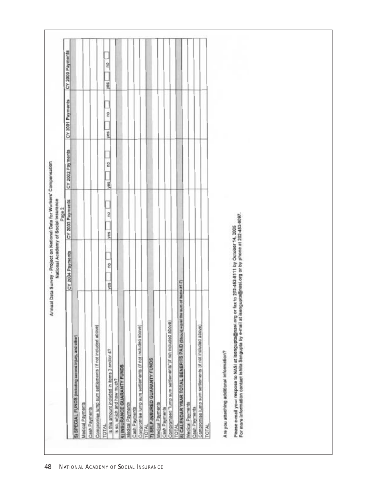| yes<br>CY 2001 Payments<br>2<br>盟<br>CY 2002 Payments<br>2<br>yes<br>CY 2003 Payments<br>8<br>显<br>CY 2004 Payments<br>g<br>yes.<br>is this amount included in items 3 and/or 47<br>is so, which and how much? | 2 | B) CALENDAR YEAR TOTAL BENEFITS PAID (Should equal the sum of terms #1-7)<br>Compromised "lump sum settlements" (if not included above)<br>Compromise lump sum settlements (if not included above)<br>Compromise lump sum settlements (if not included above)<br>5) SPECIAL FUNDS (including second injury, and other)<br>7) SELF-INSURED GUARANTY FUNDS<br>6) INSURANCE GUARANTY FUNDS<br>Medical Payments<br>Medical Payments<br>Medical Payments<br>Medical Payments<br>Cash Payments<br>Cash Payments<br>Cash Payments<br>Cash Payments<br>TOTAL<br>TOTAL<br>TOTAL | Compromise lump sum settlements (if not included above) |  | CY 2000 Payments |
|----------------------------------------------------------------------------------------------------------------------------------------------------------------------------------------------------------------|---|------------------------------------------------------------------------------------------------------------------------------------------------------------------------------------------------------------------------------------------------------------------------------------------------------------------------------------------------------------------------------------------------------------------------------------------------------------------------------------------------------------------------------------------------------------------------|---------------------------------------------------------|--|------------------|
|                                                                                                                                                                                                                |   |                                                                                                                                                                                                                                                                                                                                                                                                                                                                                                                                                                        |                                                         |  |                  |
|                                                                                                                                                                                                                |   |                                                                                                                                                                                                                                                                                                                                                                                                                                                                                                                                                                        |                                                         |  |                  |
|                                                                                                                                                                                                                |   |                                                                                                                                                                                                                                                                                                                                                                                                                                                                                                                                                                        |                                                         |  |                  |
|                                                                                                                                                                                                                |   |                                                                                                                                                                                                                                                                                                                                                                                                                                                                                                                                                                        |                                                         |  |                  |
|                                                                                                                                                                                                                |   |                                                                                                                                                                                                                                                                                                                                                                                                                                                                                                                                                                        |                                                         |  |                  |
|                                                                                                                                                                                                                |   |                                                                                                                                                                                                                                                                                                                                                                                                                                                                                                                                                                        |                                                         |  |                  |
|                                                                                                                                                                                                                |   |                                                                                                                                                                                                                                                                                                                                                                                                                                                                                                                                                                        |                                                         |  |                  |
|                                                                                                                                                                                                                |   |                                                                                                                                                                                                                                                                                                                                                                                                                                                                                                                                                                        |                                                         |  |                  |
|                                                                                                                                                                                                                |   |                                                                                                                                                                                                                                                                                                                                                                                                                                                                                                                                                                        |                                                         |  |                  |
|                                                                                                                                                                                                                |   |                                                                                                                                                                                                                                                                                                                                                                                                                                                                                                                                                                        |                                                         |  |                  |
|                                                                                                                                                                                                                |   |                                                                                                                                                                                                                                                                                                                                                                                                                                                                                                                                                                        |                                                         |  |                  |
|                                                                                                                                                                                                                |   |                                                                                                                                                                                                                                                                                                                                                                                                                                                                                                                                                                        |                                                         |  |                  |
|                                                                                                                                                                                                                |   |                                                                                                                                                                                                                                                                                                                                                                                                                                                                                                                                                                        |                                                         |  |                  |
|                                                                                                                                                                                                                |   |                                                                                                                                                                                                                                                                                                                                                                                                                                                                                                                                                                        |                                                         |  |                  |
|                                                                                                                                                                                                                |   |                                                                                                                                                                                                                                                                                                                                                                                                                                                                                                                                                                        |                                                         |  |                  |
|                                                                                                                                                                                                                |   |                                                                                                                                                                                                                                                                                                                                                                                                                                                                                                                                                                        |                                                         |  |                  |
|                                                                                                                                                                                                                |   |                                                                                                                                                                                                                                                                                                                                                                                                                                                                                                                                                                        |                                                         |  |                  |
|                                                                                                                                                                                                                |   |                                                                                                                                                                                                                                                                                                                                                                                                                                                                                                                                                                        |                                                         |  |                  |
|                                                                                                                                                                                                                |   |                                                                                                                                                                                                                                                                                                                                                                                                                                                                                                                                                                        |                                                         |  |                  |
|                                                                                                                                                                                                                |   |                                                                                                                                                                                                                                                                                                                                                                                                                                                                                                                                                                        |                                                         |  |                  |
|                                                                                                                                                                                                                |   |                                                                                                                                                                                                                                                                                                                                                                                                                                                                                                                                                                        |                                                         |  |                  |
|                                                                                                                                                                                                                |   |                                                                                                                                                                                                                                                                                                                                                                                                                                                                                                                                                                        |                                                         |  |                  |
|                                                                                                                                                                                                                |   |                                                                                                                                                                                                                                                                                                                                                                                                                                                                                                                                                                        |                                                         |  |                  |
| <b>TOTAL</b>                                                                                                                                                                                                   |   |                                                                                                                                                                                                                                                                                                                                                                                                                                                                                                                                                                        |                                                         |  |                  |
|                                                                                                                                                                                                                |   |                                                                                                                                                                                                                                                                                                                                                                                                                                                                                                                                                                        |                                                         |  |                  |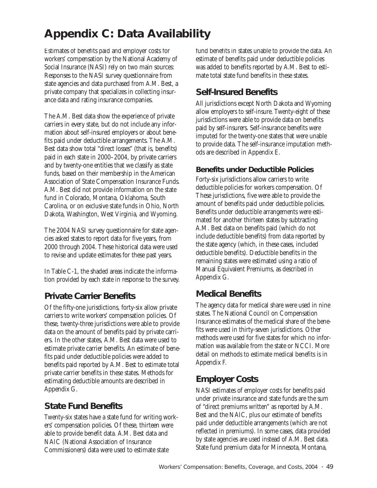## **Appendix C: Data Availability**

Estimates of benefits paid and employer costs for workers' compensation by the National Academy of Social Insurance (NASI) rely on two main sources: Responses to the NASI survey questionnaire from state agencies and data purchased from A.M. Best, a private company that specializes in collecting insurance data and rating insurance companies.

The A.M. Best data show the experience of private carriers in every state, but do not include any information about self-insured employers or about benefits paid under deductible arrangements. The A.M. Best data show total "direct losses" (that is, benefits) paid in each state in 2000–2004, by private carriers and by twenty-one entities that we classify as state funds, based on their membership in the American Association of State Compensation Insurance Funds. A.M. Best did not provide information on the state fund in Colorado, Montana, Oklahoma, South Carolina, or on exclusive state funds in Ohio, North Dakota, Washington, West Virginia, and Wyoming.

The 2004 NASI survey questionnaire for state agencies asked states to report data for five years, from 2000 through 2004. These historical data were used to revise and update estimates for these past years.

In Table C-1, the shaded areas indicate the information provided by each state in response to the survey.

## **Private Carrier Benefits**

Of the fifty-one jurisdictions, forty-six allow private carriers to write workers' compensation policies. Of these, twenty-three jurisdictions were able to provide data on the amount of benefits paid by private carriers. In the other states, A.M. Best data were used to estimate private carrier benefits. An estimate of benefits paid under deductible policies were added to benefits paid reported by A.M. Best to estimate total private carrier benefits in these states. Methods for estimating deductible amounts are described in Appendix G.

## **State Fund Benefits**

Twenty-six states have a state fund for writing workers' compensation policies. Of these, thirteen were able to provide benefit data. A.M. Best data and NAIC (National Association of Insurance Commissioners) data were used to estimate state

fund benefits in states unable to provide the data. An estimate of benefits paid under deductible policies was added to benefits reported by A.M. Best to estimate total state fund benefits in these states.

## **Self-Insured Benefits**

All jurisdictions except North Dakota and Wyoming allow employers to self-insure. Twenty-eight of these jurisdictions were able to provide data on benefits paid by self-insurers. Self-insurance benefits were imputed for the twenty-one states that were unable to provide data. The self-insurance imputation methods are described in Appendix E.

### *Benefits under Deductible Policies*

Forty-six jurisdictions allow carriers to write deductible policies for workers compensation. Of These jurisdictions, five were able to provide the amount of benefits paid under deductible policies. Benefits under deductible arrangements were estimated for another thirteen states by subtracting A.M. Best data on benefits paid (which do not include deductible benefits) from data reported by the state agency (which, in these cases, included deductible benefits). Deductible benefits in the remaining states were estimated using a ratio of Manual Equivalent Premiums, as described in Appendix G.

## **Medical Benefits**

The agency data for medical share were used in nine states. The National Council on Compensation Insurance estimates of the medical share of the benefits were used in thirty-seven jurisdictions. Other methods were used for five states for which no information was available from the state or NCCI. More detail on methods to estimate medical benefits is in Appendix F.

## **Employer Costs**

NASI estimates of employer costs for benefits paid under private insurance and state funds are the sum of "direct premiums written" as reported by A.M. Best and the NAIC, plus our estimate of benefits paid under deductible arrangements (which are not reflected in premiums). In some cases, data provided by state agencies are used instead of A.M. Best data. State fund premium data for Minnesota, Montana,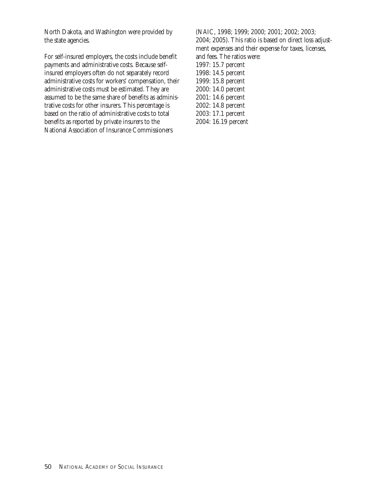North Dakota, and Washington were provided by the state agencies.

For self-insured employers, the costs include benefit payments and administrative costs. Because selfinsured employers often do not separately record administrative costs for workers' compensation, their administrative costs must be estimated. They are assumed to be the same share of benefits as administrative costs for other insurers. This percentage is based on the ratio of administrative costs to total benefits as reported by private insurers to the National Association of Insurance Commissioners

(NAIC, 1998; 1999; 2000; 2001; 2002; 2003; 2004; 2005). This ratio is based on direct loss adjustment expenses and their expense for taxes, licenses, and fees. The ratios were: 1997: 15.7 percent 1998: 14.5 percent 1999: 15.8 percent 2000: 14.0 percent 2001: 14.6 percent 2002: 14.8 percent 2003: 17.1 percent 2004: 16.19 percent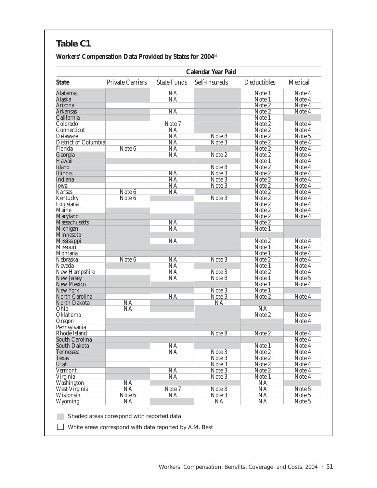### **Table C1**

#### **Workers' Compensation Data Provided by States for 2004**a

|                      |                         |                                     | <b>Calendar Year Paid</b> |                        |         |
|----------------------|-------------------------|-------------------------------------|---------------------------|------------------------|---------|
| <b>State</b>         | <b>Private Carriers</b> | <b>State Funds</b>                  | Self-Insureds             | Deductibles            | Medical |
| <b>Alabama</b>       |                         | <b>NA</b>                           |                           | Note 1                 | Note 4  |
| Alaska               |                         | NA                                  |                           | Note 1                 | Note 4  |
| Arizona              |                         |                                     |                           | Note 2                 | Note 4  |
| <b>Arkansas</b>      |                         | $\overline{\text{NA}}$              |                           | Note 2                 | Note 4  |
| California           |                         |                                     |                           | Note 1                 |         |
| Colorado             |                         | Note 7                              |                           | Note 2                 | Note 4  |
| Connecticut          |                         | <b>NA</b>                           |                           | Note 2                 | Note 4  |
| Delaware             |                         | $\overline{\text{NA}}$              | Note 8                    | Note 2                 | Note 5  |
| District of Columbia |                         | <b>NA</b>                           | Note 3                    | Note 2                 | Note 4  |
| Florida              | Note 6                  | NA                                  |                           | Note 2                 | Note 4  |
| Georgia              |                         | $\overline{\text{NA}}$              | Note 2                    | Note 2                 | Note 4  |
| Hawaii               |                         |                                     |                           | Note 1                 | Note 4  |
| Idaho                |                         |                                     | Note 8                    | Note 2                 | Note 4  |
| <b>Illinois</b>      |                         | $\overline{\text{NA}}$              | Note 3                    | Note 2                 | Note 4  |
| Indiana              |                         | $\overline{\text{NA}}$              | Note 3                    | Note 2                 | Note 4  |
| Iowa                 |                         | <b>NA</b>                           | Note 3                    | Note 2                 | Note 4  |
| <b>Kansas</b>        | Note 6                  | $\overline{\text{NA}}$              |                           | Note 2                 | Note 4  |
| Kentucky             | Note 6                  |                                     | Note 3                    | Note 2                 | Note 4  |
| Louisiana            |                         |                                     |                           | Note 2                 | Note 4  |
| Maine                |                         |                                     |                           | Note 2                 | Note 4  |
| <b>Maryland</b>      |                         |                                     |                           | Note 2                 | Note 4  |
| <b>Massachusetts</b> |                         | NA                                  |                           | Note 2                 |         |
| Michigan             |                         | $\overline{\text{NA}}$              |                           | Note 1                 |         |
| Minnesota            |                         |                                     |                           |                        |         |
| Mississippi          |                         | $\overline{\text{NA}}$              |                           | Note 2                 | Note 4  |
| Missouri             |                         |                                     |                           | Note 1                 | Note 4  |
| Montana              |                         |                                     |                           | Note 1                 | Note 4  |
|                      |                         |                                     |                           |                        |         |
| Nebraska             | Note 6                  | <b>NA</b><br>$\overline{\text{NA}}$ | Note 3                    | Note 2                 | Note 4  |
| Nevada               |                         |                                     |                           | Note 1                 | Note 4  |
| New Hampshire        |                         | <b>NA</b>                           | Note 3                    | Note 2                 | Note 4  |
| New Jersey           |                         | <b>NA</b>                           | Note 8                    | Note 1                 | Note 5  |
| New Mexico           |                         |                                     |                           | Note 1                 | Note 4  |
| New York             |                         |                                     | Note 3                    | Note 1                 |         |
| North Carolina       |                         | <b>NA</b>                           | Note 3                    | Note 2                 | Note 4  |
| North Dakota         | $\overline{\text{NA}}$  |                                     | $\overline{\text{NA}}$    |                        |         |
| Ohio                 | <b>NA</b>               |                                     |                           | <b>NA</b>              |         |
| Oklahoma             |                         |                                     |                           | Note 2                 | Note 4  |
| Oregon               |                         |                                     |                           |                        | Note 4  |
| Pennsylvania         |                         |                                     |                           |                        |         |
| Rhode Island         |                         |                                     | Note 8                    | Note 2                 | Note 4  |
| South Carolina       |                         |                                     |                           |                        | Note 4  |
| South Dakota         |                         | NA                                  |                           | Note 1                 | Note 4  |
| <b>Tennessee</b>     |                         | NA                                  | Note 3                    | Note 2                 | Note 4  |
| <b>Texas</b>         |                         |                                     | Note 3                    | Note 2                 | Note 4  |
| Utah                 |                         |                                     | Note 3                    | Note 2                 | Note 4  |
| Vermont              |                         | NA                                  | Note 3                    | Note 2                 | Note 4  |
| Virginia             |                         | NA                                  | Note 3                    | Note 1                 | Note 4  |
| Washington           | $\overline{\text{NA}}$  |                                     |                           | $\overline{NA}$        |         |
| West Virginia        | NA                      | Note 7                              | Note 8                    | NA                     | Note 5  |
| Wisconsin            | Note 6                  | NA                                  | Note 3                    | $\overline{\text{NA}}$ | Note 5  |
| <b>Wyoming</b>       | <b>NA</b>               |                                     | <b>NA</b>                 | <b>NA</b>              | Note 5  |

Shaded areas corespond with reported data

White areas correspond with data reported by A.M. Best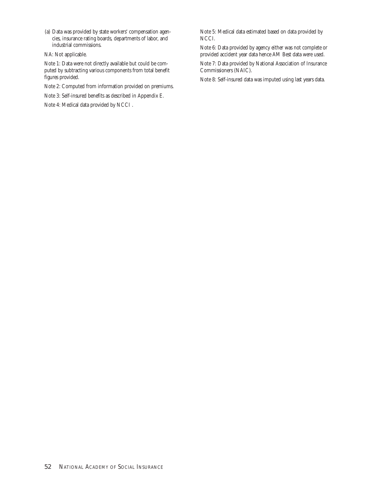(a) Data was provided by state workers' compensation agencies, insurance rating boards, departments of labor, and industrial commissions.

NA: Not applicable.

Note 1: Data were not directly available but could be computed by subtracting various components from total benefit figures provided.

Note 2: Computed from information provided on premiums.

Note 3: Self-insured benefits as described in Appendix E.

Note 4: Medical data provided by NCCI .

Note 5: Medical data estimated based on data provided by NCCI.

Note 6: Data provided by agency either was not complete or provided accident year data hence AM Best data were used.

Note 7: Data provided by National Association of Insurance Commissioners (NAIC).

Note 8: Self-insured data was imputed using last years data.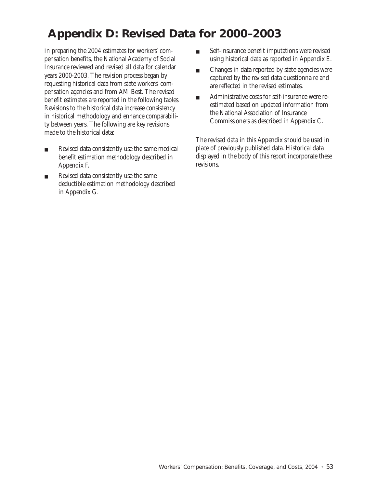## **Appendix D: Revised Data for 2000–2003**

In preparing the 2004 estimates for workers' compensation benefits, the National Academy of Social Insurance reviewed and revised all data for calendar years 2000-2003. The revision process began by requesting historical data from state workers' compensation agencies and from AM Best. The revised benefit estimates are reported in the following tables. Revisions to the historical data increase consistency in historical methodology and enhance comparability between years. The following are key revisions made to the historical data:

- Revised data consistently use the same medical benefit estimation methodology described in Appendix F.
- Revised data consistently use the same deductible estimation methodology described in Appendix G.
- Self-insurance benefit imputations were revised using historical data as reported in Appendix E.
- Changes in data reported by state agencies were captured by the revised data questionnaire and are reflected in the revised estimates.
- Administrative costs for self-insurance were reestimated based on updated information from the National Association of Insurance Commissioners as described in Appendix C.

The revised data in this Appendix should be used in place of previously published data. Historical data displayed in the body of this report incorporate these revisions.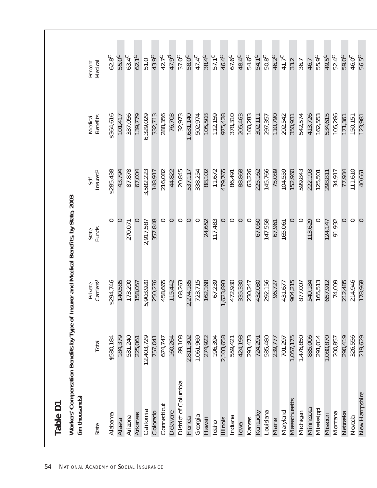| District of Columbia<br>(in thousands)<br>Connecticut<br>California<br>Louisiana<br>Kentucky<br>Maryland<br>Colorado<br>Delaware<br>Arkansas<br>Alabama<br>Arizona<br>Georgia<br>Indiana<br>Florida<br>Kansas<br>Hawaii<br>Illinois<br>Maine<br>Alaska<br>Idaho<br>Iowa<br><b>State</b> | 531,240<br>12,403,729<br>184,379<br>\$580,184<br>225,061<br>757,041<br>Total | \$294,746<br>Carriers <sup>a</sup><br>Private |                |                                                  |                            |                    |
|-----------------------------------------------------------------------------------------------------------------------------------------------------------------------------------------------------------------------------------------------------------------------------------------|------------------------------------------------------------------------------|-----------------------------------------------|----------------|--------------------------------------------------|----------------------------|--------------------|
|                                                                                                                                                                                                                                                                                         |                                                                              |                                               | Funds<br>State | $\mbox{Insured}^{\mbox{\scriptsize b}}$<br>Self- | <b>Benefits</b><br>Medical | Medical<br>Percent |
|                                                                                                                                                                                                                                                                                         |                                                                              |                                               | $\circ$        | \$285,438                                        | \$364,616                  | 62.8 <sup>c</sup>  |
|                                                                                                                                                                                                                                                                                         |                                                                              | 140,585                                       | $\circ$        | 43,794                                           | 101,417                    | 55.0 <sup>c</sup>  |
|                                                                                                                                                                                                                                                                                         |                                                                              | 173,290                                       | 270,071        | 87,878                                           | 337,056                    | 63.4 <sup>C</sup>  |
|                                                                                                                                                                                                                                                                                         |                                                                              | 158,057                                       |                | 67,004                                           | 139,779                    | 62.1 <sup>c</sup>  |
|                                                                                                                                                                                                                                                                                         |                                                                              | 5,903,920                                     | 2,917,587      | 3,582,223                                        | 6,329,029                  | 51.0               |
|                                                                                                                                                                                                                                                                                         |                                                                              | 250,276                                       | 357,848        | 148,917                                          | 332,713                    | 43.9 <sup>C</sup>  |
|                                                                                                                                                                                                                                                                                         | 674,747                                                                      | 458,665                                       | $\circ$        | 216,082                                          | 288,356                    | $42.7^{\circ}$     |
|                                                                                                                                                                                                                                                                                         | 160,264                                                                      | 115,442                                       | $\circ$        | 44,822                                           | 76,703                     | 47.9d              |
|                                                                                                                                                                                                                                                                                         | 89,108                                                                       | 68,263                                        | $\circ$        | 20,845                                           | 32,973                     | $37.0^{\circ}$     |
|                                                                                                                                                                                                                                                                                         | 2,811,302                                                                    | 2,274,185                                     | $\circ$        | 537,117                                          | ,631,140                   | 58.0 <sup>c</sup>  |
|                                                                                                                                                                                                                                                                                         | 1,061,969                                                                    | 723,715                                       | 0              | 338,254                                          | 502,974                    | $47.4^{\circ}$     |
|                                                                                                                                                                                                                                                                                         | 274,922                                                                      | 162,168                                       | 24,652         | 88,102                                           | 105,503                    | 38.4 <sup>C</sup>  |
|                                                                                                                                                                                                                                                                                         | 196,394                                                                      | 67,239                                        | 117,483        | 11,672                                           | 112,159                    | $57.1^{\circ}$     |
|                                                                                                                                                                                                                                                                                         | 2,103,658                                                                    | .,623,893                                     | $\circ$        | 479,765                                          | 975,428                    | 46.4 <sup>C</sup>  |
|                                                                                                                                                                                                                                                                                         | 559,421                                                                      | 472,930                                       | $\circ$        | 86,491                                           | 378,310                    | <b>67.6°</b>       |
|                                                                                                                                                                                                                                                                                         | 424,198                                                                      | 335,330                                       | $\circ$        | 88,868                                           | 205,463                    | 48.4 <sup>C</sup>  |
|                                                                                                                                                                                                                                                                                         | 293,473                                                                      | 230,247                                       | 0              | 63,226                                           | 160,283                    | 54.6 <sup>c</sup>  |
|                                                                                                                                                                                                                                                                                         | 724,291                                                                      | 432,080                                       | 67,050         | 225,162                                          | 392,111                    | 54.1 <sup>C</sup>  |
|                                                                                                                                                                                                                                                                                         | 585,480                                                                      | 292,156                                       | 147,558        | 145,766                                          | 297,357                    | $50.8^\mathrm{C}$  |
|                                                                                                                                                                                                                                                                                         | 239,777                                                                      | 96,727                                        | 67,961         | 75,089                                           | 110,790                    | 46.2 <sup>c</sup>  |
|                                                                                                                                                                                                                                                                                         | 701,297                                                                      | 431,677                                       | 165,061        | 104,559                                          | 292,542                    | $41.7^{\circ}$     |
| Massachusetts                                                                                                                                                                                                                                                                           | 1,057,175                                                                    | 904,215                                       | $\circ$        | 152,960                                          | 350,931                    | 33.2               |
| Michigan                                                                                                                                                                                                                                                                                | 1,476,850                                                                    | 877,007                                       | $\circ$        | 599,843                                          | 542,574                    | 36.7               |
| Minnesota                                                                                                                                                                                                                                                                               | 885,006                                                                      | 549,184                                       | 113,629        | 222,193                                          | 413,726                    | 46.7               |
| Mississippi                                                                                                                                                                                                                                                                             | 291,014                                                                      | 165,513                                       | $\circ$        | 125,501                                          | 162,553                    | 55.9C              |
| Missouri                                                                                                                                                                                                                                                                                | 1,080,870                                                                    | 657,912                                       | 124,147        | 298,811                                          | 534,615                    | 49.5 <sup>C</sup>  |
| Montana                                                                                                                                                                                                                                                                                 | 200,857                                                                      | 74,009                                        | 91,932         | 34,917                                           | 105,286                    | $52.4^C$           |
| Nebraska                                                                                                                                                                                                                                                                                | 290,419                                                                      | 212,485                                       | $\circ$        | 77,934                                           | 171,361                    | 59.0 <sup>c</sup>  |
| Nevada                                                                                                                                                                                                                                                                                  | 326,556                                                                      | 214,946                                       | $\circ$        | 111.610                                          | 150,151                    | $46.0^{\circ}$     |
| New Hampshire                                                                                                                                                                                                                                                                           | 219,629                                                                      | 178,968                                       | $\circ$        | 40,661                                           | 123,981                    | 56.5 <sup>C</sup>  |

Г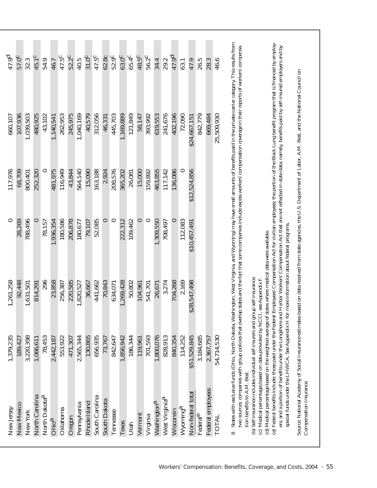| New Jersey                                                                                                         | 1,379,235    | 1,261,258    |              | 117,976      | 660,107                                                                                                                                                                                                                                                                                                                                                                     | 47.9d             |
|--------------------------------------------------------------------------------------------------------------------|--------------|--------------|--------------|--------------|-----------------------------------------------------------------------------------------------------------------------------------------------------------------------------------------------------------------------------------------------------------------------------------------------------------------------------------------------------------------------------|-------------------|
| New Mexico                                                                                                         | 189,427      | 92,448       | 28,269       | 68,709       | 107.936                                                                                                                                                                                                                                                                                                                                                                     | 57.0°             |
| New York                                                                                                           | 3,220,398    | 1,631,501    | 788,496      | 800,401      | 1,039,503                                                                                                                                                                                                                                                                                                                                                                   | 32.3              |
| North Carolina                                                                                                     | 1,066,611    | 814.291      |              | 252,320      | 480,925                                                                                                                                                                                                                                                                                                                                                                     | 45.1 <sup>c</sup> |
| North Dakota <sup>a</sup>                                                                                          | 78,453       | 296          | 78,157       |              | 43,102                                                                                                                                                                                                                                                                                                                                                                      | 54.9              |
| Ohio <sup>a</sup>                                                                                                  | 2,442,187    | 23,858       | ,936,354     | 481,975      | 1,140,541                                                                                                                                                                                                                                                                                                                                                                   | 46.7              |
| Oklahoma                                                                                                           | 553,922      | 256,387      | 180,586      | 116,949      | 262,953                                                                                                                                                                                                                                                                                                                                                                     | 47.5C             |
| Oregon                                                                                                             | 471,307      | 220,585      | 206,878      | 43,844       | 245,975                                                                                                                                                                                                                                                                                                                                                                     | 52.2 <sup>c</sup> |
| Pennsylvania                                                                                                       | 2,565,344    | 1,820,527    | 180,677      | 564,140      | 1,040,169                                                                                                                                                                                                                                                                                                                                                                   | 40.5              |
| Rhode Island                                                                                                       | 130,865      | 36,667       | 79,107       | 15,090       | 40,579                                                                                                                                                                                                                                                                                                                                                                      | 31.0 <sup>c</sup> |
| South Carolina                                                                                                     | 656,935      | 441,662      | 52,085       | 163,188      | 312,056                                                                                                                                                                                                                                                                                                                                                                     | 47.5 <sup>c</sup> |
| <b>South Dakota</b>                                                                                                | 73,767       | 70,843       | 0            | 2,924        | 46,331                                                                                                                                                                                                                                                                                                                                                                      | 62.8c             |
| <b>Tennessee</b>                                                                                                   | 842.647      | 634,071      | 0            | 208,576      | 445,703                                                                                                                                                                                                                                                                                                                                                                     | 52.9 <sup>C</sup> |
| Texas                                                                                                              | 1,856,942    | ,269,428     | 222,312      | 365,202      | 1,169,889                                                                                                                                                                                                                                                                                                                                                                   | $63.0^{\circ}$    |
| Utah                                                                                                               | 186,344      | 50,802       | 109,462      | 26,081       | 121,849                                                                                                                                                                                                                                                                                                                                                                     | 65.4 <sup>C</sup> |
| Vermont                                                                                                            | 119,961      | 104,961      | $\circ$      | 15,000       | 58,147                                                                                                                                                                                                                                                                                                                                                                      | 48.5 <sup>C</sup> |
| Virginia                                                                                                           | 701,593      | 541,701      | 0            | 159,892      | 393,992                                                                                                                                                                                                                                                                                                                                                                     | 56.2 <sup>C</sup> |
| Washington <sup>a</sup>                                                                                            | 1,800,076    | 26,671       | 1,309,550    | 463,855      | 619,553                                                                                                                                                                                                                                                                                                                                                                     | 34.4              |
| West Virginia <sup>a</sup>                                                                                         | 828,913      | 3,274        | 708,497      | 117,142      | 241,676                                                                                                                                                                                                                                                                                                                                                                     | 29.2              |
| Wisconsin                                                                                                          | 840,354      | 704,268      |              | 136,086      | 402,196                                                                                                                                                                                                                                                                                                                                                                     | 47.9 <sup>d</sup> |
| Wyoming <sup>a</sup>                                                                                               | 114,252      | 2,169        | 112.083      |              | 72,090                                                                                                                                                                                                                                                                                                                                                                      | 63.1              |
| Non-federal tota                                                                                                   | \$51,529,845 | \$28,547,498 | \$10,457,491 | \$12,524,856 | \$24,667,151                                                                                                                                                                                                                                                                                                                                                                | 47.9              |
| Federal <sup>e</sup>                                                                                               | 3,184,685    |              |              |              | 842,779                                                                                                                                                                                                                                                                                                                                                                     | 26.5              |
| Federal employees                                                                                                  | 2,367,757    |              |              |              | 669,484                                                                                                                                                                                                                                                                                                                                                                     | 28.3              |
| IOTAL                                                                                                              | 54,714,530   |              |              |              | 25,509,930                                                                                                                                                                                                                                                                                                                                                                  | 46.6              |
| (b) Self-insurance includes individual self-insurers and group self-insurance.<br>tion benefits to A.M. Best.<br>∞ |              |              |              |              | States with exclusive funds (Ohio, North Dakota, Washington, West Virginia, and Wyoming) may have small amounts of benefits paid in the private carrier category. This results from<br>two sources: companies with group policies that overlap states and the fact that some companies include excess workers' compensation coverage in their reports of workers' compensa- |                   |
| (c) Medical percentages based on data provided by NCCI, see Appendix F.                                            |              |              |              |              |                                                                                                                                                                                                                                                                                                                                                                             |                   |

<sup>(</sup>d) Medical percentage based on the weighted average of states where medical data were available.<br>(e) Federal benefits include: those paid under the Federal Employees' Compensation Act for civilian employees; the portion o (e) Federal benefits include: those paid under the Federal Employees' Compensation Act for civilian employees; the portion of the Black Lung benefit program that is financed by employers; and a portion of benefits under the Longshore and Harbor Workers' Compensation Act that are not reflected in state data, namely, benefits paid by self-insured employers and by (d) Medical percentage based on the weighted average of states where medical data were available.

special funds under the LHWCA. See Appendix H for more information about federal programs.

Source: National Academy of Social Insurance estimates based on data received from state agencies, the U.S. Department of Labor, A.M. Best, and the National Council on Source: National Academy of Social Insurance estimates based on data received from state agencies, the U.S. Department of Labor, A.M. Best, and the National Council on Compensation Insurance. Compensation Insurance.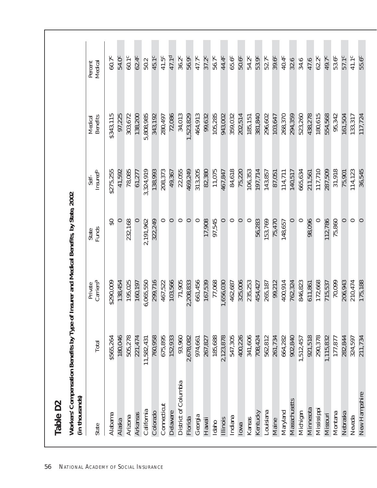| Workers' Compensation Benefits by Type of I<br>Table D2 |            |                                   | nsurer and Medical Benefits, by State, 2002 |                               |                            |                    |
|---------------------------------------------------------|------------|-----------------------------------|---------------------------------------------|-------------------------------|----------------------------|--------------------|
| (in thousands)<br><b>State</b>                          | Total      | $\rm Carriers^{\bf a}$<br>Private | Funds<br><b>State</b>                       | Insured <sup>b</sup><br>Self- | <b>Benefits</b><br>Medical | Medical<br>Percent |
| Alabama                                                 | \$565,264  | \$290,009                         | $\infty$                                    | \$275,255                     | \$343,115                  | 60.7c              |
| Alaska                                                  | 180,046    | 138,454                           | $\circ$                                     | 41,592                        | 97,225                     | 54.0 <sup>c</sup>  |
| Arizona                                                 | 505,278    | 195,025                           | 232,168                                     | 78,085                        | 303,672                    | $60.1^c$           |
| Arkansas                                                | 221,474    | 160,197                           | $\circ$                                     | 61,277                        | 138,200                    | 62.4c              |
| California                                              | 11,582,431 | 6,065,550                         | 2,191,962                                   | 3,324,919                     | 5,808,985                  | 50.2               |
| Colorado                                                | 760,958    | 299,716                           | 322,249                                     | 138,993                       | 343,192                    | 45.1c              |
| Connecticut                                             | 675,895    | 467,522                           | $\circ$                                     | 208,373                       | 280,497                    | 41.5c              |
| Delaware                                                | 152,933    | 103,566                           | 0                                           | 49,367                        | 72,086                     | 47.1d              |
| District of Columbia                                    | 93,960     | 71,905                            | 0                                           | 22,055                        | 34,013                     | 36.2c              |
| Florida                                                 | 2,678,082  | 2,208,833                         | $\circ$                                     | 469,249                       | .523,829                   | 56.9c              |
| Georgia                                                 | 974,661    | 661,456                           | $\circ$                                     | 313,205                       | 464,913                    | 47.7c              |
| Hawaii                                                  | 267,827    | 167,539                           | 17,908                                      | 82,380                        | 99,632                     | 37.2c              |
| Idaho                                                   | 185,688    | 77,068                            | 97,545                                      | 11,075                        | 105,285                    | 56.7c              |
| Illinois                                                | 2,123,878  | 656,030                           | $\circ$                                     | 467,847                       | 943,002                    | 44.4 <sup>c</sup>  |
| Indiana                                                 | 547,305    | 462,687                           | 0                                           | 84,618                        | 359,032                    | 65.6c              |
| Iowa                                                    | 400,226    | 325,006                           | $\circ$                                     | 75,220                        | 202,514                    | 50.6 <sup>c</sup>  |
| Kansas                                                  | 341,606    | 235,253                           | $\circ$                                     | 106,353                       | 185,151                    | 54.2c              |
| Kentucky                                                | 708,424    | 454.427                           | 56,283                                      | 197,714                       | 381,840                    | 53.90              |
| Louisiana                                               | 562,812    | 265,187                           | 153,769                                     | 143,857                       | 296,602                    | 52.7c              |
| Maine                                                   | 261,734    | 99,212                            | 75,470                                      | 87,051                        | 103,647                    | 39.6               |
| Maryland                                                | 664,282    | 400,914                           | 148,657                                     | 114,711                       | 268,370                    | 40.4c              |
| Massachusetts                                           | 902,840    | 762,324                           | $\circ$                                     | 140,517                       | 294,359                    | 32.6               |
| Michigan                                                | 1,512,457  | 846,823                           | 0                                           | 665,634                       | 523,260                    | 34.6               |
| Minnesota                                               | 921,518    | 611,861                           | 98,096                                      | 211,561                       | 438,278                    | 47.6               |
| Mississippi                                             | 290,378    | 172,668                           | $\circ$                                     | 117,710                       | 180,615                    | 62.2c              |
| Missouri                                                | 1,115,832  | 715,537                           | 112,786                                     | 287,509                       | 554,568                    | 49.7c              |
| Montana                                                 | 177,877    | 70,099                            | 75,860                                      | 31,918                        | 95,342                     | 53.6 <sup>c</sup>  |
| Nebraska                                                | 282,844    | 206,943                           | $\circ$                                     | 75,901                        | 161,504                    | 57.1c              |
| Nevada                                                  | 324,597    | 210,474                           | 0                                           | 114,123                       | 133,317                    | 41.1c              |
| New Hampshire                                           | 211,734    | 175,188                           | $\circ$                                     | 36,545                        | 117,724                    | 55.60              |
|                                                         |            |                                   |                                             |                               |                            |                    |

Г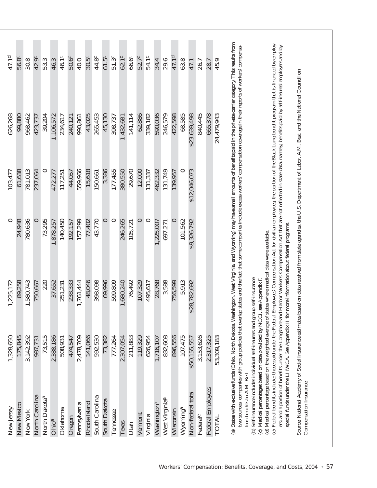| New Jersey                                                                                       | 1,328,650    | 1,225,172          |             | 103,477      | 626,268                                                                                                                                                                                                                                                                                                                                                                         | 47.1d             |
|--------------------------------------------------------------------------------------------------|--------------|--------------------|-------------|--------------|---------------------------------------------------------------------------------------------------------------------------------------------------------------------------------------------------------------------------------------------------------------------------------------------------------------------------------------------------------------------------------|-------------------|
| New Mexico                                                                                       | 175,845      | 89.258             | 24.948      | 61,638       | 99.880                                                                                                                                                                                                                                                                                                                                                                          | 56.8c             |
| New York                                                                                         | 3,142,392    | 1,580,743          | 780,636     | 781,013      | 968,462                                                                                                                                                                                                                                                                                                                                                                         | 30.8              |
| North Carolina                                                                                   | 987,731      | 750,667            |             | 237,064      | 423,737                                                                                                                                                                                                                                                                                                                                                                         | 42.9c             |
| North Dakota <sup>a</sup>                                                                        | 73,515       | 220                | 73,295      |              | 39,204                                                                                                                                                                                                                                                                                                                                                                          | 53.3              |
| Ohio <sup>a</sup>                                                                                | 2,388,186    | 37,652             | ,878,257    | 472,277      | 1,106,572                                                                                                                                                                                                                                                                                                                                                                       | 46.3              |
| Oklahoma                                                                                         | 508,931      | 251,231            | 140,450     | 117,251      | 234,617                                                                                                                                                                                                                                                                                                                                                                         | 46.1c             |
| Oregon                                                                                           | 474,547      | 238,333            | 192,157     | 44,057       | 240,121                                                                                                                                                                                                                                                                                                                                                                         | 50.6 <sup>c</sup> |
| Pennsylvania                                                                                     | 2,478,709    | 1,761,444          | 157,299     | 559,966      | 990,861                                                                                                                                                                                                                                                                                                                                                                         | 40.0              |
| Rhode Island                                                                                     | 141,066      | 48,046             | 77,402      | 15,618       | 43,025                                                                                                                                                                                                                                                                                                                                                                          | 30.5c             |
| South Carolina                                                                                   | 592,530      | 398,098            | 43,770      | 150,661      | 265,453                                                                                                                                                                                                                                                                                                                                                                         | 44.8c             |
| South Dakota                                                                                     | 73,382       | 69.996             | $\circ$     | 3.386        | 45.130                                                                                                                                                                                                                                                                                                                                                                          | 61.5c             |
| Tennessee                                                                                        | 777,264      | 599,809            | $\circ$     | 177,455      | 398,737                                                                                                                                                                                                                                                                                                                                                                         | 51.3c             |
| Texas                                                                                            | 2,307,054    | 1.680.240          | 246.265     | 380,550      | 132,681                                                                                                                                                                                                                                                                                                                                                                         | 62.1c             |
| Utah                                                                                             | 211,883      | 76,492             | 105,721     | 29,670       | 141,114                                                                                                                                                                                                                                                                                                                                                                         | 66.6 <sup>c</sup> |
| Vermont                                                                                          | 119,329      | 107,329            |             | 12,000       | 62,886                                                                                                                                                                                                                                                                                                                                                                          | 52.7c             |
| Virginia                                                                                         | 626,954      | 495,617            | $\circ$     | 131,337      | 339,182                                                                                                                                                                                                                                                                                                                                                                         | 54.1c             |
| Washington <sup>a</sup>                                                                          | 1,716,107    | 28,768             | 1,225,007   | 462,332      | 590,036                                                                                                                                                                                                                                                                                                                                                                         | 34.4              |
| West Virginia <sup>a</sup>                                                                       | 832,608      | 3,588              | 697,271     | 131,749      | 246,579                                                                                                                                                                                                                                                                                                                                                                         | 29.6              |
| Wisconsin                                                                                        | 896,556      | 756,599            |             | 139,957      | 422,598                                                                                                                                                                                                                                                                                                                                                                         | 47.1d             |
| Wyoming <sup>a</sup>                                                                             | 107,475      | 5,913              | 101,562     | 0            | 68,585                                                                                                                                                                                                                                                                                                                                                                          | 63.8              |
| Non-federal total                                                                                | \$50,155,557 | \$28,782,692       | \$9,326,792 | \$12,046,073 | \$23,639,498                                                                                                                                                                                                                                                                                                                                                                    | 47.1              |
| Federale                                                                                         | 3,153,626    |                    |             |              | 840,445                                                                                                                                                                                                                                                                                                                                                                         | 26.7              |
| Federal Emplovees                                                                                | 2,317,325    |                    |             |              | 665.378                                                                                                                                                                                                                                                                                                                                                                         | 28.7              |
| TOTAL                                                                                            | 53,309,183   |                    |             |              | 24,479,943                                                                                                                                                                                                                                                                                                                                                                      | 45.9              |
| (h) $\mathbb{C}$ olf immumo implicit indicated of function and an<br>tion benefits to A.M. Best. |              | $\cdots$ odf incur |             |              | (a) States with exclusive funds (Ohio, North Dakota, Washington, West Virginia, and Wyoming) may have small amounts of benefits paid in the private carrier category. This results from<br>two sources: companies with group policies that overlap states and the fact that some companies include excess workers' compensation coverage in their reports of workers' compensa- |                   |

(b) Self-insurance includes individual self-insurers and group self-insurance.

(c) Medical percentages based on data provided by NCCI, see Appendix F.

(b) Self-insurance includes individual self-insurers and group self-insurance.<br>(c) Medical percentages based on data provided by NCCI, see Appendix F.<br>(d) Medical percentage based on the weighted average of states where m (d) Medical percentage based on the weighted average of states where medical data were available.

Federal benefits include: those paid under the Federal Employees' Compensation Act for civilian employees; the portion of the Black Lung benefit program that is financed by employ-<br>ers; and a portion of benefits under the (e) Federal benefits include: those paid under the Federal Employees' Compensation Act for civilian employees; the portion of the Black Lung benefit program that is financed by employers; and a portion of benefits under the Longshore and Harbor Workers' Compensation Act that are not reflected in state data, namely, benefits paid by self-insured employers and by special funds under the LHWCA. See Appendix H for more information about federal programs.

Source: National Academy of Social Insurance estimates based on data received from state agencies, the U.S. Department of Labor, A.M. Best, and the National Council on Source: National Academy of Social Insurance estimates based on data received from state agencies, the U.S. Department of Labor, A.M. Best, and the National Council on Compensation Insurance. Compensation Insurance.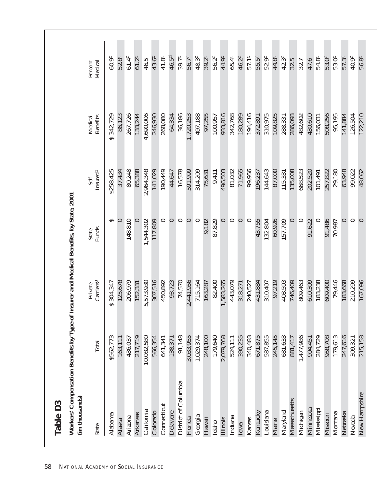| <b>State</b>         | Total      | $\rm Carriers^a$<br>Private | Funds<br><b>State</b> | Insured <sup>b</sup><br>Self- | <b>Benefits</b><br>Medical | Medical<br>Percent |
|----------------------|------------|-----------------------------|-----------------------|-------------------------------|----------------------------|--------------------|
| Alabama              | \$562,773  | 304,347<br>S                | ∽                     | \$258,425                     | 342,729<br>S               | 60.9c              |
| Alaska               | 163,111    | 125,678                     | $\circ$               | 37,434                        | 86,123                     | 52.8c              |
| Arizona              | 436,037    | 206,979                     | 148,810               | 80,248                        | 267,726                    | 61.4c              |
| Arkansas             | 217,719    | 152,331                     |                       | 65,388                        | 133,244                    | 61.2c              |
| California           | 10,082,580 | 5,573,930                   | 1,544,302             | 2,964,348                     | 4,690,006                  | 46.5               |
| Colorado             | 566,354    | 307,516                     | 117,809               | 141,029                       | 246,930                    | 43.6°              |
| Connecticut          | 641,341    | 450,892                     | 0                     | 190,449                       | 268,080                    | 41.8c              |
| Delaware             | 138,371    | 93,723                      | 0                     | 44,647                        | 64,334                     | 46.5d              |
| District of Columbia | 91,148     | 74,570                      | $\circ$               | 16,578                        | 36,186                     | 39.7c              |
| Florida              | 3,033,955  | 2,441,956                   | $\circ$               | 591,999                       | ,720,253                   | 56.7c              |
| Georgia              | 1,029,374  | 715,164                     | $\circ$               | 314,209                       | 497,188                    | 48.3c              |
| Hawaii               | 248,100    | 163,287                     | 9.182                 | 75,631                        | 97,255                     | 39.2c              |
| Idaho                | 179,640    | 82,400                      | 87,829                | 9,411                         | 100,957                    | 56.2c              |
| Illinois             | 2,079,768  | 583,265                     | $\circ$               | 496,503                       | 933,816                    | 44.9c              |
| Indiana              | 524,111    | 443,079                     | $\circ$               | 81,032                        | 342,768                    | 65.4c              |
| Iowa                 | 390,235    | 318,271                     | $\circ$               | 71,965                        | 180,289                    | 46.2c              |
| Kansas               | 340,483    | 240,527                     | $\circ$               | 99,956                        | 194,416                    | 57.1c              |
| Kentucky             | 671,875    | 431,884                     | 43,755                | 196,237                       | 372,891                    | 55.50              |
| Louisiana            | 587,855    | 310,407                     | 132,804               | 144,643                       | 310,975                    | 52.9c              |
| Maine                | 245,145    | 97,219                      | 60,926                | 87,000                        | 109,825                    | 44.8c              |
| Maryland             | 681,633    | 408,593                     | 157,709               | 115,331                       | 288,331                    | 42.3c              |
| Massachusetts        | 881,417    | 746,409                     | $\circ$               | 135,008                       | 286,093                    | 32.5               |
| Michigan             | 1,477,986  | 809,463                     | $\circ$               | 668,523                       | 482,602                    | 32.7               |
| Minnesota            | 904,451    | 610,309                     | 91,622                | 202,520                       | 430,610                    | 47.6               |
| Mississippi          | 284,729    | 183,238                     | $\circ$               | 101,491                       | 156,031                    | 54.8c              |
| Missouri             | 958,708    | 609,400                     | 91,486                | 257,822                       | 508,256                    | 53.0 <sup>c</sup>  |
| Montana              | 179,613    | 79,446                      | 70,987                | 29,180                        | 95,195                     | 53.0 <sup>c</sup>  |
| Nebraska             | 247,616    | 183,668                     | $\circ$               | 63,948                        | 141,884                    | 57.30              |
| Nevada               | 309,321    | 210,299                     | $\circ$               | 99,022                        | 126,504                    | 40.9c              |
| New Hampshire        | 215,158    | 167,096                     | $\circ$               | 48,062                        | 122,210                    | 56.8c              |

Г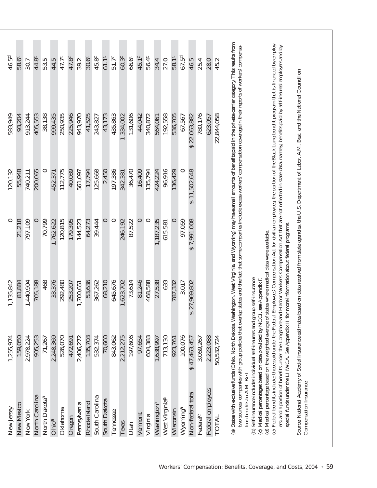| New Jersey                                                                                                                                                                                                                            | 1,255,974    | 1,135,842                                                                                                              | 0           | 120,132      | 583,949                                                                                                                                                                                                                                                                                                                                                                                                                                                                                                          | 46.5d             |
|---------------------------------------------------------------------------------------------------------------------------------------------------------------------------------------------------------------------------------------|--------------|------------------------------------------------------------------------------------------------------------------------|-------------|--------------|------------------------------------------------------------------------------------------------------------------------------------------------------------------------------------------------------------------------------------------------------------------------------------------------------------------------------------------------------------------------------------------------------------------------------------------------------------------------------------------------------------------|-------------------|
| New Mexico                                                                                                                                                                                                                            | 159,050      | 81,884                                                                                                                 | 21,218      | 55,948       | 93,204                                                                                                                                                                                                                                                                                                                                                                                                                                                                                                           | 58.6              |
| New York                                                                                                                                                                                                                              | 2,978,224    | 1,440,904                                                                                                              | 797,109     | 740,211      | 913,244                                                                                                                                                                                                                                                                                                                                                                                                                                                                                                          | 30.7              |
| North Carolina                                                                                                                                                                                                                        | 905,253      | 705,188                                                                                                                |             | 200,065      | 405,553                                                                                                                                                                                                                                                                                                                                                                                                                                                                                                          | 44.8c             |
| North Dakota <sup>a</sup>                                                                                                                                                                                                             | 71,267       | 468                                                                                                                    | 70,799      | 0            | 38,138                                                                                                                                                                                                                                                                                                                                                                                                                                                                                                           | 53.5              |
| Ohioa                                                                                                                                                                                                                                 | 2,248,369    | 33,376                                                                                                                 | 762,622     | 452.371      | 999,435                                                                                                                                                                                                                                                                                                                                                                                                                                                                                                          | 44.5              |
| Oklahoma                                                                                                                                                                                                                              | 526,070      | 292,480                                                                                                                | 120,815     | 112,775      | 250,935                                                                                                                                                                                                                                                                                                                                                                                                                                                                                                          | 47.7c             |
| Oregon                                                                                                                                                                                                                                | 472,691      | 253,207                                                                                                                | 179,395     | 40,089       | 225,946                                                                                                                                                                                                                                                                                                                                                                                                                                                                                                          | 47.8c             |
| Pennsylvania                                                                                                                                                                                                                          | 2,406,272    | 1,700,651                                                                                                              | 144,523     | 561,097      | 943,970                                                                                                                                                                                                                                                                                                                                                                                                                                                                                                          | 39.2              |
| Rhode Island                                                                                                                                                                                                                          | 135,703      | 53,636                                                                                                                 | 64,273      | 17,794       | 41,525                                                                                                                                                                                                                                                                                                                                                                                                                                                                                                           | 30.6 <sup>c</sup> |
| South Carolina                                                                                                                                                                                                                        | 532,374      | 367,262                                                                                                                | 39,444      | 125,668      | 243,827                                                                                                                                                                                                                                                                                                                                                                                                                                                                                                          | 45.8c             |
| South Dakota                                                                                                                                                                                                                          | 70,660       | 68,210                                                                                                                 | $\circ$     | 2,450        | 43.173                                                                                                                                                                                                                                                                                                                                                                                                                                                                                                           | 61.1 <sup>c</sup> |
| Tennessee                                                                                                                                                                                                                             | 843,062      | 645,676                                                                                                                | $\circ$     | 197,386      | 435,863                                                                                                                                                                                                                                                                                                                                                                                                                                                                                                          | 51.7c             |
| Texas                                                                                                                                                                                                                                 | 2,212,275    | .623,702                                                                                                               | 246,192     | 342.381      | ,334,002                                                                                                                                                                                                                                                                                                                                                                                                                                                                                                         | 60.3c             |
| Utah                                                                                                                                                                                                                                  | 197,606      | 73,614                                                                                                                 | 87,522      | 36,470       | 131,606                                                                                                                                                                                                                                                                                                                                                                                                                                                                                                          | 66.6 <sup>c</sup> |
| Vermont                                                                                                                                                                                                                               | 97,654       | 81,246                                                                                                                 | $\circ$     | 16,409       | 44,042                                                                                                                                                                                                                                                                                                                                                                                                                                                                                                           | 45.1c             |
| Virginia                                                                                                                                                                                                                              | 604,383      | 468,588                                                                                                                | $\circ$     | 135,794      | 340,872                                                                                                                                                                                                                                                                                                                                                                                                                                                                                                          | 56.4c             |
| Washington <sup>a</sup>                                                                                                                                                                                                               | 1,638,997    | 27,538                                                                                                                 | .187.235    | 424,224      | 564,061                                                                                                                                                                                                                                                                                                                                                                                                                                                                                                          | 34.4              |
| West Virginia <sup>a</sup>                                                                                                                                                                                                            | 713,130      | 633                                                                                                                    | 615,581     | 96,916       | 192,558                                                                                                                                                                                                                                                                                                                                                                                                                                                                                                          | 27.0              |
| Wisconsin                                                                                                                                                                                                                             | 923,761      | 787.332                                                                                                                | $\subset$   | 136,429      | 536,705                                                                                                                                                                                                                                                                                                                                                                                                                                                                                                          | 58.1c             |
| Wyoming <sup>a</sup>                                                                                                                                                                                                                  | 100,076      | 3,017                                                                                                                  | 97,059      | $\circ$      | 67,567                                                                                                                                                                                                                                                                                                                                                                                                                                                                                                           | 67.5d             |
| Non-federal total                                                                                                                                                                                                                     | \$47,463,457 | 27,969,802                                                                                                             | \$7,991,008 | \$11,502,648 | 22,063,882<br>$\sim$                                                                                                                                                                                                                                                                                                                                                                                                                                                                                             | 46.5              |
| Federale                                                                                                                                                                                                                              | 3,069,267    |                                                                                                                        |             |              | 780,176                                                                                                                                                                                                                                                                                                                                                                                                                                                                                                          | 25.4              |
| Federal employees                                                                                                                                                                                                                     | 2,223,088    |                                                                                                                        |             |              | 623,057                                                                                                                                                                                                                                                                                                                                                                                                                                                                                                          | 28.0              |
| IOTAL                                                                                                                                                                                                                                 | 50,532,724   |                                                                                                                        |             |              | 22,844,058                                                                                                                                                                                                                                                                                                                                                                                                                                                                                                       | 45.2              |
| (b) Self-insurance includes individual self-insurers and group self-insurance.<br>(c) Medical percentages based on data provided by NCCI<br>(e) Federal benefits include: those paid under the Federal<br>tion benefits to A.M. Best. |              | (d) Medical percentage based on the weighted average of states where medical data were available.<br>, see Appendix F. |             |              | (a) States with exclusive funds (Ohio, North Dakota, Washington, West Virginia, and Wyoming) may have small amounts of benefits paid in the private carrier category. This results from<br>Employees' Compensation Act for civilian employees; the portion of the Black Lung benefit program that is financed by employ-<br>two sources: companies with group policies that overlap states and the fact that some companies include excess workers' compensation coverage in their reports of workers' compensa- |                   |

special funds under the LHWCA. See Appendix H for more information about federal programs.

Compensation Insurance.

Compensation Insurance.

Source: National Academy of Social Insurance estimates based on data received from state agencies, the U.S. Department of Labor, A.M. Best, and the National Council on

Source: National Academy of Social Insurance estimates based on data received from state agencies, the U.S. Department of Labor, A.M. Best, and the National Council on

(e) Federal benefits include: those paid under the Federal Employees' Compensation Act for civilian employees; the portion of the Black Lung benefit program that is financed by employers; and a portion of benefits under the Longshore and Harbor Workers' Compensation Act that are not reflected in state data, namely, benefits paid by self-insured employers and by

Federal benefits include: those paid under the Federal Employees' Compensation Act for civilian employees; the portion of the Black Lung benefit program that is financed by employ-<br>ers; and a portion of benefits under the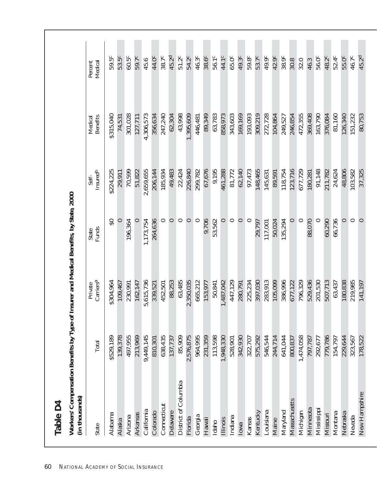| 139,378<br>497,955<br>85,909<br>779,786<br>213,969<br>9,449,145<br>638,435<br>2,576,875<br>964,995<br>231,359<br>113,598<br>1,474,058<br>292,677<br>\$529,189<br>1,948,330<br>342,930<br>322,707<br>575,292<br>546,544<br>641,044<br>137,737<br>244,714<br>800,837<br>528,901<br>797,787<br>810,301<br>Total<br>District of Columbia<br>(in thousands)<br>Massachusetts<br>Connecticut<br>Mississippi<br>Minnesota<br>California<br>Kentucky<br>Louisiana<br>Maryland<br>Colorado<br>Michigan<br>Delaware<br>Arkansas<br>Missouri<br>Alabama<br>Georgia<br>Arizona<br>Indiana<br>Florida<br>Hawaii<br>Illinois<br>Kansas<br>Maine<br>Alaska<br>Idaho<br>Iowa<br><b>State</b> | 5,615,736<br>63,485<br>88,253<br>2,350,035<br>665,212<br>\$304,964<br>452,501<br>$\rm Carriers^{\bf a}$<br>109,467<br>230,991<br>162,147<br>339,521<br>Private | nsurer and Medical Benefits, by State, 2000<br>$\circ$<br>$\infty$<br>196,364<br>264,636<br>$\circ$<br>0<br>$\circ$<br>$\circ$<br>1,173,754<br>Funds<br><b>State</b> | \$224,225<br>70,599<br>2,659,655<br>226,840<br>51,822<br>185,934<br>49,483<br>22,424<br>206,144<br>29,911<br>Insuredb<br>Self- | 301,028<br>4,306,573<br>\$315,040<br>127,711<br>74,531<br><b>Benefits</b><br>Medical | 59.5c<br>53.50<br>60.5c<br>Medical<br>Percent |
|------------------------------------------------------------------------------------------------------------------------------------------------------------------------------------------------------------------------------------------------------------------------------------------------------------------------------------------------------------------------------------------------------------------------------------------------------------------------------------------------------------------------------------------------------------------------------------------------------------------------------------------------------------------------------|----------------------------------------------------------------------------------------------------------------------------------------------------------------|----------------------------------------------------------------------------------------------------------------------------------------------------------------------|--------------------------------------------------------------------------------------------------------------------------------|--------------------------------------------------------------------------------------|-----------------------------------------------|
|                                                                                                                                                                                                                                                                                                                                                                                                                                                                                                                                                                                                                                                                              |                                                                                                                                                                |                                                                                                                                                                      |                                                                                                                                |                                                                                      |                                               |
|                                                                                                                                                                                                                                                                                                                                                                                                                                                                                                                                                                                                                                                                              |                                                                                                                                                                |                                                                                                                                                                      |                                                                                                                                |                                                                                      |                                               |
|                                                                                                                                                                                                                                                                                                                                                                                                                                                                                                                                                                                                                                                                              |                                                                                                                                                                |                                                                                                                                                                      |                                                                                                                                |                                                                                      |                                               |
|                                                                                                                                                                                                                                                                                                                                                                                                                                                                                                                                                                                                                                                                              |                                                                                                                                                                |                                                                                                                                                                      |                                                                                                                                |                                                                                      |                                               |
|                                                                                                                                                                                                                                                                                                                                                                                                                                                                                                                                                                                                                                                                              |                                                                                                                                                                |                                                                                                                                                                      |                                                                                                                                |                                                                                      |                                               |
|                                                                                                                                                                                                                                                                                                                                                                                                                                                                                                                                                                                                                                                                              |                                                                                                                                                                |                                                                                                                                                                      |                                                                                                                                |                                                                                      | 59.7c                                         |
|                                                                                                                                                                                                                                                                                                                                                                                                                                                                                                                                                                                                                                                                              |                                                                                                                                                                |                                                                                                                                                                      |                                                                                                                                |                                                                                      | 45.6                                          |
|                                                                                                                                                                                                                                                                                                                                                                                                                                                                                                                                                                                                                                                                              |                                                                                                                                                                |                                                                                                                                                                      |                                                                                                                                | 356,634                                                                              | 44.0°                                         |
|                                                                                                                                                                                                                                                                                                                                                                                                                                                                                                                                                                                                                                                                              |                                                                                                                                                                |                                                                                                                                                                      |                                                                                                                                | 247,240                                                                              | 38.7c                                         |
|                                                                                                                                                                                                                                                                                                                                                                                                                                                                                                                                                                                                                                                                              |                                                                                                                                                                |                                                                                                                                                                      |                                                                                                                                | 62,304                                                                               | 45.2d                                         |
|                                                                                                                                                                                                                                                                                                                                                                                                                                                                                                                                                                                                                                                                              |                                                                                                                                                                |                                                                                                                                                                      |                                                                                                                                | 43,998                                                                               | 51.2c                                         |
|                                                                                                                                                                                                                                                                                                                                                                                                                                                                                                                                                                                                                                                                              |                                                                                                                                                                |                                                                                                                                                                      |                                                                                                                                | ,395,609                                                                             | 54.2c                                         |
|                                                                                                                                                                                                                                                                                                                                                                                                                                                                                                                                                                                                                                                                              |                                                                                                                                                                | $\circ$                                                                                                                                                              | 299,782                                                                                                                        | 446,481                                                                              | 46.3c                                         |
|                                                                                                                                                                                                                                                                                                                                                                                                                                                                                                                                                                                                                                                                              | 153,977                                                                                                                                                        | 9,706                                                                                                                                                                | 67,676                                                                                                                         | 89,349                                                                               | 38.6                                          |
|                                                                                                                                                                                                                                                                                                                                                                                                                                                                                                                                                                                                                                                                              | 50,841                                                                                                                                                         | 53,562                                                                                                                                                               | 9,195                                                                                                                          | 63,783                                                                               | $56.1^c$                                      |
|                                                                                                                                                                                                                                                                                                                                                                                                                                                                                                                                                                                                                                                                              | ,487,042                                                                                                                                                       | $\circ$                                                                                                                                                              | 461,288                                                                                                                        | 858,973                                                                              | 44.1c                                         |
|                                                                                                                                                                                                                                                                                                                                                                                                                                                                                                                                                                                                                                                                              | 447,129                                                                                                                                                        | 0                                                                                                                                                                    | 81,772                                                                                                                         | 343,603                                                                              | 65.0 <sup>c</sup>                             |
|                                                                                                                                                                                                                                                                                                                                                                                                                                                                                                                                                                                                                                                                              | 280,791                                                                                                                                                        | $\circ$                                                                                                                                                              | 62,140                                                                                                                         | 169,169                                                                              | 49.3c                                         |
|                                                                                                                                                                                                                                                                                                                                                                                                                                                                                                                                                                                                                                                                              | 225,234                                                                                                                                                        | $\circ$                                                                                                                                                              | 97,473                                                                                                                         | 193,093                                                                              | 59.8c                                         |
|                                                                                                                                                                                                                                                                                                                                                                                                                                                                                                                                                                                                                                                                              | 397,030                                                                                                                                                        | 29,797                                                                                                                                                               | 148,465                                                                                                                        | 309,219                                                                              | 53.7c                                         |
|                                                                                                                                                                                                                                                                                                                                                                                                                                                                                                                                                                                                                                                                              | 283,913                                                                                                                                                        | 117,001                                                                                                                                                              | 145,631                                                                                                                        | 272,728                                                                              | 49.9c                                         |
|                                                                                                                                                                                                                                                                                                                                                                                                                                                                                                                                                                                                                                                                              | 105,099                                                                                                                                                        | 50,024                                                                                                                                                               | 89,591                                                                                                                         | 104,864                                                                              | 42.9c                                         |
|                                                                                                                                                                                                                                                                                                                                                                                                                                                                                                                                                                                                                                                                              | 386,996                                                                                                                                                        | 135,294                                                                                                                                                              | 118,754                                                                                                                        | 249,527                                                                              | 38.9c                                         |
|                                                                                                                                                                                                                                                                                                                                                                                                                                                                                                                                                                                                                                                                              | 677,122                                                                                                                                                        | $\circ$                                                                                                                                                              | 123,716                                                                                                                        | 246,854                                                                              | 30.8                                          |
|                                                                                                                                                                                                                                                                                                                                                                                                                                                                                                                                                                                                                                                                              | 796,329                                                                                                                                                        | 0                                                                                                                                                                    | 677,729                                                                                                                        | 472,355                                                                              | 32.0                                          |
|                                                                                                                                                                                                                                                                                                                                                                                                                                                                                                                                                                                                                                                                              | 529,436                                                                                                                                                        | 88,070                                                                                                                                                               | 180,281                                                                                                                        | 369,408                                                                              | 46.3                                          |
|                                                                                                                                                                                                                                                                                                                                                                                                                                                                                                                                                                                                                                                                              | 201,530                                                                                                                                                        | $\mathbf{C}$                                                                                                                                                         | 91,148                                                                                                                         | 163,790                                                                              | $56.0^\circ$                                  |
|                                                                                                                                                                                                                                                                                                                                                                                                                                                                                                                                                                                                                                                                              | 507,713                                                                                                                                                        | 60,290                                                                                                                                                               | 211,782                                                                                                                        | 376,084                                                                              | 48.2c                                         |
| 154,797<br>Montana                                                                                                                                                                                                                                                                                                                                                                                                                                                                                                                                                                                                                                                           | 63,437                                                                                                                                                         | 66,736                                                                                                                                                               | 24,624                                                                                                                         | 81,160                                                                               | 52.4c                                         |
| 229,644<br>Nebraska                                                                                                                                                                                                                                                                                                                                                                                                                                                                                                                                                                                                                                                          | 180,838                                                                                                                                                        | $\circ$                                                                                                                                                              | 48,806                                                                                                                         | .26,340                                                                              | 55.0°                                         |
| 323,567<br>Nevada                                                                                                                                                                                                                                                                                                                                                                                                                                                                                                                                                                                                                                                            | 219,985                                                                                                                                                        | 0                                                                                                                                                                    | 103,582                                                                                                                        | 151,232                                                                              | 46.7c                                         |
| 178,522<br>New Hampshire                                                                                                                                                                                                                                                                                                                                                                                                                                                                                                                                                                                                                                                     | 141,197                                                                                                                                                        | $\circ$                                                                                                                                                              | 37,325                                                                                                                         | 80,753                                                                               | 45.2 <sup>d</sup>                             |

Г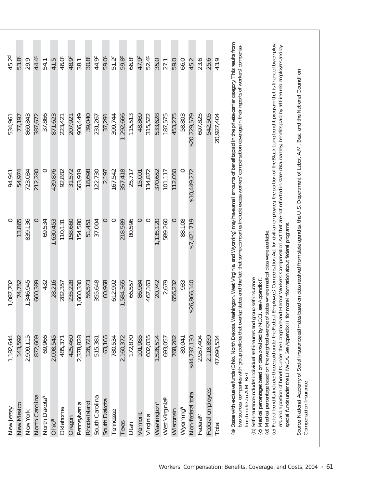| New Jersey                                                                                                                                                                                                                                               | .,182,644   | 1,087,702                                                                                         |             | 94,941       | 534,961                                                                                                                                                                                                                                                                                                                                                                                                                                                                                                          | 45.2d             |
|----------------------------------------------------------------------------------------------------------------------------------------------------------------------------------------------------------------------------------------------------------|-------------|---------------------------------------------------------------------------------------------------|-------------|--------------|------------------------------------------------------------------------------------------------------------------------------------------------------------------------------------------------------------------------------------------------------------------------------------------------------------------------------------------------------------------------------------------------------------------------------------------------------------------------------------------------------------------|-------------------|
| New Mexico                                                                                                                                                                                                                                               | 143,592     | 74,752                                                                                            | 13,865      | 54,974       | 77,197                                                                                                                                                                                                                                                                                                                                                                                                                                                                                                           | 53.8c             |
| New York                                                                                                                                                                                                                                                 | 2,909,115   | 1,346,945                                                                                         | 839,136     | 723,034      | 869,843                                                                                                                                                                                                                                                                                                                                                                                                                                                                                                          | 29.9              |
| North Carolina                                                                                                                                                                                                                                           | 872,669     | 660,389                                                                                           |             | 212,280      | 387,672                                                                                                                                                                                                                                                                                                                                                                                                                                                                                                          | 44.4c             |
| North Dakota <sup>a</sup>                                                                                                                                                                                                                                | 69,966      | 432                                                                                               | 69,534      |              | 37,866                                                                                                                                                                                                                                                                                                                                                                                                                                                                                                           | 54.1              |
| Ohio <sup>a</sup>                                                                                                                                                                                                                                        | 2,098,545   | 28,216                                                                                            | 630,453     | 439,876      | 871,623                                                                                                                                                                                                                                                                                                                                                                                                                                                                                                          | 41.5              |
| Oklahoma                                                                                                                                                                                                                                                 | 485,371     | 282,357                                                                                           | 110,131     | 92,882       | 223,421                                                                                                                                                                                                                                                                                                                                                                                                                                                                                                          | 46.0c             |
| Oregon                                                                                                                                                                                                                                                   | 425,460     | 235,228                                                                                           | 158,660     | 31,572       | 207,921                                                                                                                                                                                                                                                                                                                                                                                                                                                                                                          | 48.9c             |
| Pennsylvania                                                                                                                                                                                                                                             | 2,378,828   | 1,660,330                                                                                         | 154,580     | 563,919      | 906,449                                                                                                                                                                                                                                                                                                                                                                                                                                                                                                          | 38.1              |
| Rhode Island                                                                                                                                                                                                                                             | 126,721     | 56,573                                                                                            | 51,451      | 18,698       | 39,040                                                                                                                                                                                                                                                                                                                                                                                                                                                                                                           | 30.8c             |
| South Carolina                                                                                                                                                                                                                                           | 515,381     | 355,648                                                                                           | 37,004      | 122,730      | 231,267                                                                                                                                                                                                                                                                                                                                                                                                                                                                                                          | 44.9c             |
| South Dakota                                                                                                                                                                                                                                             | 63,165      | 60,968                                                                                            | $\circ$     | 2,197        | 37,291                                                                                                                                                                                                                                                                                                                                                                                                                                                                                                           | 59.0 <sup>c</sup> |
| Tennessee                                                                                                                                                                                                                                                | 780,534     | 612,992                                                                                           | $\circ$     | 167,542      | 399,744                                                                                                                                                                                                                                                                                                                                                                                                                                                                                                          | $51.2^c$          |
| Texas                                                                                                                                                                                                                                                    | 2,160,372   | 584.365                                                                                           | 218.589     | 357,418      | 292.666                                                                                                                                                                                                                                                                                                                                                                                                                                                                                                          | 59.80             |
| Utah                                                                                                                                                                                                                                                     | 172,870     | 66,557                                                                                            | 80,596      | 25,717       | 115,513                                                                                                                                                                                                                                                                                                                                                                                                                                                                                                          | 66.8c             |
| Vermont                                                                                                                                                                                                                                                  | 101,985     | 86,984                                                                                            | 0           | 15,001       | 48,869                                                                                                                                                                                                                                                                                                                                                                                                                                                                                                           | 47.9c             |
| Virginia                                                                                                                                                                                                                                                 | 602,035     | 467,163                                                                                           | 0           | 134,872      | 315,522                                                                                                                                                                                                                                                                                                                                                                                                                                                                                                          | 52.4c             |
| Washington <sup>a</sup>                                                                                                                                                                                                                                  | 1,526,514   | 20,742                                                                                            | 1.135,120   | 370,652      | 533,628                                                                                                                                                                                                                                                                                                                                                                                                                                                                                                          | 35.0              |
| West Virginia <sup>a</sup>                                                                                                                                                                                                                               | 693,057     | 2,679                                                                                             | 589,260     | 101,117      | 187,575                                                                                                                                                                                                                                                                                                                                                                                                                                                                                                          | 27.1              |
| Wisconsin                                                                                                                                                                                                                                                | 768.282     | 656,232                                                                                           | $\circ$     | 12,050       | 453,275                                                                                                                                                                                                                                                                                                                                                                                                                                                                                                          | 59.0              |
| Wyoming <sup>a</sup>                                                                                                                                                                                                                                     | 89,041      | 933                                                                                               | 88,108      |              | 58,803                                                                                                                                                                                                                                                                                                                                                                                                                                                                                                           | 66.0              |
| Non-federal tota                                                                                                                                                                                                                                         | S44,737,130 | \$26,866,140                                                                                      | \$7,421,719 | \$10,449,272 | \$20,229,579                                                                                                                                                                                                                                                                                                                                                                                                                                                                                                     | 45.2              |
| Federale                                                                                                                                                                                                                                                 | 2,957,404   |                                                                                                   |             |              | 697,825                                                                                                                                                                                                                                                                                                                                                                                                                                                                                                          | 23.6              |
| Federal employees                                                                                                                                                                                                                                        | 2,118,859   |                                                                                                   |             |              | 542,505                                                                                                                                                                                                                                                                                                                                                                                                                                                                                                          | 25.6              |
| $\rm Total$                                                                                                                                                                                                                                              | 47,694,534  |                                                                                                   |             |              | 20,927,404                                                                                                                                                                                                                                                                                                                                                                                                                                                                                                       | 43.9              |
| (b) Self-insurance includes individual self-insurers and group self-insurance.<br>(c) Medical percentages based on data provided by NCCI, see Appendix F.<br>(e) Federal benefits include: those paid under the Federal I<br>tion benefits to A.M. Best. |             | (d) Medical percentage based on the weighted average of states where medical data were available. |             |              | (a) States with exclusive funds (Ohio, North Dakota, Washington, West Virginia, and Wyoming) may have small amounts of benefits paid in the private carrier category. This results from<br>Employees' Compensation Act for civilian employees; the portion of the Black Lung benefit program that is financed by employ-<br>two sources: companies with group policies that overlap states and the fact that some companies include excess workers' compensation coverage in their reports of workers' compensa- |                   |
|                                                                                                                                                                                                                                                          |             |                                                                                                   |             |              |                                                                                                                                                                                                                                                                                                                                                                                                                                                                                                                  |                   |

special funds under the LHWCA. See Appendix H for more information about federal programs.

Compensation Insurance.

Compensation Insurance.

Source: National Academy of Social Insurance estimates based on data received from state agencies, the U.S. Department of Labor, A.M. Best, and the National Council on

Source: National Academy of Social Insurance estimates based on data received from state agencies, the U.S. Department of Labor, A.M. Best, and the National Council on

(e) Federal benefits include: those paid under the Federal Employees' Compensation Act for civilian employees; the portion of the Black Lung benefit program that is financed by employers; and a portion of benefits under the Longshore and Harbor Workers' Compensation Act that are not reflected in state data, namely, benefits paid by self-insured employers and by

Federal benefits include: those paid under the Federal Employees' Compensation Act for civilian employees; the portion of the Black Lung benefit program that is financed by employ-<br>ers; and a portion of benefits under the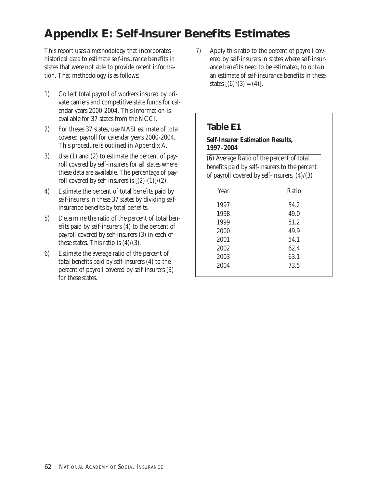# **Appendix E: Self-Insurer Benefits Estimates**

This report uses a methodology that incorporates historical data to estimate self-insurance benefits in states that were not able to provide recent information. That methodology is as follows:

- 1) Collect total payroll of workers insured by private carriers and competitive state funds for calendar years 2000-2004. This information is available for 37 states from the NCCI.
- 2) For theses 37 states, use NASI estimate of total covered payroll for calendar years 2000-2004. This procedure is outlined in Appendix A.
- 3) Use (1) and (2) to estimate the percent of payroll covered by self-insurers for all states where these data are available. The percentage of payroll covered by self-insurers is  $[(2)-(1)]/(2)$ .
- 4) Estimate the percent of total benefits paid by self-insurers in these 37 states by dividing selfinsurance benefits by total benefits.
- 5) Determine the ratio of the percent of total benefits paid by self-insurers (4) to the percent of payroll covered by self-insurers (3) in each of these states. This ratio is  $(4)/(3)$ .
- 6) Estimate the average ratio of the percent of total benefits paid by self-insurers (4) to the percent of payroll covered by self-insurers (3) for these states.

7) Apply this ratio to the percent of payroll covered by self-insurers in states where self-insurance benefits need to be estimated, to obtain an estimate of self-insurance benefits in these states  $[(6)^*(3) = (4)].$ 

## **Table E1**

#### **Self-Insurer Estimation Results, 1997–2004**

(6) Average Ratio of the percent of total benefits paid by self-insurers to the percent of payroll covered by self-insurers, (4)/(3)

| Year | Ratio |
|------|-------|
| 1997 | 54.2  |
| 1998 | 49.0  |
| 1999 | 51.2  |
| 2000 | 49.9  |
| 2001 | 54.1  |
| 2002 | 62.4  |
| 2003 | 63.1  |
| 2004 | 73.5  |
|      |       |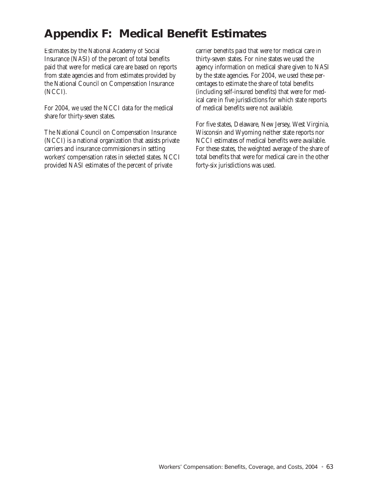# **Appendix F: Medical Benefit Estimates**

Estimates by the National Academy of Social Insurance (NASI) of the percent of total benefits paid that were for medical care are based on reports from state agencies and from estimates provided by the National Council on Compensation Insurance (NCCI).

For 2004, we used the NCCI data for the medical share for thirty-seven states.

The National Council on Compensation Insurance (NCCI) is a national organization that assists private carriers and insurance commissioners in setting workers' compensation rates in selected states. NCCI provided NASI estimates of the percent of private

carrier benefits paid that were for medical care in thirty-seven states. For nine states we used the agency information on medical share given to NASI by the state agencies. For 2004, we used these percentages to estimate the share of total benefits (including self-insured benefits) that were for medical care in five jurisdictions for which state reports of medical benefits were not available.

For five states, Delaware, New Jersey, West Virginia, Wisconsin and Wyoming neither state reports nor NCCI estimates of medical benefits were available. For these states, the weighted average of the share of total benefits that were for medical care in the other forty-six jurisdictions was used.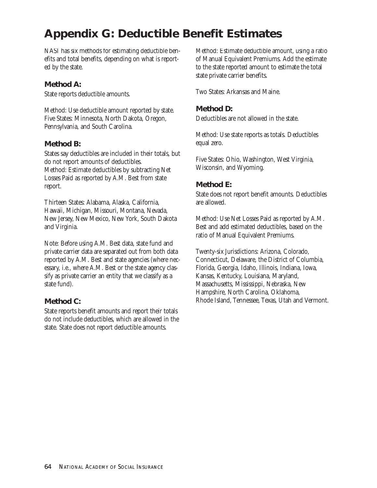# **Appendix G: Deductible Benefit Estimates**

NASI has six methods for estimating deductible benefits and total benefits, depending on what is reported by the state.

### *Method A:*

State reports deductible amounts.

Method: Use deductible amount reported by state. Five States: Minnesota, North Dakota, Oregon, Pennsylvania, and South Carolina.

### *Method B:*

States say deductibles are included in their totals, but do not report amounts of deductibles. Method: Estimate deductibles by subtracting Net Losses Paid as reported by A.M. Best from state report.

Thirteen States: Alabama, Alaska, California, Hawaii, Michigan, Missouri, Montana, Nevada, New Jersey, New Mexico, New York, South Dakota and Virginia.

Note: Before using A.M. Best data, state fund and private carrier data are separated out from both data reported by A.M. Best and state agencies (where necessary, i.e., where A.M. Best or the state agency classify as private carrier an entity that we classify as a state fund).

### *Method C:*

State reports benefit amounts and report their totals do not include deductibles, which are allowed in the state. State does not report deductible amounts.

Method: Estimate deductible amount, using a ratio of Manual Equivalent Premiums. Add the estimate to the state reported amount to estimate the total state private carrier benefits.

Two States: Arkansas and Maine.

#### *Method D:*

Deductibles are not allowed in the state.

Method: Use state reports as totals. Deductibles equal zero.

Five States: Ohio, Washington, West Virginia, Wisconsin, and Wyoming.

### *Method E:*

State does not report benefit amounts. Deductibles are allowed.

Method: Use Net Losses Paid as reported by A.M. Best and add estimated deductibles, based on the ratio of Manual Equivalent Premiums.

Twenty-six Jurisdictions: Arizona, Colorado, Connecticut, Delaware, the District of Columbia, Florida, Georgia, Idaho, Illinois, Indiana, Iowa, Kansas, Kentucky, Louisiana, Maryland, Massachusetts, Mississippi, Nebraska, New Hampshire, North Carolina, Oklahoma, Rhode Island, Tennessee, Texas, Utah and Vermont.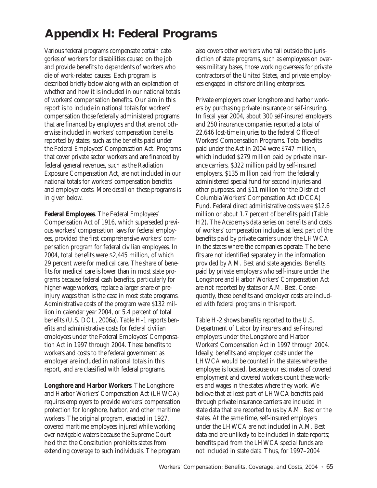# **Appendix H: Federal Programs**

Various federal programs compensate certain categories of workers for disabilities caused on the job and provide benefits to dependents of workers who die of work-related causes. Each program is described briefly below along with an explanation of whether and how it is included in our national totals of workers' compensation benefits. Our aim in this report is to include in national totals for workers' compensation those federally administered programs that are financed by employers and that are not otherwise included in workers' compensation benefits reported by states, such as the benefits paid under the Federal Employees' Compensation Act. Programs that cover private sector workers and are financed by federal general revenues, such as the Radiation Exposure Compensation Act, are not included in our national totals for workers' compensation benefits and employer costs. More detail on these programs is in given below.

**Federal Employees**. The Federal Employees' Compensation Act of 1916, which superseded previous workers' compensation laws for federal employees, provided the first comprehensive workers' compensation program for federal civilian employees. In 2004, total benefits were \$2,445 million, of which 29 percent were for medical care. The share of benefits for medical care is lower than in most state programs because federal cash benefits, particularly for higher-wage workers, replace a larger share of preinjury wages than is the case in most state programs. Administrative costs of the program were \$132 million in calendar year 2004, or 5.4 percent of total benefits (U.S. DOL, 2006a). Table H-1 reports benefits and administrative costs for federal civilian employees under the Federal Employees' Compensation Act in 1997 through 2004. These benefits to workers and costs to the federal government as employer are included in national totals in this report, and are classified with federal programs.

**Longshore and Harbor Workers**. The Longshore and Harbor Workers' Compensation Act (LHWCA) requires employers to provide workers' compensation protection for longshore, harbor, and other maritime workers. The original program, enacted in 1927, covered maritime employees injured while working over navigable waters because the Supreme Court held that the Constitution prohibits states from extending coverage to such individuals. The program also covers other workers who fall outside the jurisdiction of state programs, such as employees on overseas military bases, those working overseas for private contractors of the United States, and private employees engaged in offshore drilling enterprises.

Private employers cover longshore and harbor workers by purchasing private insurance or self-insuring. In fiscal year 2004, about 300 self-insured employers and 250 insurance companies reported a total of 22,646 lost-time injuries to the federal Office of Workers' Compensation Programs. Total benefits paid under the Act in 2004 were \$747 million, which included \$279 million paid by private insurance carriers, \$322 million paid by self-insured employers, \$135 million paid from the federally administered special fund for second injuries and other purposes, and \$11 million for the District of Columbia Workers' Compensation Act (DCCA) Fund. Federal direct administrative costs were \$12.6 million or about 1.7 percent of benefits paid (Table H2). The Academy's data series on benefits and costs of workers' compensation includes at least part of the benefits paid by private carriers under the LHWCA in the states where the companies operate. The benefits are not identified separately in the information provided by A.M. Best and state agencies. Benefits paid by private employers who self-insure under the Longshore and Harbor Workers' Compensation Act are not reported by states or A.M. Best. Consequently, these benefits and employer costs are included with federal programs in this report.

Table H-2 shows benefits reported to the U.S. Department of Labor by insurers and self-insured employers under the Longshore and Harbor Workers' Compensation Act in 1997 through 2004. Ideally, benefits and employer costs under the LHWCA would be counted in the states where the employee is located, because our estimates of covered employment and covered workers count these workers and wages in the states where they work. We believe that at least part of LHWCA benefits paid through private insurance carriers are included in state data that are reported to us by A.M. Best or the states. At the same time, self-insured employers under the LHWCA are not included in A.M. Best data and are unlikely to be included in state reports; benefits paid from the LHWCA special funds are not included in state data. Thus, for 1997–2004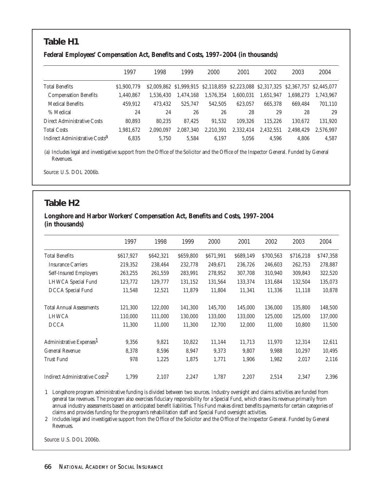## **Table H1**

|  |  |  | Federal Employees' Compensation Act, Benefits and Costs, 1997-2004 (in thousands) |  |
|--|--|--|-----------------------------------------------------------------------------------|--|
|--|--|--|-----------------------------------------------------------------------------------|--|

|                                            | 1997        | 1998      | 1999      | 2000                                                                                | 2001      | 2002      | 2003      | 2004      |
|--------------------------------------------|-------------|-----------|-----------|-------------------------------------------------------------------------------------|-----------|-----------|-----------|-----------|
| <b>Total Benefits</b>                      | \$1,900.779 |           |           | \$2,009,862 \$1,999,915 \$2,118,859 \$2,223,088 \$2,317,325 \$2,367,757 \$2,445,077 |           |           |           |           |
| <b>Compensation Benefits</b>               | 1,440,867   | 1.536.430 | 1.474.168 | 1,576,354                                                                           | 1,600,031 | 1,651,947 | 1.698.273 | 1,743,967 |
| <b>Medical Benefits</b>                    | 459,912     | 473.432   | 525.747   | 542.505                                                                             | 623.057   | 665.378   | 669.484   | 701.110   |
| % Medical                                  | 24          | 24        | 26        | 26                                                                                  | 28        | 29        | 28        | 29        |
| Direct Administrative Costs                | 80.893      | 80.235    | 87.425    | 91.532                                                                              | 109.326   | 115.226   | 130.672   | 131,920   |
| <b>Total Costs</b>                         | 1,981,672   | 2.090.097 | 2.087.340 | 2.210.391                                                                           | 2.332.414 | 2.432.551 | 2.498.429 | 2,576,997 |
| Indirect Administrative Costs <sup>a</sup> | 6.835       | 5.750     | 5.584     | 6.197                                                                               | 5.056     | 4.596     | 4.806     | 4.587     |

(a) Includes legal and investigative support from the Office of the Solicitor and the Office of the Inspector General. Funded by General Revenues.

Source: U.S. DOL 2006b.

## **Table H2**

#### **Longshore and Harbor Workers' Compensation Act, Benefits and Costs, 1997–2004 (in thousands)**

|                                            | 1997      | 1998      | 1999      | 2000      | 2001      | 2002      | 2003      | 2004      |
|--------------------------------------------|-----------|-----------|-----------|-----------|-----------|-----------|-----------|-----------|
| <b>Total Benefits</b>                      | \$617,927 | \$642,321 | \$659,800 | \$671,991 | \$689,149 | \$700,563 | \$716,218 | \$747,358 |
| <b>Insurance Carriers</b>                  | 219,352   | 238,464   | 232,778   | 249,671   | 236,726   | 246,603   | 262,753   | 278,887   |
| Self-Insured Employers                     | 263,255   | 261,559   | 283,991   | 278,952   | 307,708   | 310,940   | 309,843   | 322,520   |
| <b>LHWCA Special Fund</b>                  | 123,772   | 129,777   | 131,152   | 131,564   | 133,374   | 131,684   | 132,504   | 135,073   |
| DCCA Special Fund                          | 11,548    | 12,521    | 11,879    | 11,804    | 11,341    | 11,336    | 11,118    | 10,878    |
| <b>Total Annual Assessments</b>            | 121,300   | 122,000   | 141,300   | 145,700   | 145,000   | 136,000   | 135,800   | 148,500   |
| <b>LHWCA</b>                               | 110,000   | 111,000   | 130,000   | 133,000   | 133,000   | 125,000   | 125,000   | 137,000   |
| <b>DCCA</b>                                | 11,300    | 11,000    | 11,300    | 12,700    | 12,000    | 11,000    | 10,800    | 11,500    |
| Administrative Expenses <sup>1</sup>       | 9,356     | 9,821     | 10,822    | 11,144    | 11,713    | 11,970    | 12,314    | 12,611    |
| <b>General Revenue</b>                     | 8,378     | 8,596     | 8,947     | 9,373     | 9,807     | 9,988     | 10,297    | 10,495    |
| <b>Trust Fund</b>                          | 978       | 1,225     | 1,875     | 1,771     | 1,906     | 1,982     | 2,017     | 2,116     |
| Indirect Administrative Costs <sup>2</sup> | 1,799     | 2,107     | 2,247     | 1,787     | 2,207     | 2,514     | 2,347     | 2,396     |

1 Longshore program administrative funding is divided between two sources. Industry oversight and claims activities are funded from general tax revenues. The program also exercises fiduciary responsibility for a Special Fund, which draws its revenue primarily from annual industry assessments based on anticipated benefit liabilities. This Fund makes direct benefits payments for certain categories of claims and provides funding for the program's rehabilitation staff and Special Fund oversight activities.

2 Includes legal and investigative support from the Office of the Solicitor and the Office of the Inspector General. Funded by General Revenues.

Source: U.S. DOL 2006b.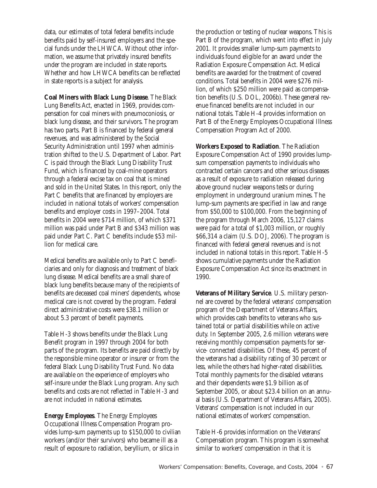data, our estimates of total federal benefits include benefits paid by self-insured employers and the special funds under the LHWCA. Without other information, we assume that privately insured benefits under the program are included in state reports. Whether and how LHWCA benefits can be reflected in state reports is a subject for analysis.

**Coal Miners with Black Lung Disease**. The Black Lung Benefits Act, enacted in 1969, provides compensation for coal miners with pneumoconiosis, or black lung disease, and their survivors. The program has two parts. Part B is financed by federal general revenues, and was administered by the Social Security Administration until 1997 when administration shifted to the U.S. Department of Labor. Part C is paid through the Black Lung Disability Trust Fund, which is financed by coal-mine operators through a federal excise tax on coal that is mined and sold in the United States. In this report, only the Part C benefits that are financed by employers are included in national totals of workers' compensation benefits and employer costs in 1997–2004. Total benefits in 2004 were \$714 million, of which \$371 million was paid under Part B and \$343 million was paid under Part C. Part C benefits include \$53 million for medical care.

Medical benefits are available only to Part C beneficiaries and only for diagnosis and treatment of black lung disease. Medical benefits are a small share of black lung benefits because many of the recipients of benefits are deceased coal miners' dependents, whose medical care is not covered by the program. Federal direct administrative costs were \$38.1 million or about 5.3 percent of benefit payments.

Table H-3 shows benefits under the Black Lung Benefit program in 1997 through 2004 for both parts of the program. Its benefits are paid directly by the responsible mine operator or insurer or from the federal Black Lung Disability Trust Fund. No data are available on the experience of employers who self-insure under the Black Lung program. Any such benefits and costs are not reflected in Table H-3 and are not included in national estimates.

**Energy Employees**. The Energy Employees Occupational Illness Compensation Program provides lump-sum payments up to \$150,000 to civilian workers (and/or their survivors) who became ill as a result of exposure to radiation, beryllium, or silica in

the production or testing of nuclear weapons. This is Part B of the program, which went into effect in July 2001. It provides smaller lump-sum payments to individuals found eligible for an award under the Radiation Exposure Compensation Act. Medical benefits are awarded for the treatment of covered conditions. Total benefits in 2004 were \$276 million, of which \$250 million were paid as compensation benefits (U.S. DOL, 2006b). These general revenue financed benefits are not included in our national totals. Table H-4 provides information on Part B of the Energy Employees Occupational Illness Compensation Program Act of 2000.

**Workers Exposed to Radiation**. The Radiation Exposure Compensation Act of 1990 provides lumpsum compensation payments to individuals who contracted certain cancers and other serious diseases as a result of exposure to radiation released during above ground nuclear weapons tests or during employment in underground uranium mines. The lump-sum payments are specified in law and range from \$50,000 to \$100,000. From the beginning of the program through March 2006, 15,127 claims were paid for a total of \$1,003 million, or roughly \$66,314 a claim (U.S. DOJ, 2006). The program is financed with federal general revenues and is not included in national totals in this report. Table H-5 shows cumulative payments under the Radiation Exposure Compensation Act since its enactment in 1990.

**Veterans of Military Service**. U.S. military personnel are covered by the federal veterans' compensation program of the Department of Veterans Affairs, which provides cash benefits to veterans who sustained total or partial disabilities while on active duty. In September 2005, 2.6 million veterans were receiving monthly compensation payments for service- connected disabilities. Of these, 45 percent of the veterans had a disability rating of 30 percent or less, while the others had higher-rated disabilities. Total monthly payments for the disabled veterans and their dependents were \$1.9 billion as of September 2005, or about \$23.4 billion on an annual basis (U.S. Department of Veterans Affairs, 2005). Veterans' compensation is not included in our national estimates of workers' compensation.

Table H-6 provides information on the Veterans' Compensation program. This program is somewhat similar to workers' compensation in that it is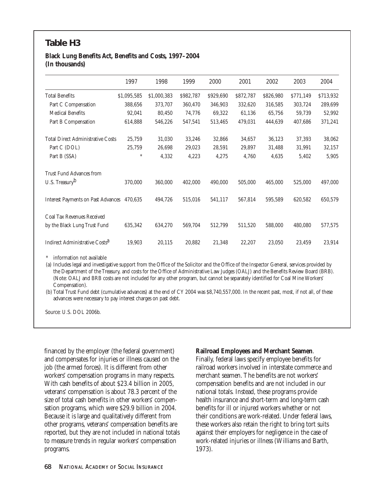## **Table H3**

#### **Black Lung Benefits Act, Benefits and Costs, 1997–2004 (In thousands)**

|                                            | 1997        | 1998        | 1999      | 2000      | 2001      | 2002      | 2003      | 2004      |
|--------------------------------------------|-------------|-------------|-----------|-----------|-----------|-----------|-----------|-----------|
| <b>Total Benefits</b>                      | \$1,095,585 | \$1,000,383 | \$982,787 | \$929,690 | \$872,787 | \$826,980 | \$771,149 | \$713,932 |
| Part C Compensation                        | 388,656     | 373,707     | 360,470   | 346,903   | 332,620   | 316,585   | 303,724   | 289,699   |
| <b>Medical Benefits</b>                    | 92,041      | 80,450      | 74,776    | 69,322    | 61,136    | 65,756    | 59,739    | 52,992    |
| Part B Compensation                        | 614,888     | 546,226     | 547,541   | 513,465   | 479,031   | 444,639   | 407,686   | 371,241   |
| <b>Total Direct Administrative Costs</b>   | 25,759      | 31,030      | 33,246    | 32,866    | 34,657    | 36,123    | 37,393    | 38,062    |
| Part C (DOL)                               | 25,759      | 26,698      | 29,023    | 28,591    | 29,897    | 31,488    | 31,991    | 32,157    |
| Part B (SSA)                               | $\ast$      | 4,332       | 4,223     | 4,275     | 4,760     | 4,635     | 5,402     | 5,905     |
| Trust Fund Advances from                   |             |             |           |           |           |           |           |           |
| U.S. Treasury <sup>b</sup>                 | 370,000     | 360,000     | 402,000   | 490,000   | 505,000   | 465,000   | 525,000   | 497,000   |
| <b>Interest Payments on Past Advances</b>  | 470.635     | 494,726     | 515,016   | 541,117   | 567,814   | 595,589   | 620,582   | 650,579   |
| Coal Tax Revenues Received                 |             |             |           |           |           |           |           |           |
| by the Black Lung Trust Fund               | 635,342     | 634,270     | 569,704   | 512,799   | 511,520   | 588,000   | 480,080   | 577,575   |
| Indirect Administrative Costs <sup>a</sup> | 19,903      | 20,115      | 20,882    | 21,348    | 22,207    | 23,050    | 23,459    | 23,914    |

\* information not available

(a) Includes legal and investigative support from the Office of the Solicitor and the Office of the Inspector General, services provided by the Department of the Treasury, and costs for the Office of Administrative Law Judges (OALJ) and the Benefits Review Board (BRB). (Note: OALJ and BRB costs are not included for any other program, but cannot be separately identified for Coal Mine Workers' Compensation).

(b) Total Trust Fund debt (cumulative advances) at the end of CY 2004 was \$8,740,557,000. In the recent past, most, if not all, of these advances were necessary to pay interest charges on past debt.

Source: U.S. DOL 2006b.

financed by the employer (the federal government) and compensates for injuries or illness caused on the job (the armed forces). It is different from other workers' compensation programs in many respects. With cash benefits of about \$23.4 billion in 2005, veterans' compensation is about 78.3 percent of the size of total cash benefits in other workers' compensation programs, which were \$29.9 billion in 2004. Because it is large and qualitatively different from other programs, veterans' compensation benefits are reported, but they are not included in national totals to measure trends in regular workers' compensation programs.

#### **Railroad Employees and Merchant Seamen**.

Finally, federal laws specify employee benefits for railroad workers involved in interstate commerce and merchant seamen. The benefits are not workers' compensation benefits and are not included in our national totals. Instead, these programs provide health insurance and short-term and long-term cash benefits for ill or injured workers whether or not their conditions are work-related. Under federal laws, these workers also retain the right to bring tort suits against their employers for negligence in the case of work-related injuries or illness (Williams and Barth, 1973).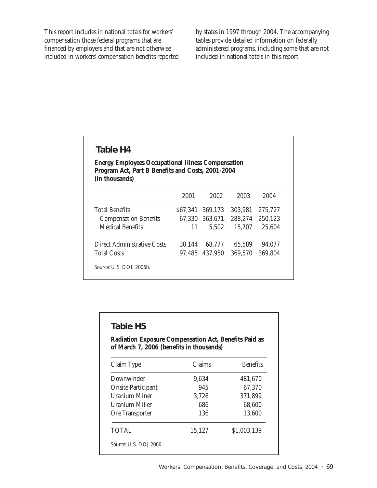This report includes in national totals for workers' compensation those federal programs that are financed by employers and that are not otherwise included in workers' compensation benefits reported by states in 1997 through 2004. The accompanying tables provide detailed information on federally administered programs, including some that are not included in national totals in this report.

## **Table H4**

**Energy Employees Occupational Illness Compensation Program Act, Part B Benefits and Costs, 2001-2004 (in thousands)**

|                              | 2001     | 2002    | 2003    | 2004    |
|------------------------------|----------|---------|---------|---------|
| <b>Total Benefits</b>        | \$67,341 | 369,173 | 303,981 | 275,727 |
| <b>Compensation Benefits</b> | 67,330   | 363,671 | 288,274 | 250,123 |
| <b>Medical Benefits</b>      | 11       | 5,502   | 15,707  | 25,604  |
| Direct Administrative Costs  | 30,144   | 68,777  | 65,589  | 94,077  |
| <b>Total Costs</b>           | 97,485   | 437,950 | 369,570 | 369,804 |
| Source: U.S. DOL 2006b.      |          |         |         |         |
|                              |          |         |         |         |

| <b>Radiation Exposure Compensation Act, Benefits Paid as</b><br>of March 7, 2006 (benefits in thousands) |        |                 |
|----------------------------------------------------------------------------------------------------------|--------|-----------------|
| Claim Type                                                                                               | Claims | <b>Benefits</b> |
| Downwinder                                                                                               | 9,634  | 481,670         |
| <b>Onsite Participant</b>                                                                                | 945    | 67,370          |
| Uranium Miner                                                                                            | 3,726  | 371,899         |
| Uranium Miller                                                                                           | 686    | 68,600          |
| Ore Transporter                                                                                          | 136    | 13,600          |
| TOTAL.                                                                                                   | 15,127 | \$1,003,139     |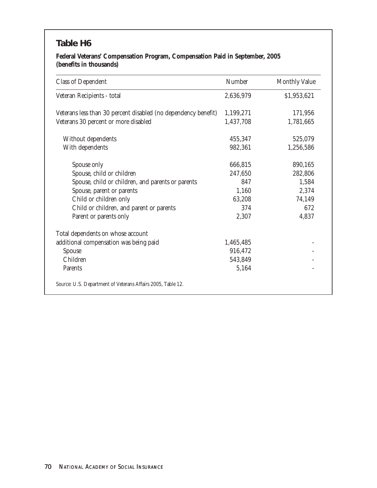## **Table H6**

#### **Federal Veterans' Compensation Program, Compensation Paid in September, 2005 (benefits in thousands)**

| <b>Class of Dependent</b>                                      | Number    | <b>Monthly Value</b> |
|----------------------------------------------------------------|-----------|----------------------|
| Veteran Recipients - total                                     | 2,636,979 | \$1,953,621          |
| Veterans less than 30 percent disabled (no dependency benefit) | 1,199,271 | 171,956              |
| Veterans 30 percent or more disabled                           | 1,437,708 | 1,781,665            |
| Without dependents                                             | 455,347   | 525,079              |
| With dependents                                                | 982,361   | 1,256,586            |
| Spouse only                                                    | 666,815   | 890,165              |
| Spouse, child or children                                      | 247,650   | 282,806              |
| Spouse, child or children, and parents or parents              | 847       | 1,584                |
| Spouse, parent or parents                                      | 1,160     | 2,374                |
| Child or children only                                         | 63,208    | 74,149               |
| Child or children, and parent or parents                       | 374       | 672                  |
| Parent or parents only                                         | 2,307     | 4,837                |
| Total dependents on whose account                              |           |                      |
| additional compensation was being paid                         | 1,465,485 |                      |
| Spouse                                                         | 916,472   |                      |
| Children                                                       | 543,849   |                      |
| Parents                                                        | 5,164     |                      |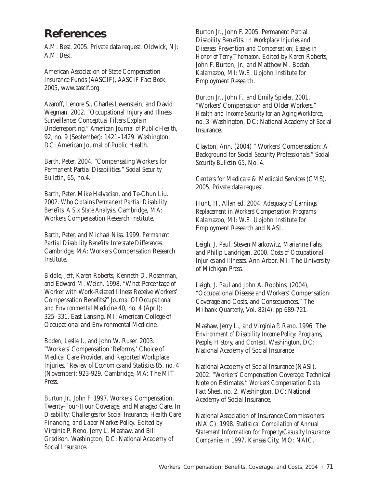# **References**

A.M. Best. 2005. Private data request. Oldwick, NJ: A.M. Best.

American Association of State Compensation Insurance Funds (AASCIF), *AASCIF Fact Book*, 2005, www.aascif.org

Azaroff, Lenore S., Charles Levenstein, and David Wegman. 2002. "Occupational Injury and Illness Surveillance: Conceptual Filters Explain Underreporting." *American Journal of Public Health,* 92, no. 9 (September): 1421–1429. Washington, DC: American Journal of Public Health.

Barth, Peter. 2004. "Compensating Workers for Permanent Partial Disabilities." *Social Security Bulletin*, 65, no.4.

Barth, Peter, Mike Helvacian, and Te-Chun Liu. 2002. *Who Obtains Permanent Partial Disability Benefits: A Six State Analysis.* Cambridge, MA: Workers Compensation Research Institute.

Barth, Peter, and Michael Niss. 1999. *Permanent Partial Disability Benefits: Interstate Differences*. Cambridge, MA: Workers Compensation Research Institute.

Biddle, Jeff, Karen Roberts, Kenneth D. Rosenman, and Edward M. Welch. 1998. "What Percentage of Worker with Work-Related Illness Receive Workers' Compensation Benefits?" *Journal Of Occupational and Environmental Medicine* 40, no. 4 (April): 325–331. East Lansing, MI: American College of Occupational and Environmental Medicine.

Boden, Leslie I., and John W. Ruser. 2003. "Workers' Compensation 'Reforms,' Choice of Medical Care Provider, and Reported Workplace Injuries." *Review of Economics and Statistics* 85, no. 4 (November): 923-929. Cambridge, MA: The MIT Press.

Burton Jr., John F. 1997. Workers' Compensation, Twenty-Four-Hour Coverage, and Managed Care. In *Disability: Challenges for Social Insurance, Health Care Financing, and Labor Market Policy*. Edited by Virginia P. Reno, Jerry L. Mashaw, and Bill Gradison. Washington, DC: National Academy of Social Insurance.

Burton Jr., John F. 2005. Permanent Partial Disability Benefits. In *Workplace Injuries and Diseases: Prevention and Compensation; Essays in Honor of Terry Thomason*. Edited by Karen Roberts, John F. Burton, Jr., and Matthew M. Bodah. Kalamazoo, MI: W.E. Upjohn Institute for Employment Research.

Burton Jr., John F., and Emily Spieler. 2001. "Workers' Compensation and Older Workers." *Health and Income Security for an Aging Workforce,* no. 3. Washington, DC: National Academy of Social Insurance.

Clayton, Ann. (2004) " Workers' Compensation: A Background for Social Security Professionals." *Social Security Bulletin* 65, No. 4.

Centers for Medicare & Medicaid Services (CMS). 2005. Private data request.

Hunt, H. Allan ed. 2004. *Adequacy of Earnings Replacement in Workers' Compensation Programs*. Kalamazoo, MI: W.E. Upjohn Institute for Employment Research and NASI.

Leigh, J. Paul, Steven Markowitz, Marianne Fahs, and Philip Landrigan. 2000. *Costs of Occupational Injuries and Illnesses*. Ann Arbor, MI: The University of Michigan Press.

Leigh, J. Paul and John A. Robbins, (2004), "Occupational Disease and Workers' Compensation: Coverage and Costs, and Consequences." *The Milbank Quarterly*, Vol. 82(4): pp 689-721.

Mashaw, Jerry L., and Virginia P. Reno. 1996. *The Environment of Disability Income Policy: Programs, People, History, and Context*. Washington, DC: National Academy of Social Insurance

National Academy of Social Insurance (NASI). 2002. "Workers' Compensation Coverage: Technical Note on Estimates." *Workers' Compensation Data Fact Sheet*, no. 2. Washington, DC: National Academy of Social Insurance.

National Association of Insurance Commissioners (NAIC). 1998. *Statistical Compilation of Annual Statement Information for Property/Casualty Insurance Companies in 1997*. Kansas City, MO: NAIC.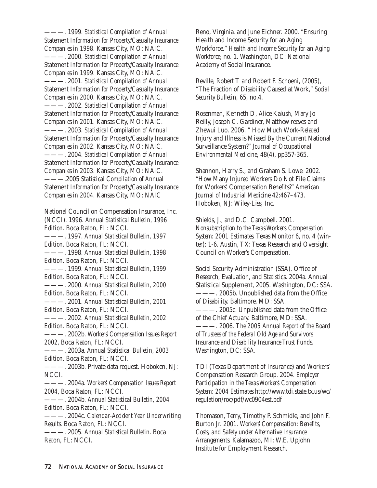———. 1999. *Statistical Compilation of Annual Statement Information for Property/Casualty Insurance Companies in 1998.* Kansas City, MO: NAIC. ———. 2000. *Statistical Compilation of Annual Statement Information for Property/Casualty Insurance Companies in 1999.* Kansas City, MO: NAIC. ———. 2001. *Statistical Compilation of Annual Statement Information for Property/Casualty Insurance Companies in 2000.* Kansas City, MO: NAIC. ———. 2002. *Statistical Compilation of Annual Statement Information for Property/Casualty Insurance Companies in 2001.* Kansas City, MO: NAIC. ———. 2003. *Statistical Compilation of Annual Statement Information for Property/Casualty Insurance Companies in 2002.* Kansas City, MO: NAIC. ———. 2004. *Statistical Compilation of Annual Statement Information for Property/Casualty Insurance Companies in 2003.* Kansas City, MO: NAIC. ———.2005 *Statistical Compilation of Annual Statement Information for Property/Casualty Insurance Companies in 2004.* Kansas City, MO: NAIC

National Council on Compensation Insurance, Inc. (NCCI). 1996. *Annual Statistical Bulletin, 1996 Edition*. Boca Raton, FL: NCCI. ———. 1997. *Annual Statistical Bulletin, 1997 Edition*. Boca Raton, FL: NCCI. ———. 1998. *Annual Statistical Bulletin, 1998 Edition.* Boca Raton, FL: NCCI. ———. 1999*. Annual Statistical Bulletin, 1999 Edition*. Boca Raton, FL: NCCI. ———. 2000. *Annual Statistical Bulletin, 2000 Edition*. Boca Raton, FL: NCCI. ———. 2001. *Annual Statistical Bulletin, 2001 Edition*. Boca Raton, FL: NCCI. ———. 2002. *Annual Statistical Bulletin, 2002 Edition*. Boca Raton, FL: NCCI. ———. 2002b. *Workers' Compensation Issues Report 2002,* Boca Raton, FL: NCCI. ———. 2003a. *Annual Statistical Bulletin, 2003 Edition*. Boca Raton, FL: NCCI. ———. 2003b. Private data request. Hoboken, NJ: NCCI. ———. 2004a. *Workers' Compensation Issues Report 2004,* Boca Raton, FL: NCCI. ———. 2004b. *Annual Statistical Bulletin, 2004 Edition*. Boca Raton, FL: NCCI. ———. 2004c. *Calendar-Accident Year Underwriting Results*. Boca Raton, FL: NCCI. ———. 2005. *Annual Statistical Bulletin*. Boca Raton, FL: NCCI.

Reno, Virginia, and June Eichner. 2000. "Ensuring Health and Income Security for an Aging Workforce." *Health and Income Security for an Aging Workforce*, no. 1. Washington, DC: National Academy of Social Insurance.

Reville, Robert T and Robert F. Schoeni, (2005), "The Fraction of Disability Caused at Work," *Social Security Bulletin,* 65, no.4.

Rosenman, Kenneth D, Alice Kalush, Mary Jo Reilly, Joseph C. Gardiner, Matthew reeves and Zhewui Luo. 2006. " How Much Work-Related Injury and Illness is Missed By the Current National Surveillance System?" *Journal of Occupational Environmental Medicine*, 48(4), pp357-365.

Shannon, Harry S., and Graham S. Lowe. 2002. "How Many Injured Workers Do Not File Claims for Workers' Compensation Benefits?" *American Journal of Industrial Medicine* 42:467–473. Hoboken, NJ: Wiley-Liss, Inc.

Shields, J., and D.C. Campbell. 2001. *Nonsubscription to the Texas Workers' Compensation System: 2001 Estimates*. Texas Monitor 6, no. 4 (winter): 1-6. Austin, TX: Texas Research and Oversight Council on Worker's Compensation.

Social Security Administration (SSA). Office of Research, Evaluation, and Statistics. 2004a. Annual Statistical Supplement, 2005. Washington, DC: SSA. ———. 2005b. Unpublished data from the Office of Disability. Baltimore, MD: SSA. ———. 2005c. Unpublished data from the Office of the Chief Actuary. Baltimore, MD: SSA. ———. 2006. *The 2005 Annual Report of the Board of Trustees of the Federal Old Age and Survivors Insurance and Disability Insurance Trust Funds.* Washington, DC: SSA.

TDI (Texas Department of Insurance) and Workers' Compensation Research Group. 2004. *Employer Participation in the Texas Workers' Compensation System: 2004 Estimates* http://www.tdi.state.tx.us/wc/ regulation/roc/pdf/wc0904est.pdf

Thomason, Terry, Timothy P. Schmidle, and John F. Burton Jr. 2001. *Workers' Compensation: Benefits, Costs, and Safety under Alternative Insurance Arrangements*. Kalamazoo, MI: W.E. Upjohn Institute for Employment Research.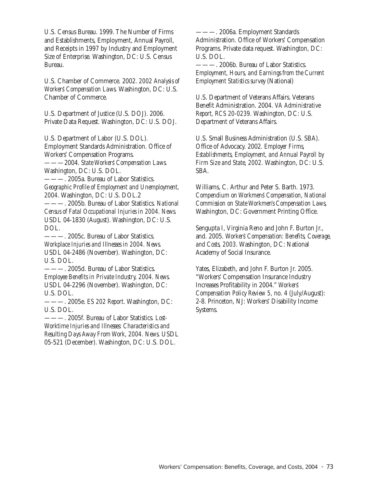U.S. Census Bureau. 1999. The Number of Firms and Establishments, Employment, Annual Payroll, and Receipts in 1997 by Industry and Employment Size of Enterprise. Washington, DC: U.S. Census Bureau.

U.S. Chamber of Commerce. 2002. *2002 Analysis of Workers' Compensation Laws*. Washington, DC: U.S. Chamber of Commerce.

U.S. Department of Justice (U.S. DOJ). 2006. Private Data Request. Washington, DC: U.S. DOJ.

U.S. Department of Labor (U.S. DOL). Employment Standards Administration. Office of Workers' Compensation Programs.

———2004. *State Workers' Compensation Laws.* Washington, DC: U.S. DOL.

-. 2005a. Bureau of Labor Statistics. *Geographic Profile of Employment and Unemployment, 2004.* Washington, DC: U.S. DOL.2

———. 2005b. Bureau of Labor Statistics. *National Census of Fatal Occupational Injuries in 2004. News.* USDL 04-1830 (August). Washington, DC: U.S. DOL.

–. 2005c. Bureau of Labor Statistics. *Workplace Injuries and Illnesses in 2004. News*. USDL 04-2486 (November). Washington, DC: U.S. DOL.

———. 2005d. Bureau of Labor Statistics. *Employee Benefits in Private Industry, 2004. News*. USDL 04-2296 (November). Washington, DC: U.S. DOL.

———. 2005e. *ES 202 Report*. Washington, DC: U.S. DOL.

———. 2005f. Bureau of Labor Statistics. *Lost-Worktime Injuries and Illnesses: Characteristics and Resulting Days Away From Work, 2004. News*. USDL 05-521 (December). Washington, DC: U.S. DOL.

———. 2006a. Employment Standards Administration. Office of Workers' Compensation Programs. Private data request. Washington, DC: U.S. DOL.

———. 2006b. Bureau of Labor Statistics. *Employment, Hours, and Earnings from the Current Employment Statistics survey* (National)

U.S. Department of Veterans Affairs. Veterans Benefit Administration. 2004. *VA Administrative Report, RCS 20-0239.* Washington, DC: U.S. Department of Veterans Affairs.

U.S. Small Business Administration (U.S. SBA). Office of Advocacy. 2002. *Employer Firms, Establishments, Employment, and Annual Payroll by Firm Size and State, 2002.* Washington, DC: U.S. SBA.

Williams, C. Arthur and Peter S. Barth. 1973. *Compendium on Workmens' Compensation, National Commission on State Workmen's Compensation Laws*, Washington, DC: Government Printing Office.

Sengupta I, Virginia Reno and John F. Burton Jr., and. 2005. *Workers' Compensation: Benefits, Coverage, and Costs, 2003.* Washington, DC: National Academy of Social Insurance.

Yates, Elizabeth, and John F. Burton Jr. 2005. "Workers' Compensation Insurance Industry Increases Profitability in 2004." *Workers' Compensation Policy Review 5,* no. 4 (July/August): 2-8. Princeton, NJ: Workers' Disability Income Systems.